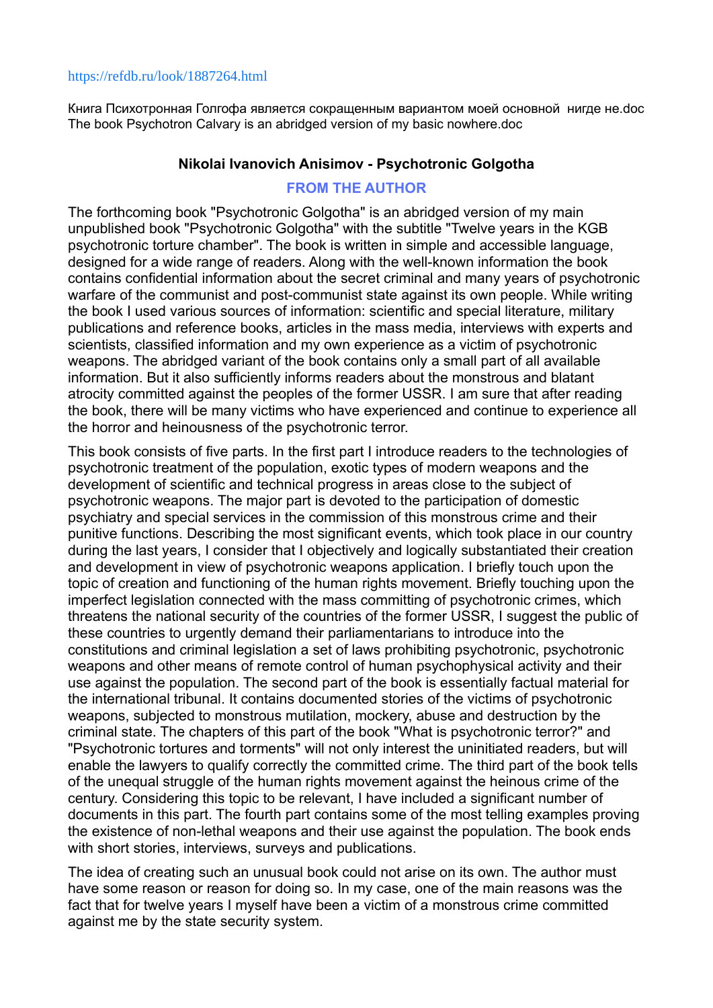#### <https://refdb.ru/look/1887264.html>

Книга Психотронная Голгофа является сокращенным вариантом моей основной нигде не.doc The book Psychotron Calvary is an abridged version of my basic nowhere.doc

### **Nikolai Ivanovich Anisimov - Psychotronic Golgotha**

## **FROM THE AUTHOR**

The forthcoming book "Psychotronic Golgotha" is an abridged version of my main unpublished book "Psychotronic Golgotha" with the subtitle "Twelve years in the KGB psychotronic torture chamber". The book is written in simple and accessible language, designed for a wide range of readers. Along with the well-known information the book contains confidential information about the secret criminal and many years of psychotronic warfare of the communist and post-communist state against its own people. While writing the book I used various sources of information: scientific and special literature, military publications and reference books, articles in the mass media, interviews with experts and scientists, classified information and my own experience as a victim of psychotronic weapons. The abridged variant of the book contains only a small part of all available information. But it also sufficiently informs readers about the monstrous and blatant atrocity committed against the peoples of the former USSR. I am sure that after reading the book, there will be many victims who have experienced and continue to experience all the horror and heinousness of the psychotronic terror.

This book consists of five parts. In the first part I introduce readers to the technologies of psychotronic treatment of the population, exotic types of modern weapons and the development of scientific and technical progress in areas close to the subject of psychotronic weapons. The major part is devoted to the participation of domestic psychiatry and special services in the commission of this monstrous crime and their punitive functions. Describing the most significant events, which took place in our country during the last years, I consider that I objectively and logically substantiated their creation and development in view of psychotronic weapons application. I briefly touch upon the topic of creation and functioning of the human rights movement. Briefly touching upon the imperfect legislation connected with the mass committing of psychotronic crimes, which threatens the national security of the countries of the former USSR, I suggest the public of these countries to urgently demand their parliamentarians to introduce into the constitutions and criminal legislation a set of laws prohibiting psychotronic, psychotronic weapons and other means of remote control of human psychophysical activity and their use against the population. The second part of the book is essentially factual material for the international tribunal. It contains documented stories of the victims of psychotronic weapons, subjected to monstrous mutilation, mockery, abuse and destruction by the criminal state. The chapters of this part of the book "What is psychotronic terror?" and "Psychotronic tortures and torments" will not only interest the uninitiated readers, but will enable the lawyers to qualify correctly the committed crime. The third part of the book tells of the unequal struggle of the human rights movement against the heinous crime of the century. Considering this topic to be relevant, I have included a significant number of documents in this part. The fourth part contains some of the most telling examples proving the existence of non-lethal weapons and their use against the population. The book ends with short stories, interviews, surveys and publications.

The idea of creating such an unusual book could not arise on its own. The author must have some reason or reason for doing so. In my case, one of the main reasons was the fact that for twelve years I myself have been a victim of a monstrous crime committed against me by the state security system.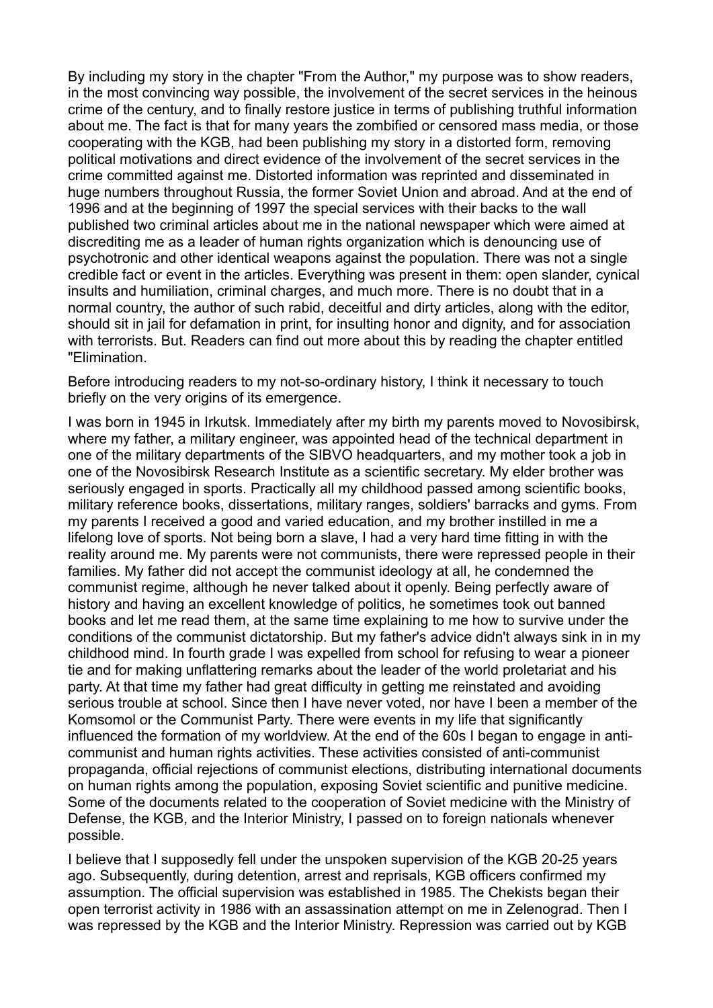By including my story in the chapter "From the Author," my purpose was to show readers, in the most convincing way possible, the involvement of the secret services in the heinous crime of the century, and to finally restore justice in terms of publishing truthful information about me. The fact is that for many years the zombified or censored mass media, or those cooperating with the KGB, had been publishing my story in a distorted form, removing political motivations and direct evidence of the involvement of the secret services in the crime committed against me. Distorted information was reprinted and disseminated in huge numbers throughout Russia, the former Soviet Union and abroad. And at the end of 1996 and at the beginning of 1997 the special services with their backs to the wall published two criminal articles about me in the national newspaper which were aimed at discrediting me as a leader of human rights organization which is denouncing use of psychotronic and other identical weapons against the population. There was not a single credible fact or event in the articles. Everything was present in them: open slander, cynical insults and humiliation, criminal charges, and much more. There is no doubt that in a normal country, the author of such rabid, deceitful and dirty articles, along with the editor, should sit in jail for defamation in print, for insulting honor and dignity, and for association with terrorists. But. Readers can find out more about this by reading the chapter entitled "Elimination.

Before introducing readers to my not-so-ordinary history, I think it necessary to touch briefly on the very origins of its emergence.

I was born in 1945 in Irkutsk. Immediately after my birth my parents moved to Novosibirsk, where my father, a military engineer, was appointed head of the technical department in one of the military departments of the SIBVO headquarters, and my mother took a job in one of the Novosibirsk Research Institute as a scientific secretary. My elder brother was seriously engaged in sports. Practically all my childhood passed among scientific books, military reference books, dissertations, military ranges, soldiers' barracks and gyms. From my parents I received a good and varied education, and my brother instilled in me a lifelong love of sports. Not being born a slave, I had a very hard time fitting in with the reality around me. My parents were not communists, there were repressed people in their families. My father did not accept the communist ideology at all, he condemned the communist regime, although he never talked about it openly. Being perfectly aware of history and having an excellent knowledge of politics, he sometimes took out banned books and let me read them, at the same time explaining to me how to survive under the conditions of the communist dictatorship. But my father's advice didn't always sink in in my childhood mind. In fourth grade I was expelled from school for refusing to wear a pioneer tie and for making unflattering remarks about the leader of the world proletariat and his party. At that time my father had great difficulty in getting me reinstated and avoiding serious trouble at school. Since then I have never voted, nor have I been a member of the Komsomol or the Communist Party. There were events in my life that significantly influenced the formation of my worldview. At the end of the 60s I began to engage in anticommunist and human rights activities. These activities consisted of anti-communist propaganda, official rejections of communist elections, distributing international documents on human rights among the population, exposing Soviet scientific and punitive medicine. Some of the documents related to the cooperation of Soviet medicine with the Ministry of Defense, the KGB, and the Interior Ministry, I passed on to foreign nationals whenever possible.

I believe that I supposedly fell under the unspoken supervision of the KGB 20-25 years ago. Subsequently, during detention, arrest and reprisals, KGB officers confirmed my assumption. The official supervision was established in 1985. The Chekists began their open terrorist activity in 1986 with an assassination attempt on me in Zelenograd. Then I was repressed by the KGB and the Interior Ministry. Repression was carried out by KGB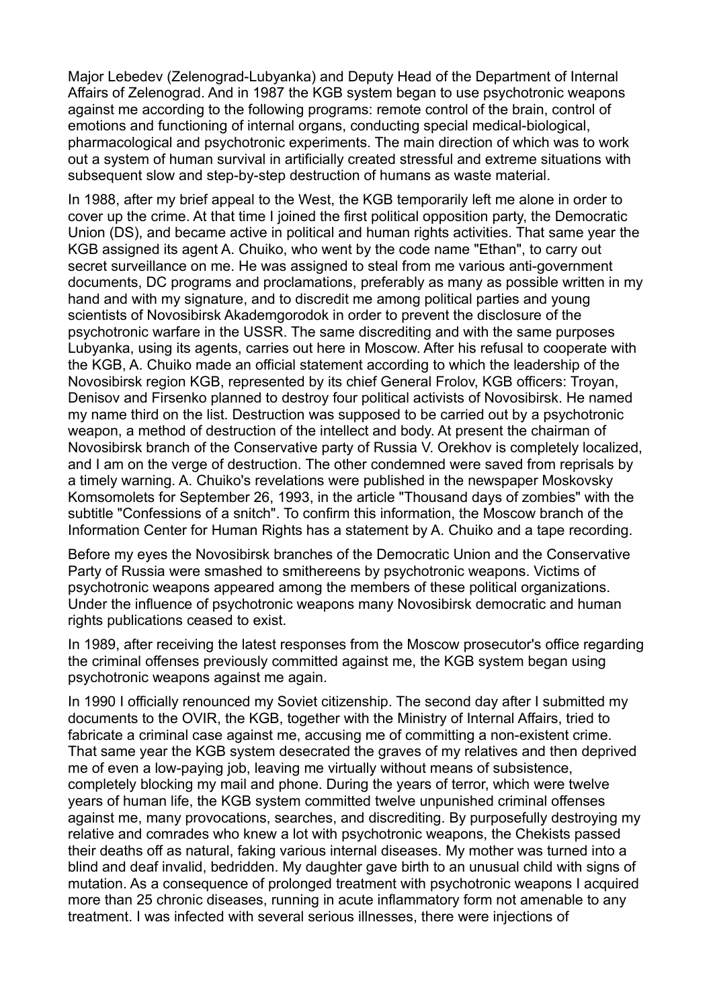Major Lebedev (Zelenograd-Lubyanka) and Deputy Head of the Department of Internal Affairs of Zelenograd. And in 1987 the KGB system began to use psychotronic weapons against me according to the following programs: remote control of the brain, control of emotions and functioning of internal organs, conducting special medical-biological, pharmacological and psychotronic experiments. The main direction of which was to work out a system of human survival in artificially created stressful and extreme situations with subsequent slow and step-by-step destruction of humans as waste material.

In 1988, after my brief appeal to the West, the KGB temporarily left me alone in order to cover up the crime. At that time I joined the first political opposition party, the Democratic Union (DS), and became active in political and human rights activities. That same year the KGB assigned its agent A. Chuiko, who went by the code name "Ethan", to carry out secret surveillance on me. He was assigned to steal from me various anti-government documents, DC programs and proclamations, preferably as many as possible written in my hand and with my signature, and to discredit me among political parties and young scientists of Novosibirsk Akademgorodok in order to prevent the disclosure of the psychotronic warfare in the USSR. The same discrediting and with the same purposes Lubyanka, using its agents, carries out here in Moscow. After his refusal to cooperate with the KGB, A. Chuiko made an official statement according to which the leadership of the Novosibirsk region KGB, represented by its chief General Frolov, KGB officers: Troyan, Denisov and Firsenko planned to destroy four political activists of Novosibirsk. He named my name third on the list. Destruction was supposed to be carried out by a psychotronic weapon, a method of destruction of the intellect and body. At present the chairman of Novosibirsk branch of the Conservative party of Russia V. Orekhov is completely localized, and I am on the verge of destruction. The other condemned were saved from reprisals by a timely warning. A. Chuiko's revelations were published in the newspaper Moskovsky Komsomolets for September 26, 1993, in the article "Thousand days of zombies" with the subtitle "Confessions of a snitch". To confirm this information, the Moscow branch of the Information Center for Human Rights has a statement by A. Chuiko and a tape recording.

Before my eyes the Novosibirsk branches of the Democratic Union and the Conservative Party of Russia were smashed to smithereens by psychotronic weapons. Victims of psychotronic weapons appeared among the members of these political organizations. Under the influence of psychotronic weapons many Novosibirsk democratic and human rights publications ceased to exist.

In 1989, after receiving the latest responses from the Moscow prosecutor's office regarding the criminal offenses previously committed against me, the KGB system began using psychotronic weapons against me again.

In 1990 I officially renounced my Soviet citizenship. The second day after I submitted my documents to the OVIR, the KGB, together with the Ministry of Internal Affairs, tried to fabricate a criminal case against me, accusing me of committing a non-existent crime. That same year the KGB system desecrated the graves of my relatives and then deprived me of even a low-paying job, leaving me virtually without means of subsistence, completely blocking my mail and phone. During the years of terror, which were twelve years of human life, the KGB system committed twelve unpunished criminal offenses against me, many provocations, searches, and discrediting. By purposefully destroying my relative and comrades who knew a lot with psychotronic weapons, the Chekists passed their deaths off as natural, faking various internal diseases. My mother was turned into a blind and deaf invalid, bedridden. My daughter gave birth to an unusual child with signs of mutation. As a consequence of prolonged treatment with psychotronic weapons I acquired more than 25 chronic diseases, running in acute inflammatory form not amenable to any treatment. I was infected with several serious illnesses, there were injections of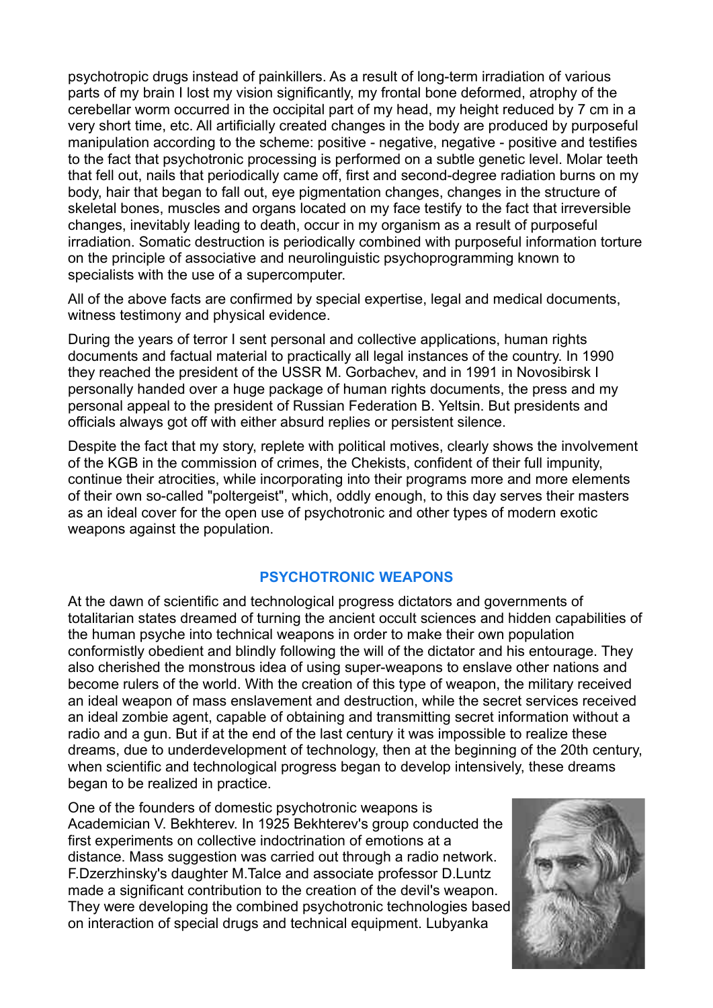psychotropic drugs instead of painkillers. As a result of long-term irradiation of various parts of my brain I lost my vision significantly, my frontal bone deformed, atrophy of the cerebellar worm occurred in the occipital part of my head, my height reduced by 7 cm in a very short time, etc. All artificially created changes in the body are produced by purposeful manipulation according to the scheme: positive - negative, negative - positive and testifies to the fact that psychotronic processing is performed on a subtle genetic level. Molar teeth that fell out, nails that periodically came off, first and second-degree radiation burns on my body, hair that began to fall out, eye pigmentation changes, changes in the structure of skeletal bones, muscles and organs located on my face testify to the fact that irreversible changes, inevitably leading to death, occur in my organism as a result of purposeful irradiation. Somatic destruction is periodically combined with purposeful information torture on the principle of associative and neurolinguistic psychoprogramming known to specialists with the use of a supercomputer.

All of the above facts are confirmed by special expertise, legal and medical documents, witness testimony and physical evidence.

During the years of terror I sent personal and collective applications, human rights documents and factual material to practically all legal instances of the country. In 1990 they reached the president of the USSR M. Gorbachev, and in 1991 in Novosibirsk I personally handed over a huge package of human rights documents, the press and my personal appeal to the president of Russian Federation B. Yeltsin. But presidents and officials always got off with either absurd replies or persistent silence.

Despite the fact that my story, replete with political motives, clearly shows the involvement of the KGB in the commission of crimes, the Chekists, confident of their full impunity, continue their atrocities, while incorporating into their programs more and more elements of their own so-called "poltergeist", which, oddly enough, to this day serves their masters as an ideal cover for the open use of psychotronic and other types of modern exotic weapons against the population.

## **PSYCHOTRONIC WEAPONS**

At the dawn of scientific and technological progress dictators and governments of totalitarian states dreamed of turning the ancient occult sciences and hidden capabilities of the human psyche into technical weapons in order to make their own population conformistly obedient and blindly following the will of the dictator and his entourage. They also cherished the monstrous idea of using super-weapons to enslave other nations and become rulers of the world. With the creation of this type of weapon, the military received an ideal weapon of mass enslavement and destruction, while the secret services received an ideal zombie agent, capable of obtaining and transmitting secret information without a radio and a gun. But if at the end of the last century it was impossible to realize these dreams, due to underdevelopment of technology, then at the beginning of the 20th century, when scientific and technological progress began to develop intensively, these dreams began to be realized in practice.

One of the founders of domestic psychotronic weapons is Academician V. Bekhterev. In 1925 Bekhterev's group conducted the first experiments on collective indoctrination of emotions at a distance. Mass suggestion was carried out through a radio network. F.Dzerzhinsky's daughter M.Talce and associate professor D.Luntz made a significant contribution to the creation of the devil's weapon. They were developing the combined psychotronic technologies based on interaction of special drugs and technical equipment. Lubyanka

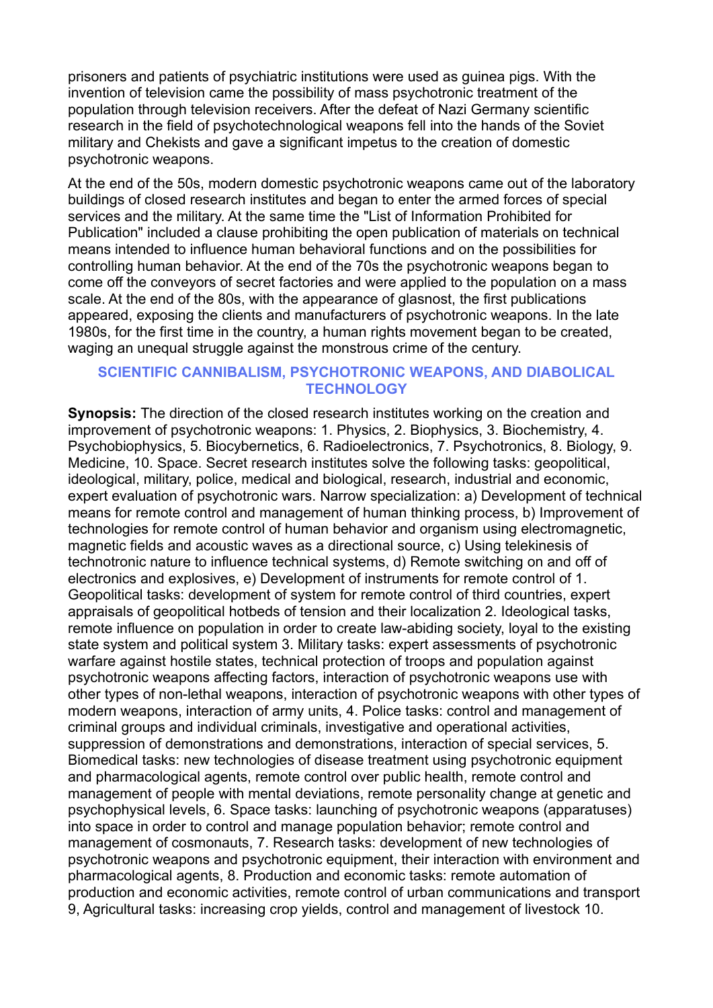prisoners and patients of psychiatric institutions were used as guinea pigs. With the invention of television came the possibility of mass psychotronic treatment of the population through television receivers. After the defeat of Nazi Germany scientific research in the field of psychotechnological weapons fell into the hands of the Soviet military and Chekists and gave a significant impetus to the creation of domestic psychotronic weapons.

At the end of the 50s, modern domestic psychotronic weapons came out of the laboratory buildings of closed research institutes and began to enter the armed forces of special services and the military. At the same time the "List of Information Prohibited for Publication" included a clause prohibiting the open publication of materials on technical means intended to influence human behavioral functions and on the possibilities for controlling human behavior. At the end of the 70s the psychotronic weapons began to come off the conveyors of secret factories and were applied to the population on a mass scale. At the end of the 80s, with the appearance of glasnost, the first publications appeared, exposing the clients and manufacturers of psychotronic weapons. In the late 1980s, for the first time in the country, a human rights movement began to be created, waging an unequal struggle against the monstrous crime of the century.

## **SCIENTIFIC CANNIBALISM, PSYCHOTRONIC WEAPONS, AND DIABOLICAL TECHNOLOGY**

**Synopsis:** The direction of the closed research institutes working on the creation and improvement of psychotronic weapons: 1. Physics, 2. Biophysics, 3. Biochemistry, 4. Psychobiophysics, 5. Biocybernetics, 6. Radioelectronics, 7. Psychotronics, 8. Biology, 9. Medicine, 10. Space. Secret research institutes solve the following tasks: geopolitical, ideological, military, police, medical and biological, research, industrial and economic, expert evaluation of psychotronic wars. Narrow specialization: a) Development of technical means for remote control and management of human thinking process, b) Improvement of technologies for remote control of human behavior and organism using electromagnetic, magnetic fields and acoustic waves as a directional source, c) Using telekinesis of technotronic nature to influence technical systems, d) Remote switching on and off of electronics and explosives, e) Development of instruments for remote control of 1. Geopolitical tasks: development of system for remote control of third countries, expert appraisals of geopolitical hotbeds of tension and their localization 2. Ideological tasks, remote influence on population in order to create law-abiding society, loyal to the existing state system and political system 3. Military tasks: expert assessments of psychotronic warfare against hostile states, technical protection of troops and population against psychotronic weapons affecting factors, interaction of psychotronic weapons use with other types of non-lethal weapons, interaction of psychotronic weapons with other types of modern weapons, interaction of army units, 4. Police tasks: control and management of criminal groups and individual criminals, investigative and operational activities, suppression of demonstrations and demonstrations, interaction of special services, 5. Biomedical tasks: new technologies of disease treatment using psychotronic equipment and pharmacological agents, remote control over public health, remote control and management of people with mental deviations, remote personality change at genetic and psychophysical levels, 6. Space tasks: launching of psychotronic weapons (apparatuses) into space in order to control and manage population behavior; remote control and management of cosmonauts, 7. Research tasks: development of new technologies of psychotronic weapons and psychotronic equipment, their interaction with environment and pharmacological agents, 8. Production and economic tasks: remote automation of production and economic activities, remote control of urban communications and transport 9, Agricultural tasks: increasing crop yields, control and management of livestock 10.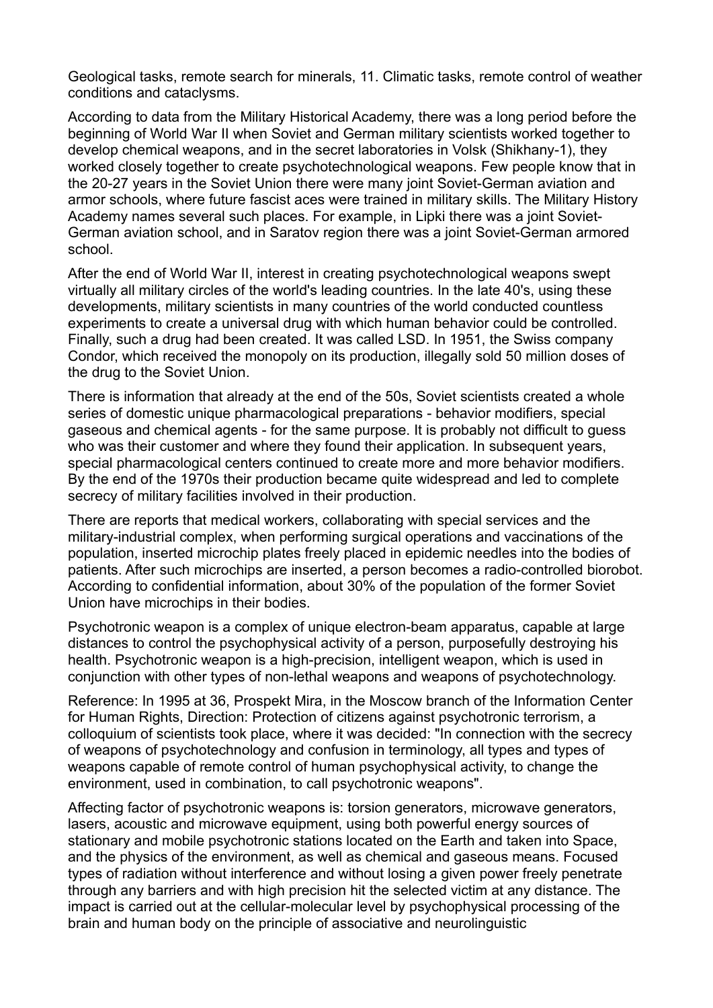Geological tasks, remote search for minerals, 11. Climatic tasks, remote control of weather conditions and cataclysms.

According to data from the Military Historical Academy, there was a long period before the beginning of World War II when Soviet and German military scientists worked together to develop chemical weapons, and in the secret laboratories in Volsk (Shikhany-1), they worked closely together to create psychotechnological weapons. Few people know that in the 20-27 years in the Soviet Union there were many joint Soviet-German aviation and armor schools, where future fascist aces were trained in military skills. The Military History Academy names several such places. For example, in Lipki there was a joint Soviet-German aviation school, and in Saratov region there was a joint Soviet-German armored school.

After the end of World War II, interest in creating psychotechnological weapons swept virtually all military circles of the world's leading countries. In the late 40's, using these developments, military scientists in many countries of the world conducted countless experiments to create a universal drug with which human behavior could be controlled. Finally, such a drug had been created. It was called LSD. In 1951, the Swiss company Condor, which received the monopoly on its production, illegally sold 50 million doses of the drug to the Soviet Union.

There is information that already at the end of the 50s, Soviet scientists created a whole series of domestic unique pharmacological preparations - behavior modifiers, special gaseous and chemical agents - for the same purpose. It is probably not difficult to guess who was their customer and where they found their application. In subsequent years, special pharmacological centers continued to create more and more behavior modifiers. By the end of the 1970s their production became quite widespread and led to complete secrecy of military facilities involved in their production.

There are reports that medical workers, collaborating with special services and the military-industrial complex, when performing surgical operations and vaccinations of the population, inserted microchip plates freely placed in epidemic needles into the bodies of patients. After such microchips are inserted, a person becomes a radio-controlled biorobot. According to confidential information, about 30% of the population of the former Soviet Union have microchips in their bodies.

Psychotronic weapon is a complex of unique electron-beam apparatus, capable at large distances to control the psychophysical activity of a person, purposefully destroying his health. Psychotronic weapon is a high-precision, intelligent weapon, which is used in conjunction with other types of non-lethal weapons and weapons of psychotechnology.

Reference: In 1995 at 36, Prospekt Mira, in the Moscow branch of the Information Center for Human Rights, Direction: Protection of citizens against psychotronic terrorism, a colloquium of scientists took place, where it was decided: "In connection with the secrecy of weapons of psychotechnology and confusion in terminology, all types and types of weapons capable of remote control of human psychophysical activity, to change the environment, used in combination, to call psychotronic weapons".

Affecting factor of psychotronic weapons is: torsion generators, microwave generators, lasers, acoustic and microwave equipment, using both powerful energy sources of stationary and mobile psychotronic stations located on the Earth and taken into Space, and the physics of the environment, as well as chemical and gaseous means. Focused types of radiation without interference and without losing a given power freely penetrate through any barriers and with high precision hit the selected victim at any distance. The impact is carried out at the cellular-molecular level by psychophysical processing of the brain and human body on the principle of associative and neurolinguistic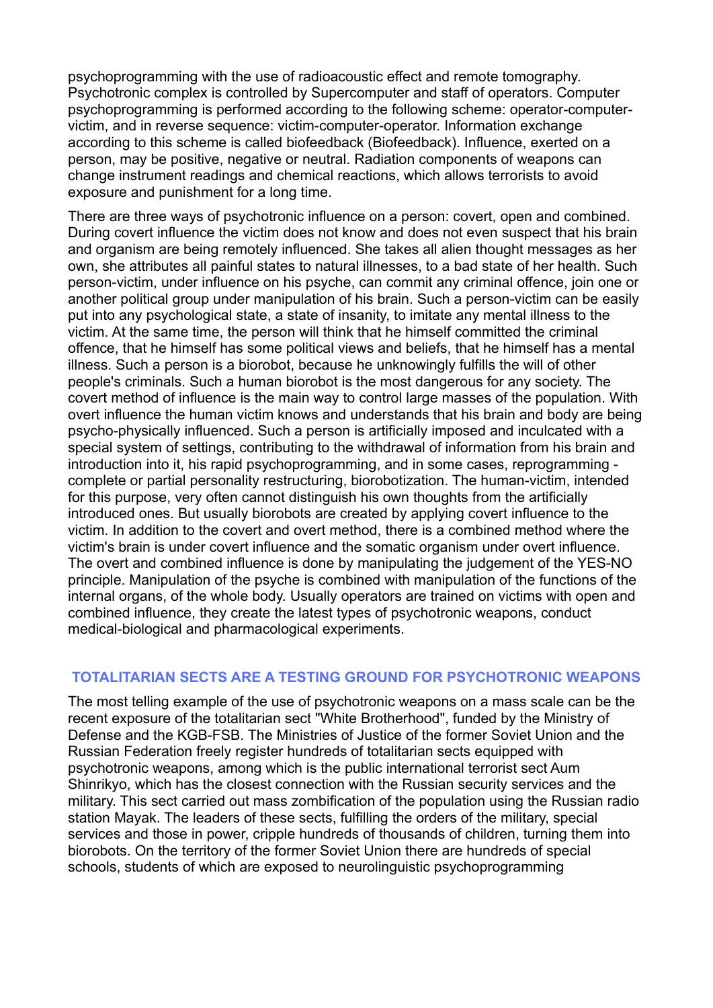psychoprogramming with the use of radioacoustic effect and remote tomography. Psychotronic complex is controlled by Supercomputer and staff of operators. Computer psychoprogramming is performed according to the following scheme: operator-computervictim, and in reverse sequence: victim-computer-operator. Information exchange according to this scheme is called biofeedback (Biofeedback). Influence, exerted on a person, may be positive, negative or neutral. Radiation components of weapons can change instrument readings and chemical reactions, which allows terrorists to avoid exposure and punishment for a long time.

There are three ways of psychotronic influence on a person: covert, open and combined. During covert influence the victim does not know and does not even suspect that his brain and organism are being remotely influenced. She takes all alien thought messages as her own, she attributes all painful states to natural illnesses, to a bad state of her health. Such person-victim, under influence on his psyche, can commit any criminal offence, join one or another political group under manipulation of his brain. Such a person-victim can be easily put into any psychological state, a state of insanity, to imitate any mental illness to the victim. At the same time, the person will think that he himself committed the criminal offence, that he himself has some political views and beliefs, that he himself has a mental illness. Such a person is a biorobot, because he unknowingly fulfills the will of other people's criminals. Such a human biorobot is the most dangerous for any society. The covert method of influence is the main way to control large masses of the population. With overt influence the human victim knows and understands that his brain and body are being psycho-physically influenced. Such a person is artificially imposed and inculcated with a special system of settings, contributing to the withdrawal of information from his brain and introduction into it, his rapid psychoprogramming, and in some cases, reprogramming complete or partial personality restructuring, biorobotization. The human-victim, intended for this purpose, very often cannot distinguish his own thoughts from the artificially introduced ones. But usually biorobots are created by applying covert influence to the victim. In addition to the covert and overt method, there is a combined method where the victim's brain is under covert influence and the somatic organism under overt influence. The overt and combined influence is done by manipulating the judgement of the YES-NO principle. Manipulation of the psyche is combined with manipulation of the functions of the internal organs, of the whole body. Usually operators are trained on victims with open and combined influence, they create the latest types of psychotronic weapons, conduct medical-biological and pharmacological experiments.

# **TOTALITARIAN SECTS ARE A TESTING GROUND FOR PSYCHOTRONIC WEAPONS**

The most telling example of the use of psychotronic weapons on a mass scale can be the recent exposure of the totalitarian sect "White Brotherhood", funded by the Ministry of Defense and the KGB-FSB. The Ministries of Justice of the former Soviet Union and the Russian Federation freely register hundreds of totalitarian sects equipped with psychotronic weapons, among which is the public international terrorist sect Aum Shinrikyo, which has the closest connection with the Russian security services and the military. This sect carried out mass zombification of the population using the Russian radio station Mayak. The leaders of these sects, fulfilling the orders of the military, special services and those in power, cripple hundreds of thousands of children, turning them into biorobots. On the territory of the former Soviet Union there are hundreds of special schools, students of which are exposed to neurolinguistic psychoprogramming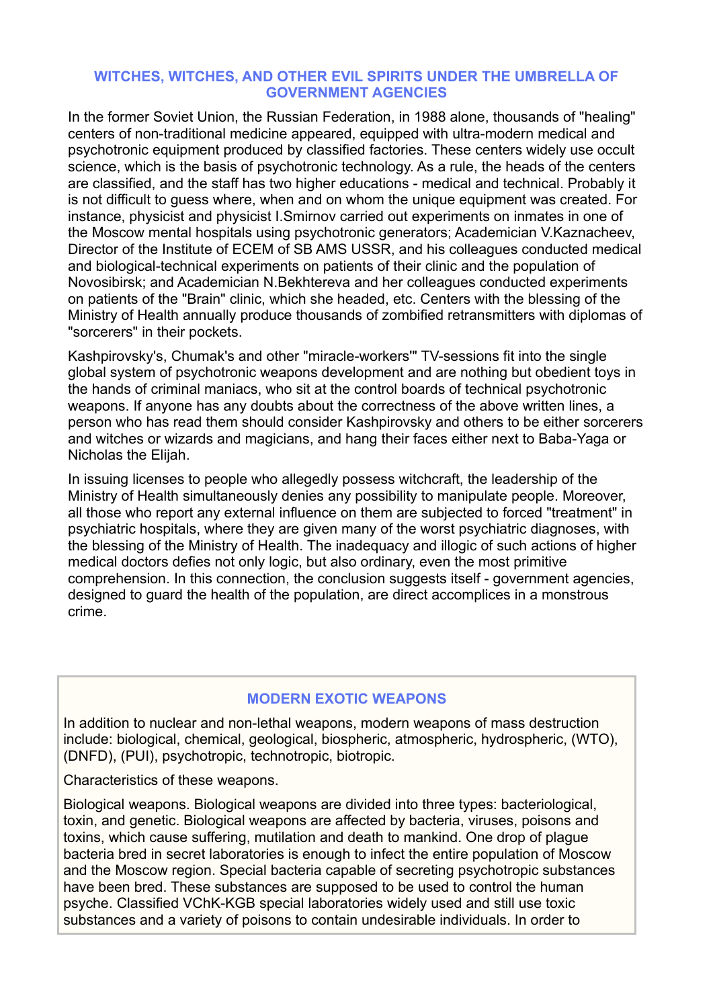### **WITCHES, WITCHES, AND OTHER EVIL SPIRITS UNDER THE UMBRELLA OF GOVERNMENT AGENCIES**

In the former Soviet Union, the Russian Federation, in 1988 alone, thousands of "healing" centers of non-traditional medicine appeared, equipped with ultra-modern medical and psychotronic equipment produced by classified factories. These centers widely use occult science, which is the basis of psychotronic technology. As a rule, the heads of the centers are classified, and the staff has two higher educations - medical and technical. Probably it is not difficult to guess where, when and on whom the unique equipment was created. For instance, physicist and physicist I.Smirnov carried out experiments on inmates in one of the Moscow mental hospitals using psychotronic generators; Academician V.Kaznacheev, Director of the Institute of ECEM of SB AMS USSR, and his colleagues conducted medical and biological-technical experiments on patients of their clinic and the population of Novosibirsk; and Academician N.Bekhtereva and her colleagues conducted experiments on patients of the "Brain" clinic, which she headed, etc. Centers with the blessing of the Ministry of Health annually produce thousands of zombified retransmitters with diplomas of "sorcerers" in their pockets.

Kashpirovsky's, Chumak's and other "miracle-workers'" TV-sessions fit into the single global system of psychotronic weapons development and are nothing but obedient toys in the hands of criminal maniacs, who sit at the control boards of technical psychotronic weapons. If anyone has any doubts about the correctness of the above written lines, a person who has read them should consider Kashpirovsky and others to be either sorcerers and witches or wizards and magicians, and hang their faces either next to Baba-Yaga or Nicholas the Elijah.

In issuing licenses to people who allegedly possess witchcraft, the leadership of the Ministry of Health simultaneously denies any possibility to manipulate people. Moreover, all those who report any external influence on them are subjected to forced "treatment" in psychiatric hospitals, where they are given many of the worst psychiatric diagnoses, with the blessing of the Ministry of Health. The inadequacy and illogic of such actions of higher medical doctors defies not only logic, but also ordinary, even the most primitive comprehension. In this connection, the conclusion suggests itself - government agencies, designed to guard the health of the population, are direct accomplices in a monstrous crime.

## **MODERN EXOTIC WEAPONS**

In addition to nuclear and non-lethal weapons, modern weapons of mass destruction include: biological, chemical, geological, biospheric, atmospheric, hydrospheric, (WTO), (DNFD), (PUI), psychotropic, technotropic, biotropic.

Characteristics of these weapons.

Biological weapons. Biological weapons are divided into three types: bacteriological, toxin, and genetic. Biological weapons are affected by bacteria, viruses, poisons and toxins, which cause suffering, mutilation and death to mankind. One drop of plague bacteria bred in secret laboratories is enough to infect the entire population of Moscow and the Moscow region. Special bacteria capable of secreting psychotropic substances have been bred. These substances are supposed to be used to control the human psyche. Classified VChK-KGB special laboratories widely used and still use toxic substances and a variety of poisons to contain undesirable individuals. In order to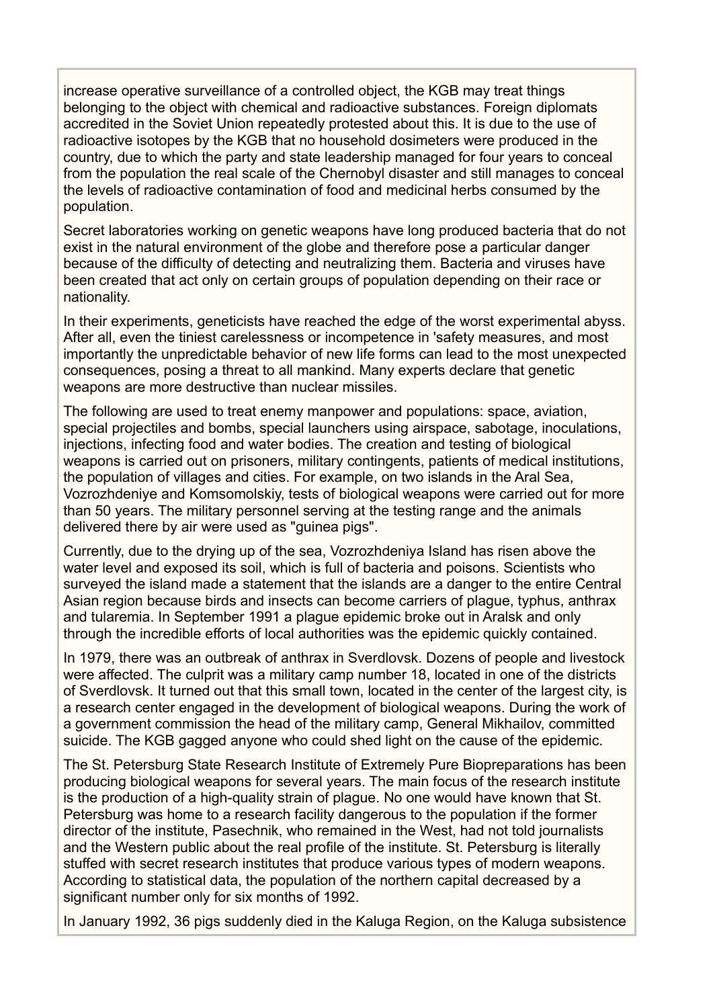increase operative surveillance of a controlled object, the KGB may treat things belonging to the object with chemical and radioactive substances. Foreign diplomats accredited in the Soviet Union repeatedly protested about this. It is due to the use of radioactive isotopes by the KGB that no household dosimeters were produced in the country, due to which the party and state leadership managed for four years to conceal from the population the real scale of the Chernobyl disaster and still manages to conceal the levels of radioactive contamination of food and medicinal herbs consumed by the population.

Secret laboratories working on genetic weapons have long produced bacteria that do not exist in the natural environment of the globe and therefore pose a particular danger because of the difficulty of detecting and neutralizing them. Bacteria and viruses have been created that act only on certain groups of population depending on their race or nationality.

In their experiments, geneticists have reached the edge of the worst experimental abyss. After all, even the tiniest carelessness or incompetence in 'safety measures, and most importantly the unpredictable behavior of new life forms can lead to the most unexpected consequences, posing a threat to all mankind. Many experts declare that genetic weapons are more destructive than nuclear missiles.

The following are used to treat enemy manpower and populations: space, aviation, special projectiles and bombs, special launchers using airspace, sabotage, inoculations, injections, infecting food and water bodies. The creation and testing of biological weapons is carried out on prisoners, military contingents, patients of medical institutions, the population of villages and cities. For example, on two islands in the Aral Sea, Vozrozhdeniye and Komsomolskiy, tests of biological weapons were carried out for more than 50 years. The military personnel serving at the testing range and the animals delivered there by air were used as "guinea pigs".

Currently, due to the drying up of the sea, Vozrozhdeniya Island has risen above the water level and exposed its soil, which is full of bacteria and poisons. Scientists who surveyed the island made a statement that the islands are a danger to the entire Central Asian region because birds and insects can become carriers of plague, typhus, anthrax and tularemia. In September 1991 a plague epidemic broke out in Aralsk and only through the incredible efforts of local authorities was the epidemic quickly contained.

In 1979, there was an outbreak of anthrax in Sverdlovsk. Dozens of people and livestock were affected. The culprit was a military camp number 18, located in one of the districts of Sverdlovsk. It turned out that this small town, located in the center of the largest city, is a research center engaged in the development of biological weapons. During the work of a government commission the head of the military camp, General Mikhailov, committed suicide. The KGB gagged anyone who could shed light on the cause of the epidemic.

The St. Petersburg State Research Institute of Extremely Pure Biopreparations has been producing biological weapons for several years. The main focus of the research institute is the production of a high-quality strain of plague. No one would have known that St. Petersburg was home to a research facility dangerous to the population if the former director of the institute, Pasechnik, who remained in the West, had not told journalists and the Western public about the real profile of the institute. St. Petersburg is literally stuffed with secret research institutes that produce various types of modern weapons. According to statistical data, the population of the northern capital decreased by a significant number only for six months of 1992.

In January 1992, 36 pigs suddenly died in the Kaluga Region, on the Kaluga subsistence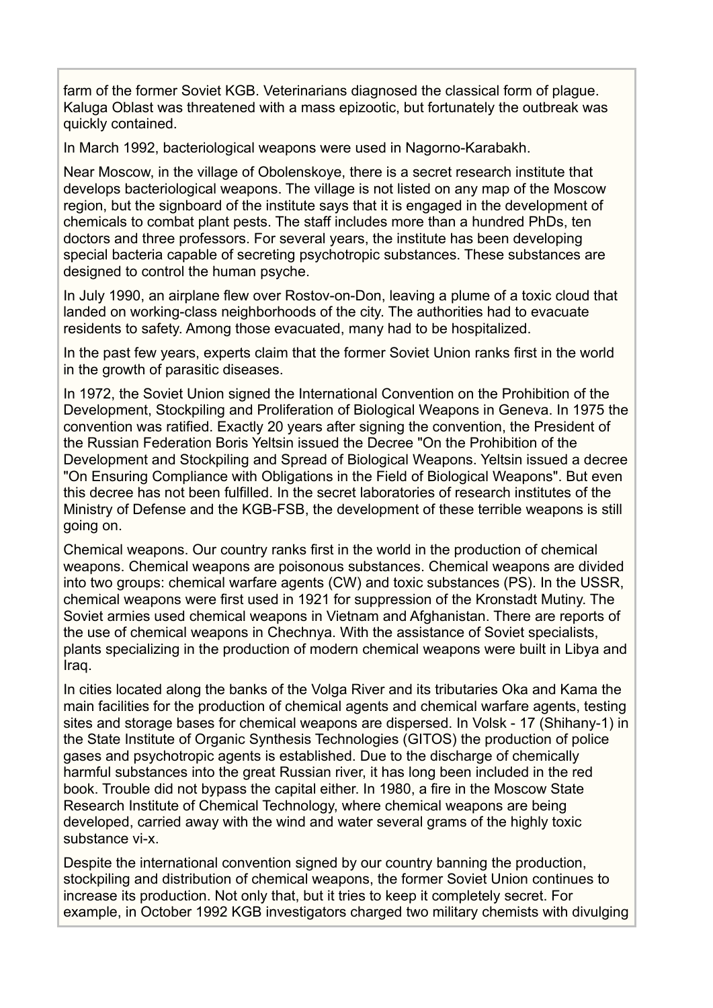farm of the former Soviet KGB. Veterinarians diagnosed the classical form of plague. Kaluga Oblast was threatened with a mass epizootic, but fortunately the outbreak was quickly contained.

In March 1992, bacteriological weapons were used in Nagorno-Karabakh.

Near Moscow, in the village of Obolenskoye, there is a secret research institute that develops bacteriological weapons. The village is not listed on any map of the Moscow region, but the signboard of the institute says that it is engaged in the development of chemicals to combat plant pests. The staff includes more than a hundred PhDs, ten doctors and three professors. For several years, the institute has been developing special bacteria capable of secreting psychotropic substances. These substances are designed to control the human psyche.

In July 1990, an airplane flew over Rostov-on-Don, leaving a plume of a toxic cloud that landed on working-class neighborhoods of the city. The authorities had to evacuate residents to safety. Among those evacuated, many had to be hospitalized.

In the past few years, experts claim that the former Soviet Union ranks first in the world in the growth of parasitic diseases.

In 1972, the Soviet Union signed the International Convention on the Prohibition of the Development, Stockpiling and Proliferation of Biological Weapons in Geneva. In 1975 the convention was ratified. Exactly 20 years after signing the convention, the President of the Russian Federation Boris Yeltsin issued the Decree "On the Prohibition of the Development and Stockpiling and Spread of Biological Weapons. Yeltsin issued a decree "On Ensuring Compliance with Obligations in the Field of Biological Weapons". But even this decree has not been fulfilled. In the secret laboratories of research institutes of the Ministry of Defense and the KGB-FSB, the development of these terrible weapons is still going on.

Chemical weapons. Our country ranks first in the world in the production of chemical weapons. Chemical weapons are poisonous substances. Chemical weapons are divided into two groups: chemical warfare agents (CW) and toxic substances (PS). In the USSR, chemical weapons were first used in 1921 for suppression of the Kronstadt Mutiny. The Soviet armies used chemical weapons in Vietnam and Afghanistan. There are reports of the use of chemical weapons in Chechnya. With the assistance of Soviet specialists, plants specializing in the production of modern chemical weapons were built in Libya and Iraq.

In cities located along the banks of the Volga River and its tributaries Oka and Kama the main facilities for the production of chemical agents and chemical warfare agents, testing sites and storage bases for chemical weapons are dispersed. In Volsk - 17 (Shihany-1) in the State Institute of Organic Synthesis Technologies (GITOS) the production of police gases and psychotropic agents is established. Due to the discharge of chemically harmful substances into the great Russian river, it has long been included in the red book. Trouble did not bypass the capital either. In 1980, a fire in the Moscow State Research Institute of Chemical Technology, where chemical weapons are being developed, carried away with the wind and water several grams of the highly toxic substance vi-x.

Despite the international convention signed by our country banning the production, stockpiling and distribution of chemical weapons, the former Soviet Union continues to increase its production. Not only that, but it tries to keep it completely secret. For example, in October 1992 KGB investigators charged two military chemists with divulging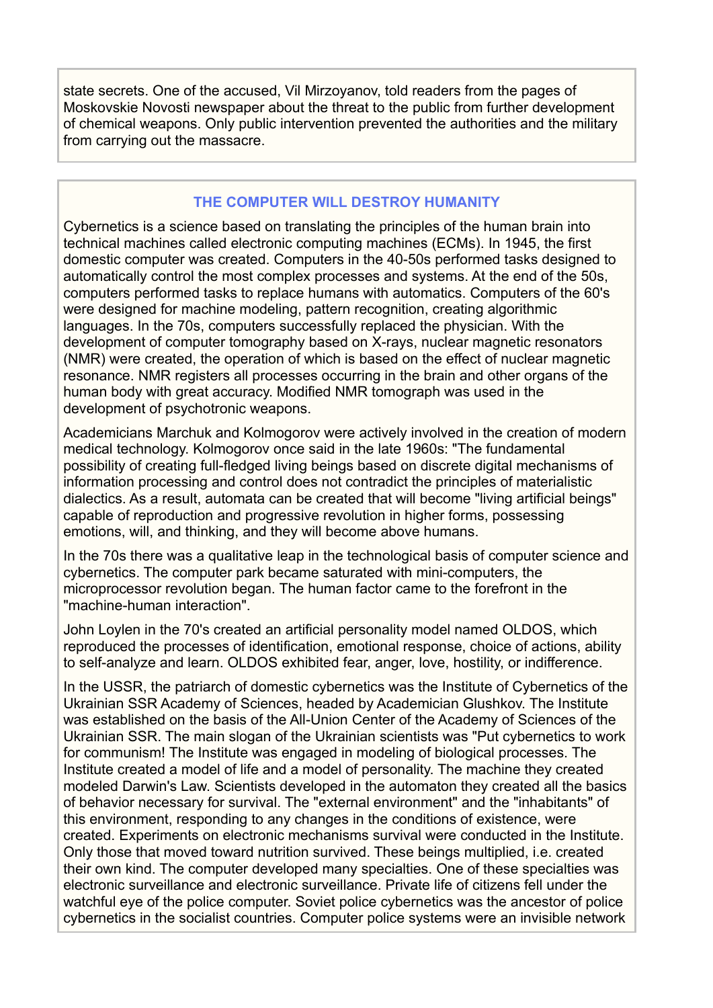state secrets. One of the accused, Vil Mirzoyanov, told readers from the pages of Moskovskie Novosti newspaper about the threat to the public from further development of chemical weapons. Only public intervention prevented the authorities and the military from carrying out the massacre.

# **THE COMPUTER WILL DESTROY HUMANITY**

Cybernetics is a science based on translating the principles of the human brain into technical machines called electronic computing machines (ECMs). In 1945, the first domestic computer was created. Computers in the 40-50s performed tasks designed to automatically control the most complex processes and systems. At the end of the 50s, computers performed tasks to replace humans with automatics. Computers of the 60's were designed for machine modeling, pattern recognition, creating algorithmic languages. In the 70s, computers successfully replaced the physician. With the development of computer tomography based on X-rays, nuclear magnetic resonators (NMR) were created, the operation of which is based on the effect of nuclear magnetic resonance. NMR registers all processes occurring in the brain and other organs of the human body with great accuracy. Modified NMR tomograph was used in the development of psychotronic weapons.

Academicians Marchuk and Kolmogorov were actively involved in the creation of modern medical technology. Kolmogorov once said in the late 1960s: "The fundamental possibility of creating full-fledged living beings based on discrete digital mechanisms of information processing and control does not contradict the principles of materialistic dialectics. As a result, automata can be created that will become "living artificial beings" capable of reproduction and progressive revolution in higher forms, possessing emotions, will, and thinking, and they will become above humans.

In the 70s there was a qualitative leap in the technological basis of computer science and cybernetics. The computer park became saturated with mini-computers, the microprocessor revolution began. The human factor came to the forefront in the "machine-human interaction".

John Loylen in the 70's created an artificial personality model named OLDOS, which reproduced the processes of identification, emotional response, choice of actions, ability to self-analyze and learn. OLDOS exhibited fear, anger, love, hostility, or indifference.

In the USSR, the patriarch of domestic cybernetics was the Institute of Cybernetics of the Ukrainian SSR Academy of Sciences, headed by Academician Glushkov. The Institute was established on the basis of the All-Union Center of the Academy of Sciences of the Ukrainian SSR. The main slogan of the Ukrainian scientists was "Put cybernetics to work for communism! The Institute was engaged in modeling of biological processes. The Institute created a model of life and a model of personality. The machine they created modeled Darwin's Law. Scientists developed in the automaton they created all the basics of behavior necessary for survival. The "external environment" and the "inhabitants" of this environment, responding to any changes in the conditions of existence, were created. Experiments on electronic mechanisms survival were conducted in the Institute. Only those that moved toward nutrition survived. These beings multiplied, i.e. created their own kind. The computer developed many specialties. One of these specialties was electronic surveillance and electronic surveillance. Private life of citizens fell under the watchful eye of the police computer. Soviet police cybernetics was the ancestor of police cybernetics in the socialist countries. Computer police systems were an invisible network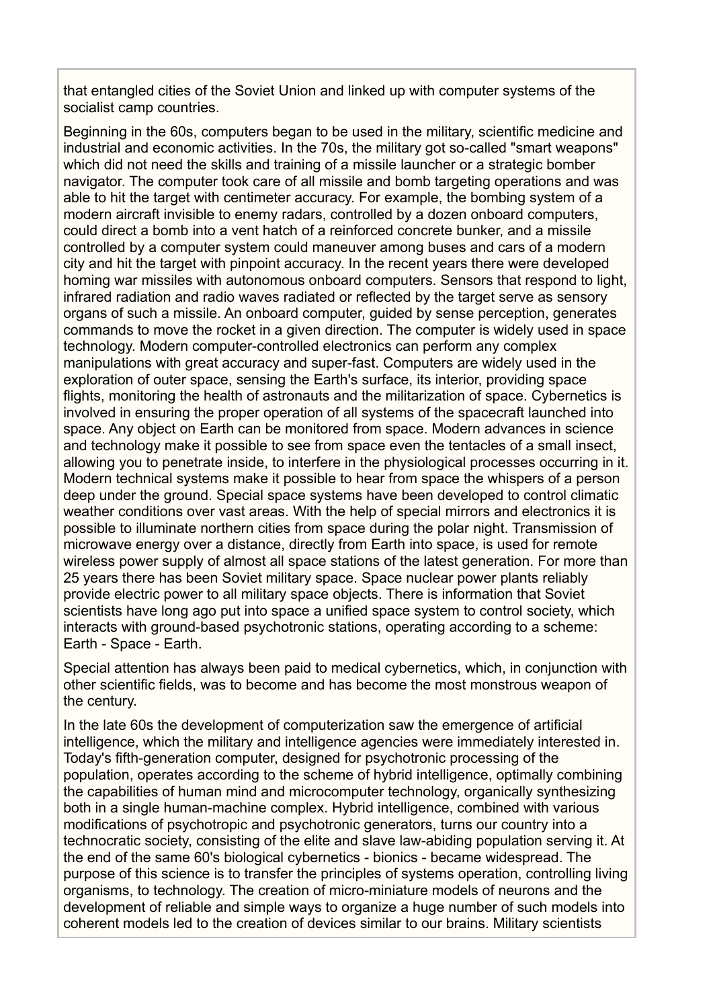that entangled cities of the Soviet Union and linked up with computer systems of the socialist camp countries.

Beginning in the 60s, computers began to be used in the military, scientific medicine and industrial and economic activities. In the 70s, the military got so-called "smart weapons" which did not need the skills and training of a missile launcher or a strategic bomber navigator. The computer took care of all missile and bomb targeting operations and was able to hit the target with centimeter accuracy. For example, the bombing system of a modern aircraft invisible to enemy radars, controlled by a dozen onboard computers, could direct a bomb into a vent hatch of a reinforced concrete bunker, and a missile controlled by a computer system could maneuver among buses and cars of a modern city and hit the target with pinpoint accuracy. In the recent years there were developed homing war missiles with autonomous onboard computers. Sensors that respond to light, infrared radiation and radio waves radiated or reflected by the target serve as sensory organs of such a missile. An onboard computer, guided by sense perception, generates commands to move the rocket in a given direction. The computer is widely used in space technology. Modern computer-controlled electronics can perform any complex manipulations with great accuracy and super-fast. Computers are widely used in the exploration of outer space, sensing the Earth's surface, its interior, providing space flights, monitoring the health of astronauts and the militarization of space. Cybernetics is involved in ensuring the proper operation of all systems of the spacecraft launched into space. Any object on Earth can be monitored from space. Modern advances in science and technology make it possible to see from space even the tentacles of a small insect, allowing you to penetrate inside, to interfere in the physiological processes occurring in it. Modern technical systems make it possible to hear from space the whispers of a person deep under the ground. Special space systems have been developed to control climatic weather conditions over vast areas. With the help of special mirrors and electronics it is possible to illuminate northern cities from space during the polar night. Transmission of microwave energy over a distance, directly from Earth into space, is used for remote wireless power supply of almost all space stations of the latest generation. For more than 25 years there has been Soviet military space. Space nuclear power plants reliably provide electric power to all military space objects. There is information that Soviet scientists have long ago put into space a unified space system to control society, which interacts with ground-based psychotronic stations, operating according to a scheme: Earth - Space - Earth.

Special attention has always been paid to medical cybernetics, which, in conjunction with other scientific fields, was to become and has become the most monstrous weapon of the century.

In the late 60s the development of computerization saw the emergence of artificial intelligence, which the military and intelligence agencies were immediately interested in. Today's fifth-generation computer, designed for psychotronic processing of the population, operates according to the scheme of hybrid intelligence, optimally combining the capabilities of human mind and microcomputer technology, organically synthesizing both in a single human-machine complex. Hybrid intelligence, combined with various modifications of psychotropic and psychotronic generators, turns our country into a technocratic society, consisting of the elite and slave law-abiding population serving it. At the end of the same 60's biological cybernetics - bionics - became widespread. The purpose of this science is to transfer the principles of systems operation, controlling living organisms, to technology. The creation of micro-miniature models of neurons and the development of reliable and simple ways to organize a huge number of such models into coherent models led to the creation of devices similar to our brains. Military scientists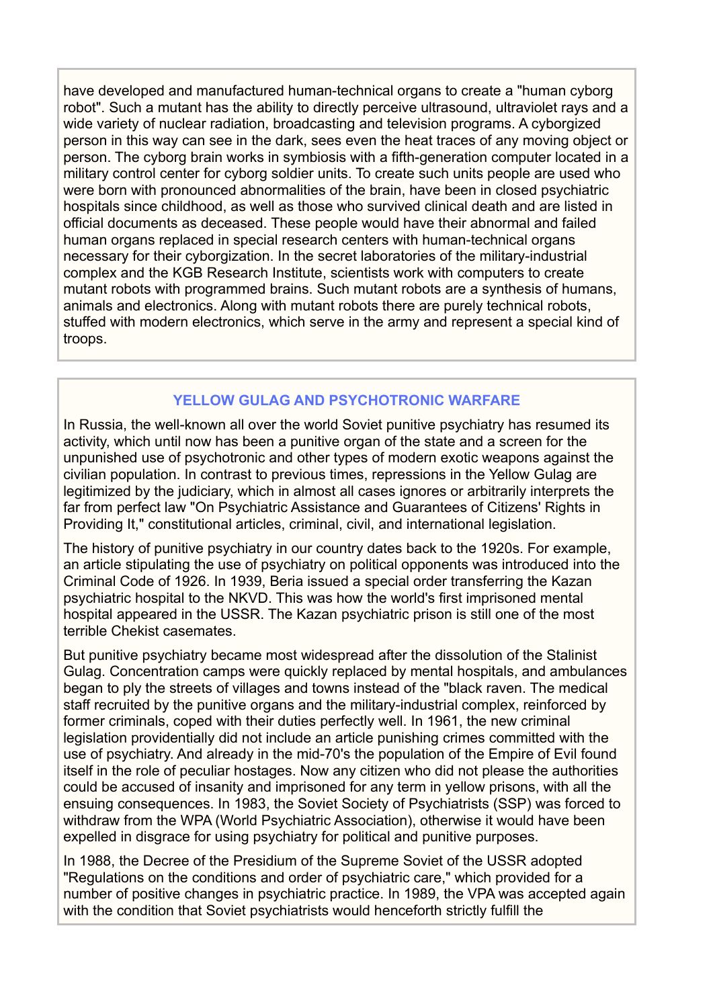have developed and manufactured human-technical organs to create a "human cyborg robot". Such a mutant has the ability to directly perceive ultrasound, ultraviolet rays and a wide variety of nuclear radiation, broadcasting and television programs. A cyborgized person in this way can see in the dark, sees even the heat traces of any moving object or person. The cyborg brain works in symbiosis with a fifth-generation computer located in a military control center for cyborg soldier units. To create such units people are used who were born with pronounced abnormalities of the brain, have been in closed psychiatric hospitals since childhood, as well as those who survived clinical death and are listed in official documents as deceased. These people would have their abnormal and failed human organs replaced in special research centers with human-technical organs necessary for their cyborgization. In the secret laboratories of the military-industrial complex and the KGB Research Institute, scientists work with computers to create mutant robots with programmed brains. Such mutant robots are a synthesis of humans, animals and electronics. Along with mutant robots there are purely technical robots, stuffed with modern electronics, which serve in the army and represent a special kind of troops.

# **YELLOW GULAG AND PSYCHOTRONIC WARFARE**

In Russia, the well-known all over the world Soviet punitive psychiatry has resumed its activity, which until now has been a punitive organ of the state and a screen for the unpunished use of psychotronic and other types of modern exotic weapons against the civilian population. In contrast to previous times, repressions in the Yellow Gulag are legitimized by the judiciary, which in almost all cases ignores or arbitrarily interprets the far from perfect law "On Psychiatric Assistance and Guarantees of Citizens' Rights in Providing It," constitutional articles, criminal, civil, and international legislation.

The history of punitive psychiatry in our country dates back to the 1920s. For example, an article stipulating the use of psychiatry on political opponents was introduced into the Criminal Code of 1926. In 1939, Beria issued a special order transferring the Kazan psychiatric hospital to the NKVD. This was how the world's first imprisoned mental hospital appeared in the USSR. The Kazan psychiatric prison is still one of the most terrible Chekist casemates.

But punitive psychiatry became most widespread after the dissolution of the Stalinist Gulag. Concentration camps were quickly replaced by mental hospitals, and ambulances began to ply the streets of villages and towns instead of the "black raven. The medical staff recruited by the punitive organs and the military-industrial complex, reinforced by former criminals, coped with their duties perfectly well. In 1961, the new criminal legislation providentially did not include an article punishing crimes committed with the use of psychiatry. And already in the mid-70's the population of the Empire of Evil found itself in the role of peculiar hostages. Now any citizen who did not please the authorities could be accused of insanity and imprisoned for any term in yellow prisons, with all the ensuing consequences. In 1983, the Soviet Society of Psychiatrists (SSP) was forced to withdraw from the WPA (World Psychiatric Association), otherwise it would have been expelled in disgrace for using psychiatry for political and punitive purposes.

In 1988, the Decree of the Presidium of the Supreme Soviet of the USSR adopted "Regulations on the conditions and order of psychiatric care," which provided for a number of positive changes in psychiatric practice. In 1989, the VPA was accepted again with the condition that Soviet psychiatrists would henceforth strictly fulfill the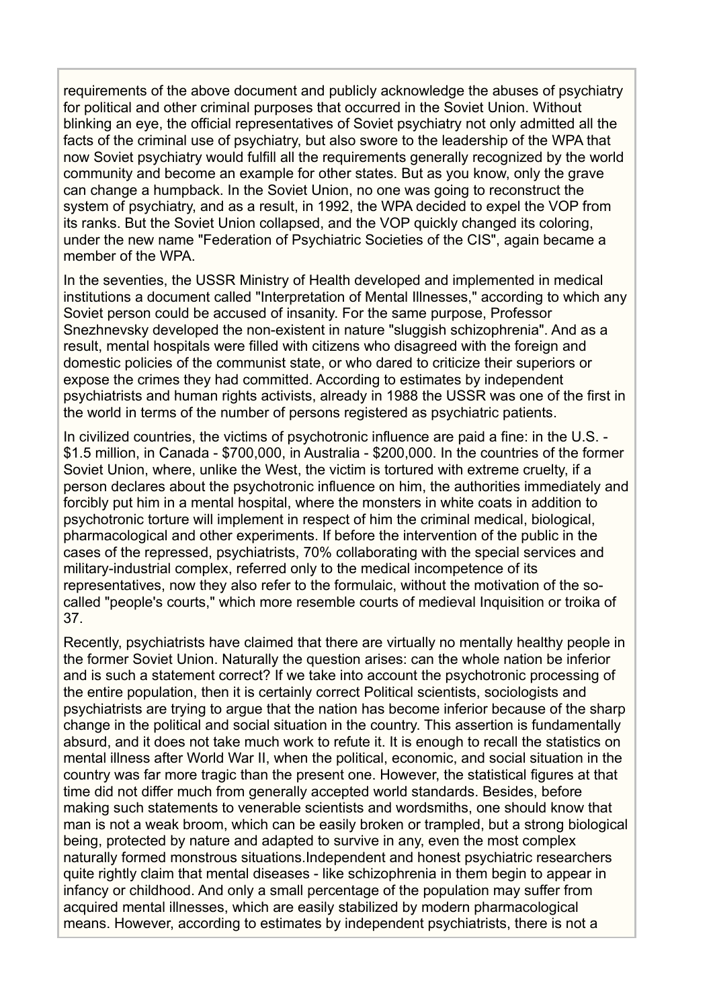requirements of the above document and publicly acknowledge the abuses of psychiatry for political and other criminal purposes that occurred in the Soviet Union. Without blinking an eye, the official representatives of Soviet psychiatry not only admitted all the facts of the criminal use of psychiatry, but also swore to the leadership of the WPA that now Soviet psychiatry would fulfill all the requirements generally recognized by the world community and become an example for other states. But as you know, only the grave can change a humpback. In the Soviet Union, no one was going to reconstruct the system of psychiatry, and as a result, in 1992, the WPA decided to expel the VOP from its ranks. But the Soviet Union collapsed, and the VOP quickly changed its coloring, under the new name "Federation of Psychiatric Societies of the CIS", again became a member of the WPA.

In the seventies, the USSR Ministry of Health developed and implemented in medical institutions a document called "Interpretation of Mental Illnesses," according to which any Soviet person could be accused of insanity. For the same purpose, Professor Snezhnevsky developed the non-existent in nature "sluggish schizophrenia". And as a result, mental hospitals were filled with citizens who disagreed with the foreign and domestic policies of the communist state, or who dared to criticize their superiors or expose the crimes they had committed. According to estimates by independent psychiatrists and human rights activists, already in 1988 the USSR was one of the first in the world in terms of the number of persons registered as psychiatric patients.

In civilized countries, the victims of psychotronic influence are paid a fine: in the U.S. - \$1.5 million, in Canada - \$700,000, in Australia - \$200,000. In the countries of the former Soviet Union, where, unlike the West, the victim is tortured with extreme cruelty, if a person declares about the psychotronic influence on him, the authorities immediately and forcibly put him in a mental hospital, where the monsters in white coats in addition to psychotronic torture will implement in respect of him the criminal medical, biological, pharmacological and other experiments. If before the intervention of the public in the cases of the repressed, psychiatrists, 70% collaborating with the special services and military-industrial complex, referred only to the medical incompetence of its representatives, now they also refer to the formulaic, without the motivation of the socalled "people's courts," which more resemble courts of medieval Inquisition or troika of 37.

Recently, psychiatrists have claimed that there are virtually no mentally healthy people in the former Soviet Union. Naturally the question arises: can the whole nation be inferior and is such a statement correct? If we take into account the psychotronic processing of the entire population, then it is certainly correct Political scientists, sociologists and psychiatrists are trying to argue that the nation has become inferior because of the sharp change in the political and social situation in the country. This assertion is fundamentally absurd, and it does not take much work to refute it. It is enough to recall the statistics on mental illness after World War II, when the political, economic, and social situation in the country was far more tragic than the present one. However, the statistical figures at that time did not differ much from generally accepted world standards. Besides, before making such statements to venerable scientists and wordsmiths, one should know that man is not a weak broom, which can be easily broken or trampled, but a strong biological being, protected by nature and adapted to survive in any, even the most complex naturally formed monstrous situations.Independent and honest psychiatric researchers quite rightly claim that mental diseases - like schizophrenia in them begin to appear in infancy or childhood. And only a small percentage of the population may suffer from acquired mental illnesses, which are easily stabilized by modern pharmacological means. However, according to estimates by independent psychiatrists, there is not a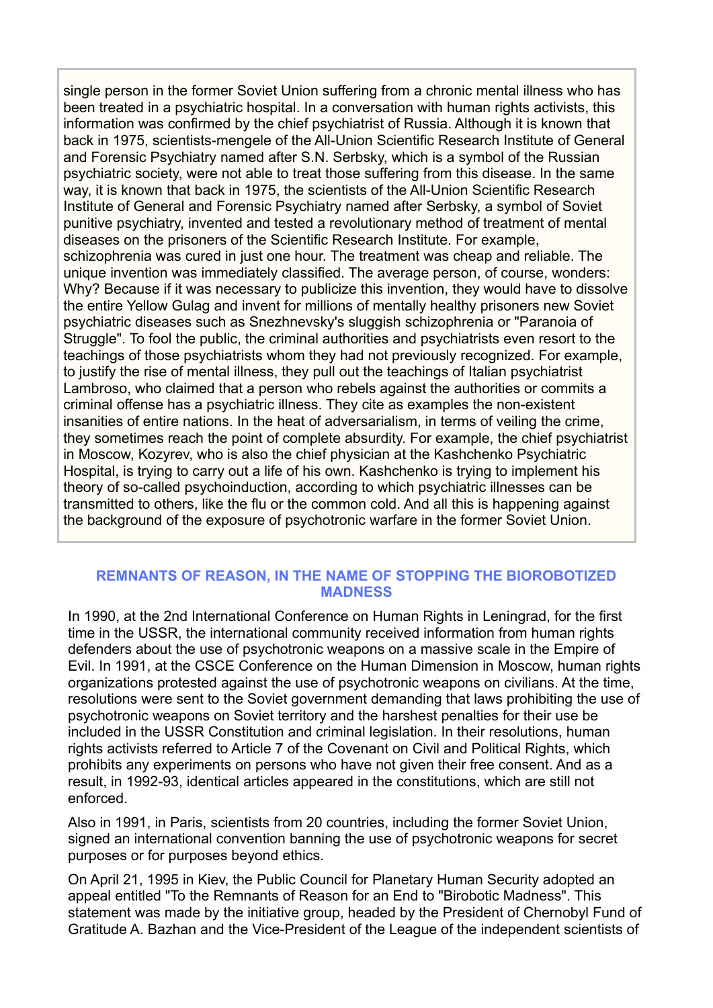single person in the former Soviet Union suffering from a chronic mental illness who has been treated in a psychiatric hospital. In a conversation with human rights activists, this information was confirmed by the chief psychiatrist of Russia. Although it is known that back in 1975, scientists-mengele of the All-Union Scientific Research Institute of General and Forensic Psychiatry named after S.N. Serbsky, which is a symbol of the Russian psychiatric society, were not able to treat those suffering from this disease. In the same way, it is known that back in 1975, the scientists of the All-Union Scientific Research Institute of General and Forensic Psychiatry named after Serbsky, a symbol of Soviet punitive psychiatry, invented and tested a revolutionary method of treatment of mental diseases on the prisoners of the Scientific Research Institute. For example, schizophrenia was cured in just one hour. The treatment was cheap and reliable. The unique invention was immediately classified. The average person, of course, wonders: Why? Because if it was necessary to publicize this invention, they would have to dissolve the entire Yellow Gulag and invent for millions of mentally healthy prisoners new Soviet psychiatric diseases such as Snezhnevsky's sluggish schizophrenia or "Paranoia of Struggle". To fool the public, the criminal authorities and psychiatrists even resort to the teachings of those psychiatrists whom they had not previously recognized. For example, to justify the rise of mental illness, they pull out the teachings of Italian psychiatrist Lambroso, who claimed that a person who rebels against the authorities or commits a criminal offense has a psychiatric illness. They cite as examples the non-existent insanities of entire nations. In the heat of adversarialism, in terms of veiling the crime, they sometimes reach the point of complete absurdity. For example, the chief psychiatrist in Moscow, Kozyrev, who is also the chief physician at the Kashchenko Psychiatric Hospital, is trying to carry out a life of his own. Kashchenko is trying to implement his theory of so-called psychoinduction, according to which psychiatric illnesses can be transmitted to others, like the flu or the common cold. And all this is happening against the background of the exposure of psychotronic warfare in the former Soviet Union.

## **REMNANTS OF REASON, IN THE NAME OF STOPPING THE BIOROBOTIZED MADNESS**

In 1990, at the 2nd International Conference on Human Rights in Leningrad, for the first time in the USSR, the international community received information from human rights defenders about the use of psychotronic weapons on a massive scale in the Empire of Evil. In 1991, at the CSCE Conference on the Human Dimension in Moscow, human rights organizations protested against the use of psychotronic weapons on civilians. At the time, resolutions were sent to the Soviet government demanding that laws prohibiting the use of psychotronic weapons on Soviet territory and the harshest penalties for their use be included in the USSR Constitution and criminal legislation. In their resolutions, human rights activists referred to Article 7 of the Covenant on Civil and Political Rights, which prohibits any experiments on persons who have not given their free consent. And as a result, in 1992-93, identical articles appeared in the constitutions, which are still not enforced.

Also in 1991, in Paris, scientists from 20 countries, including the former Soviet Union, signed an international convention banning the use of psychotronic weapons for secret purposes or for purposes beyond ethics.

On April 21, 1995 in Kiev, the Public Council for Planetary Human Security adopted an appeal entitled "To the Remnants of Reason for an End to "Birobotic Madness". This statement was made by the initiative group, headed by the President of Chernobyl Fund of Gratitude A. Bazhan and the Vice-President of the League of the independent scientists of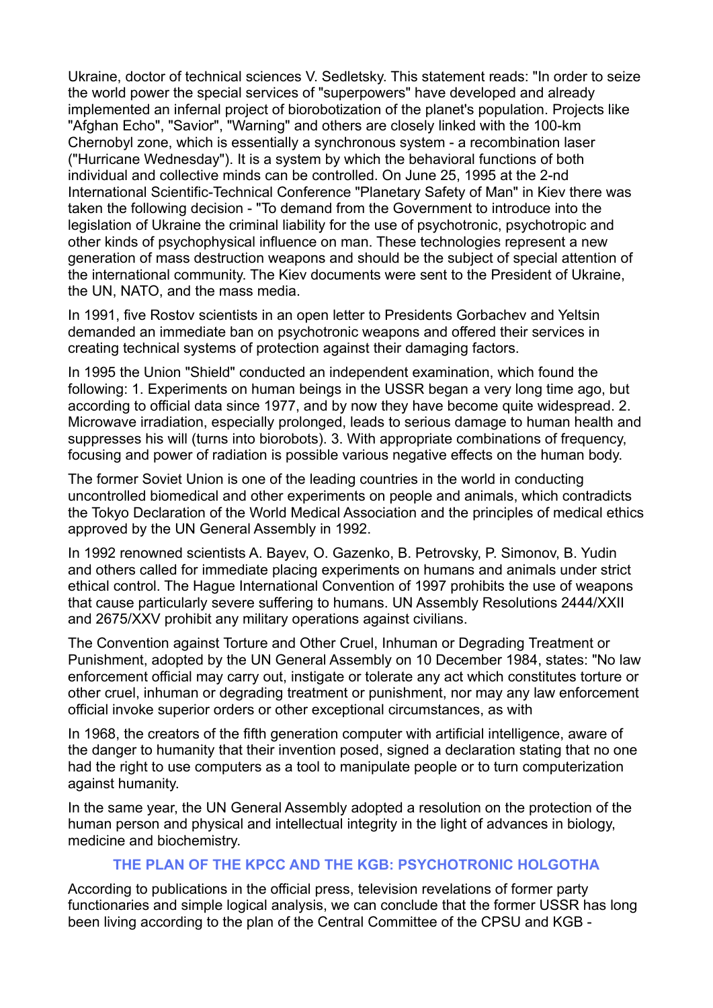Ukraine, doctor of technical sciences V. Sedletsky. This statement reads: "In order to seize the world power the special services of "superpowers" have developed and already implemented an infernal project of biorobotization of the planet's population. Projects like "Afghan Echo", "Savior", "Warning" and others are closely linked with the 100-km Chernobyl zone, which is essentially a synchronous system - a recombination laser ("Hurricane Wednesday"). It is a system by which the behavioral functions of both individual and collective minds can be controlled. On June 25, 1995 at the 2-nd International Scientific-Technical Conference "Planetary Safety of Man" in Kiev there was taken the following decision - "To demand from the Government to introduce into the legislation of Ukraine the criminal liability for the use of psychotronic, psychotropic and other kinds of psychophysical influence on man. These technologies represent a new generation of mass destruction weapons and should be the subject of special attention of the international community. The Kiev documents were sent to the President of Ukraine, the UN, NATO, and the mass media.

In 1991, five Rostov scientists in an open letter to Presidents Gorbachev and Yeltsin demanded an immediate ban on psychotronic weapons and offered their services in creating technical systems of protection against their damaging factors.

In 1995 the Union "Shield" conducted an independent examination, which found the following: 1. Experiments on human beings in the USSR began a very long time ago, but according to official data since 1977, and by now they have become quite widespread. 2. Microwave irradiation, especially prolonged, leads to serious damage to human health and suppresses his will (turns into biorobots). 3. With appropriate combinations of frequency, focusing and power of radiation is possible various negative effects on the human body.

The former Soviet Union is one of the leading countries in the world in conducting uncontrolled biomedical and other experiments on people and animals, which contradicts the Tokyo Declaration of the World Medical Association and the principles of medical ethics approved by the UN General Assembly in 1992.

In 1992 renowned scientists A. Bayev, O. Gazenko, B. Petrovsky, P. Simonov, B. Yudin and others called for immediate placing experiments on humans and animals under strict ethical control. The Hague International Convention of 1997 prohibits the use of weapons that cause particularly severe suffering to humans. UN Assembly Resolutions 2444/XXII and 2675/XXV prohibit any military operations against civilians.

The Convention against Torture and Other Cruel, Inhuman or Degrading Treatment or Punishment, adopted by the UN General Assembly on 10 December 1984, states: "No law enforcement official may carry out, instigate or tolerate any act which constitutes torture or other cruel, inhuman or degrading treatment or punishment, nor may any law enforcement official invoke superior orders or other exceptional circumstances, as with

In 1968, the creators of the fifth generation computer with artificial intelligence, aware of the danger to humanity that their invention posed, signed a declaration stating that no one had the right to use computers as a tool to manipulate people or to turn computerization against humanity.

In the same year, the UN General Assembly adopted a resolution on the protection of the human person and physical and intellectual integrity in the light of advances in biology, medicine and biochemistry.

# **THE PLAN OF THE KPCC AND THE KGB: PSYCHOTRONIC HOLGOTHA**

According to publications in the official press, television revelations of former party functionaries and simple logical analysis, we can conclude that the former USSR has long been living according to the plan of the Central Committee of the CPSU and KGB -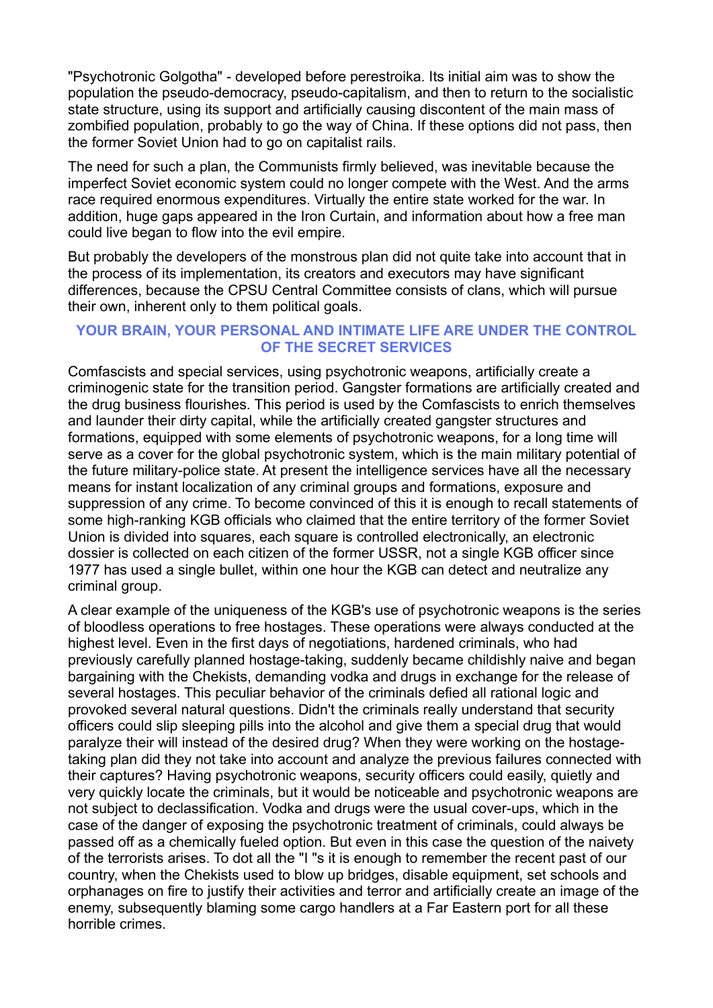"Psychotronic Golgotha" - developed before perestroika. Its initial aim was to show the population the pseudo-democracy, pseudo-capitalism, and then to return to the socialistic state structure, using its support and artificially causing discontent of the main mass of zombified population, probably to go the way of China. If these options did not pass, then the former Soviet Union had to go on capitalist rails.

The need for such a plan, the Communists firmly believed, was inevitable because the imperfect Soviet economic system could no longer compete with the West. And the arms race required enormous expenditures. Virtually the entire state worked for the war. In addition, huge gaps appeared in the Iron Curtain, and information about how a free man could live began to flow into the evil empire.

But probably the developers of the monstrous plan did not quite take into account that in the process of its implementation, its creators and executors may have significant differences, because the CPSU Central Committee consists of clans, which will pursue their own, inherent only to them political goals.

## **YOUR BRAIN, YOUR PERSONAL AND INTIMATE LIFE ARE UNDER THE CONTROL OF THE SECRET SERVICES**

Comfascists and special services, using psychotronic weapons, artificially create a criminogenic state for the transition period. Gangster formations are artificially created and the drug business flourishes. This period is used by the Comfascists to enrich themselves and launder their dirty capital, while the artificially created gangster structures and formations, equipped with some elements of psychotronic weapons, for a long time will serve as a cover for the global psychotronic system, which is the main military potential of the future military-police state. At present the intelligence services have all the necessary means for instant localization of any criminal groups and formations, exposure and suppression of any crime. To become convinced of this it is enough to recall statements of some high-ranking KGB officials who claimed that the entire territory of the former Soviet Union is divided into squares, each square is controlled electronically, an electronic dossier is collected on each citizen of the former USSR, not a single KGB officer since 1977 has used a single bullet, within one hour the KGB can detect and neutralize any criminal group.

A clear example of the uniqueness of the KGB's use of psychotronic weapons is the series of bloodless operations to free hostages. These operations were always conducted at the highest level. Even in the first days of negotiations, hardened criminals, who had previously carefully planned hostage-taking, suddenly became childishly naive and began bargaining with the Chekists, demanding vodka and drugs in exchange for the release of several hostages. This peculiar behavior of the criminals defied all rational logic and provoked several natural questions. Didn't the criminals really understand that security officers could slip sleeping pills into the alcohol and give them a special drug that would paralyze their will instead of the desired drug? When they were working on the hostagetaking plan did they not take into account and analyze the previous failures connected with their captures? Having psychotronic weapons, security officers could easily, quietly and very quickly locate the criminals, but it would be noticeable and psychotronic weapons are not subject to declassification. Vodka and drugs were the usual cover-ups, which in the case of the danger of exposing the psychotronic treatment of criminals, could always be passed off as a chemically fueled option. But even in this case the question of the naivety of the terrorists arises. To dot all the "I "s it is enough to remember the recent past of our country, when the Chekists used to blow up bridges, disable equipment, set schools and orphanages on fire to justify their activities and terror and artificially create an image of the enemy, subsequently blaming some cargo handlers at a Far Eastern port for all these horrible crimes.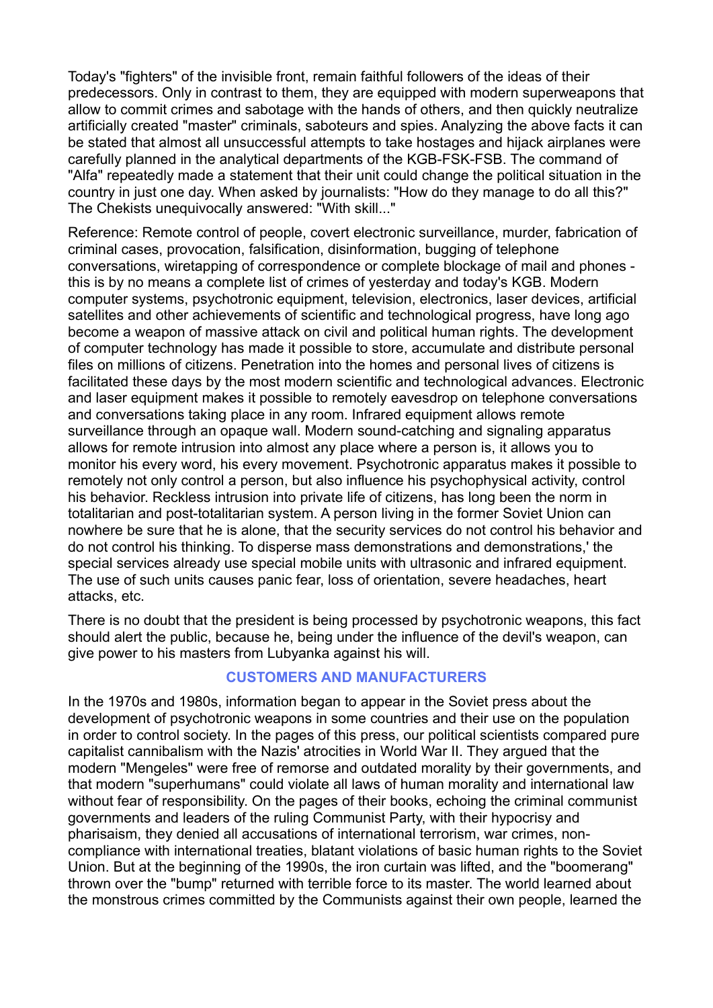Today's "fighters" of the invisible front, remain faithful followers of the ideas of their predecessors. Only in contrast to them, they are equipped with modern superweapons that allow to commit crimes and sabotage with the hands of others, and then quickly neutralize artificially created "master" criminals, saboteurs and spies. Analyzing the above facts it can be stated that almost all unsuccessful attempts to take hostages and hijack airplanes were carefully planned in the analytical departments of the KGB-FSK-FSB. The command of "Alfa" repeatedly made a statement that their unit could change the political situation in the country in just one day. When asked by journalists: "How do they manage to do all this?" The Chekists unequivocally answered: "With skill..."

Reference: Remote control of people, covert electronic surveillance, murder, fabrication of criminal cases, provocation, falsification, disinformation, bugging of telephone conversations, wiretapping of correspondence or complete blockage of mail and phones this is by no means a complete list of crimes of yesterday and today's KGB. Modern computer systems, psychotronic equipment, television, electronics, laser devices, artificial satellites and other achievements of scientific and technological progress, have long ago become a weapon of massive attack on civil and political human rights. The development of computer technology has made it possible to store, accumulate and distribute personal files on millions of citizens. Penetration into the homes and personal lives of citizens is facilitated these days by the most modern scientific and technological advances. Electronic and laser equipment makes it possible to remotely eavesdrop on telephone conversations and conversations taking place in any room. Infrared equipment allows remote surveillance through an opaque wall. Modern sound-catching and signaling apparatus allows for remote intrusion into almost any place where a person is, it allows you to monitor his every word, his every movement. Psychotronic apparatus makes it possible to remotely not only control a person, but also influence his psychophysical activity, control his behavior. Reckless intrusion into private life of citizens, has long been the norm in totalitarian and post-totalitarian system. A person living in the former Soviet Union can nowhere be sure that he is alone, that the security services do not control his behavior and do not control his thinking. To disperse mass demonstrations and demonstrations,' the special services already use special mobile units with ultrasonic and infrared equipment. The use of such units causes panic fear, loss of orientation, severe headaches, heart attacks, etc.

There is no doubt that the president is being processed by psychotronic weapons, this fact should alert the public, because he, being under the influence of the devil's weapon, can give power to his masters from Lubyanka against his will.

## **CUSTOMERS AND MANUFACTURERS**

In the 1970s and 1980s, information began to appear in the Soviet press about the development of psychotronic weapons in some countries and their use on the population in order to control society. In the pages of this press, our political scientists compared pure capitalist cannibalism with the Nazis' atrocities in World War II. They argued that the modern "Mengeles" were free of remorse and outdated morality by their governments, and that modern "superhumans" could violate all laws of human morality and international law without fear of responsibility. On the pages of their books, echoing the criminal communist governments and leaders of the ruling Communist Party, with their hypocrisy and pharisaism, they denied all accusations of international terrorism, war crimes, noncompliance with international treaties, blatant violations of basic human rights to the Soviet Union. But at the beginning of the 1990s, the iron curtain was lifted, and the "boomerang" thrown over the "bump" returned with terrible force to its master. The world learned about the monstrous crimes committed by the Communists against their own people, learned the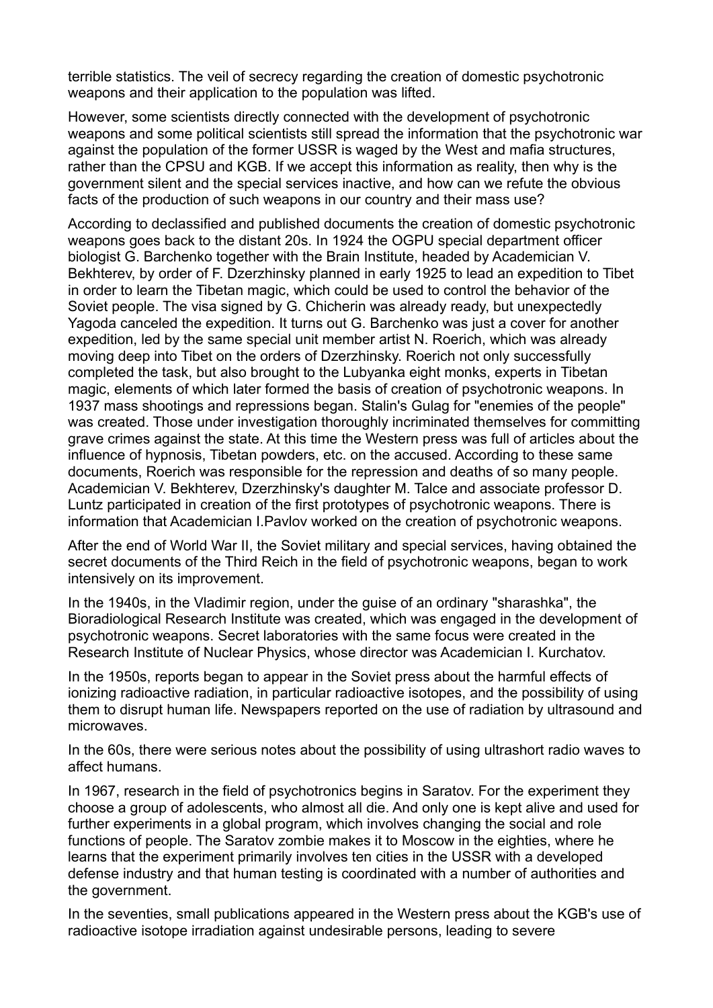terrible statistics. The veil of secrecy regarding the creation of domestic psychotronic weapons and their application to the population was lifted.

However, some scientists directly connected with the development of psychotronic weapons and some political scientists still spread the information that the psychotronic war against the population of the former USSR is waged by the West and mafia structures, rather than the CPSU and KGB. If we accept this information as reality, then why is the government silent and the special services inactive, and how can we refute the obvious facts of the production of such weapons in our country and their mass use?

According to declassified and published documents the creation of domestic psychotronic weapons goes back to the distant 20s. In 1924 the OGPU special department officer biologist G. Barchenko together with the Brain Institute, headed by Academician V. Bekhterev, by order of F. Dzerzhinsky planned in early 1925 to lead an expedition to Tibet in order to learn the Tibetan magic, which could be used to control the behavior of the Soviet people. The visa signed by G. Chicherin was already ready, but unexpectedly Yagoda canceled the expedition. It turns out G. Barchenko was just a cover for another expedition, led by the same special unit member artist N. Roerich, which was already moving deep into Tibet on the orders of Dzerzhinsky. Roerich not only successfully completed the task, but also brought to the Lubyanka eight monks, experts in Tibetan magic, elements of which later formed the basis of creation of psychotronic weapons. In 1937 mass shootings and repressions began. Stalin's Gulag for "enemies of the people" was created. Those under investigation thoroughly incriminated themselves for committing grave crimes against the state. At this time the Western press was full of articles about the influence of hypnosis, Tibetan powders, etc. on the accused. According to these same documents, Roerich was responsible for the repression and deaths of so many people. Academician V. Bekhterev, Dzerzhinsky's daughter M. Talce and associate professor D. Luntz participated in creation of the first prototypes of psychotronic weapons. There is information that Academician I.Pavlov worked on the creation of psychotronic weapons.

After the end of World War II, the Soviet military and special services, having obtained the secret documents of the Third Reich in the field of psychotronic weapons, began to work intensively on its improvement.

In the 1940s, in the Vladimir region, under the guise of an ordinary "sharashka", the Bioradiological Research Institute was created, which was engaged in the development of psychotronic weapons. Secret laboratories with the same focus were created in the Research Institute of Nuclear Physics, whose director was Academician I. Kurchatov.

In the 1950s, reports began to appear in the Soviet press about the harmful effects of ionizing radioactive radiation, in particular radioactive isotopes, and the possibility of using them to disrupt human life. Newspapers reported on the use of radiation by ultrasound and microwaves.

In the 60s, there were serious notes about the possibility of using ultrashort radio waves to affect humans.

In 1967, research in the field of psychotronics begins in Saratov. For the experiment they choose a group of adolescents, who almost all die. And only one is kept alive and used for further experiments in a global program, which involves changing the social and role functions of people. The Saratov zombie makes it to Moscow in the eighties, where he learns that the experiment primarily involves ten cities in the USSR with a developed defense industry and that human testing is coordinated with a number of authorities and the government.

In the seventies, small publications appeared in the Western press about the KGB's use of radioactive isotope irradiation against undesirable persons, leading to severe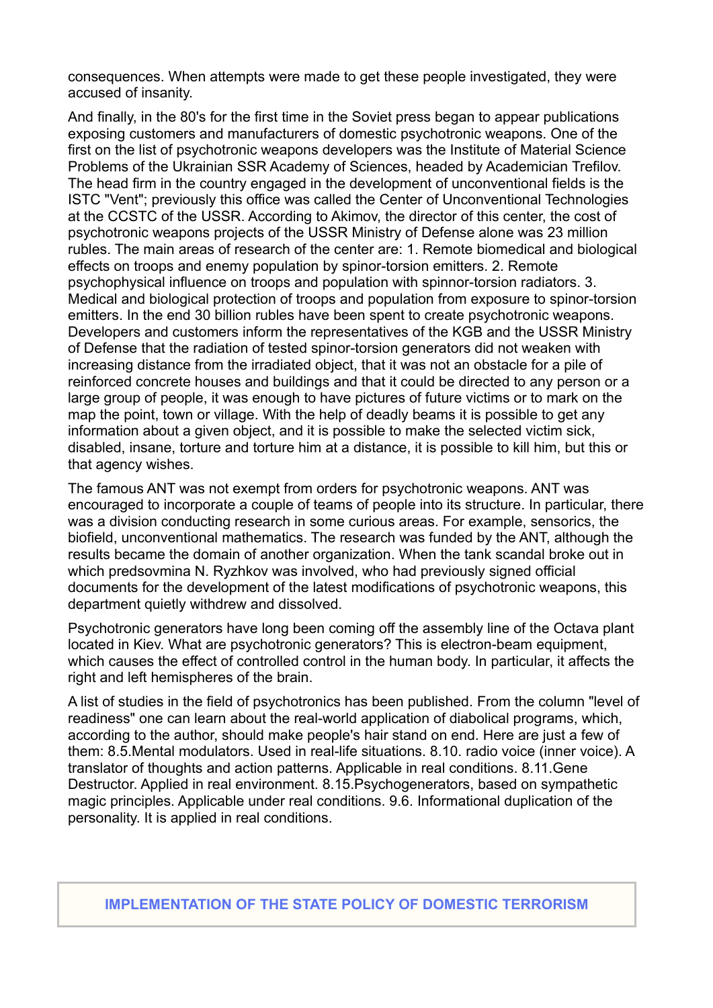consequences. When attempts were made to get these people investigated, they were accused of insanity.

And finally, in the 80's for the first time in the Soviet press began to appear publications exposing customers and manufacturers of domestic psychotronic weapons. One of the first on the list of psychotronic weapons developers was the Institute of Material Science Problems of the Ukrainian SSR Academy of Sciences, headed by Academician Trefilov. The head firm in the country engaged in the development of unconventional fields is the ISTC "Vent"; previously this office was called the Center of Unconventional Technologies at the CCSTC of the USSR. According to Akimov, the director of this center, the cost of psychotronic weapons projects of the USSR Ministry of Defense alone was 23 million rubles. The main areas of research of the center are: 1. Remote biomedical and biological effects on troops and enemy population by spinor-torsion emitters. 2. Remote psychophysical influence on troops and population with spinnor-torsion radiators. 3. Medical and biological protection of troops and population from exposure to spinor-torsion emitters. In the end 30 billion rubles have been spent to create psychotronic weapons. Developers and customers inform the representatives of the KGB and the USSR Ministry of Defense that the radiation of tested spinor-torsion generators did not weaken with increasing distance from the irradiated object, that it was not an obstacle for a pile of reinforced concrete houses and buildings and that it could be directed to any person or a large group of people, it was enough to have pictures of future victims or to mark on the map the point, town or village. With the help of deadly beams it is possible to get any information about a given object, and it is possible to make the selected victim sick, disabled, insane, torture and torture him at a distance, it is possible to kill him, but this or that agency wishes.

The famous ANT was not exempt from orders for psychotronic weapons. ANT was encouraged to incorporate a couple of teams of people into its structure. In particular, there was a division conducting research in some curious areas. For example, sensorics, the biofield, unconventional mathematics. The research was funded by the ANT, although the results became the domain of another organization. When the tank scandal broke out in which predsovmina N. Ryzhkov was involved, who had previously signed official documents for the development of the latest modifications of psychotronic weapons, this department quietly withdrew and dissolved.

Psychotronic generators have long been coming off the assembly line of the Octava plant located in Kiev. What are psychotronic generators? This is electron-beam equipment, which causes the effect of controlled control in the human body. In particular, it affects the right and left hemispheres of the brain.

A list of studies in the field of psychotronics has been published. From the column "level of readiness" one can learn about the real-world application of diabolical programs, which, according to the author, should make people's hair stand on end. Here are just a few of them: 8.5.Mental modulators. Used in real-life situations. 8.10. radio voice (inner voice). A translator of thoughts and action patterns. Applicable in real conditions. 8.11.Gene Destructor. Applied in real environment. 8.15.Psychogenerators, based on sympathetic magic principles. Applicable under real conditions. 9.6. Informational duplication of the personality. It is applied in real conditions.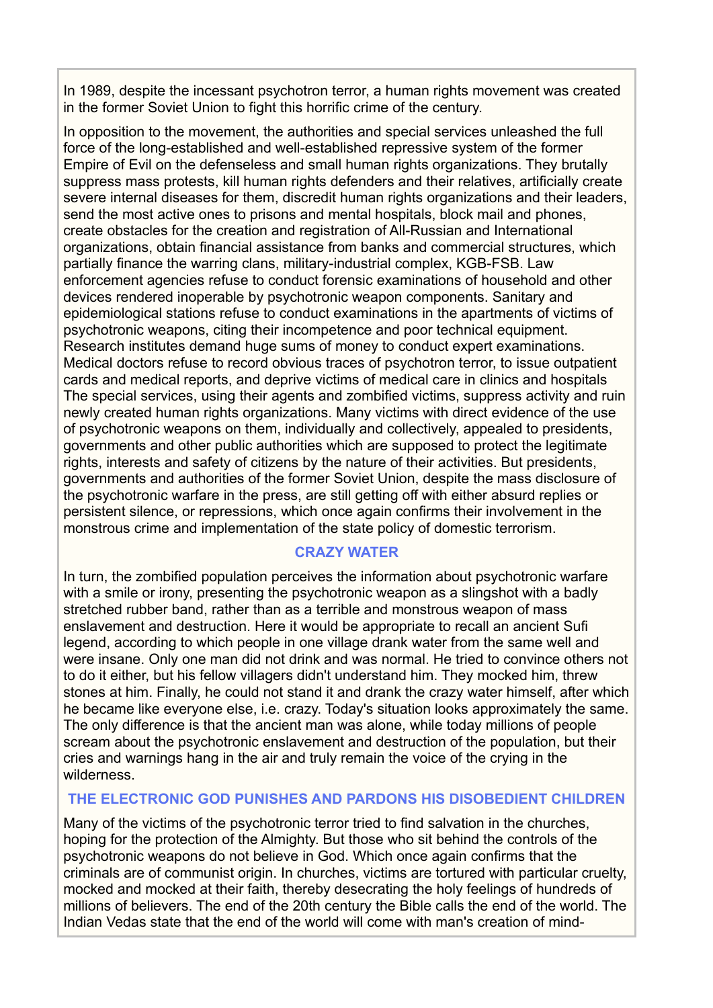In 1989, despite the incessant psychotron terror, a human rights movement was created in the former Soviet Union to fight this horrific crime of the century.

In opposition to the movement, the authorities and special services unleashed the full force of the long-established and well-established repressive system of the former Empire of Evil on the defenseless and small human rights organizations. They brutally suppress mass protests, kill human rights defenders and their relatives, artificially create severe internal diseases for them, discredit human rights organizations and their leaders, send the most active ones to prisons and mental hospitals, block mail and phones, create obstacles for the creation and registration of All-Russian and International organizations, obtain financial assistance from banks and commercial structures, which partially finance the warring clans, military-industrial complex, KGB-FSB. Law enforcement agencies refuse to conduct forensic examinations of household and other devices rendered inoperable by psychotronic weapon components. Sanitary and epidemiological stations refuse to conduct examinations in the apartments of victims of psychotronic weapons, citing their incompetence and poor technical equipment. Research institutes demand huge sums of money to conduct expert examinations. Medical doctors refuse to record obvious traces of psychotron terror, to issue outpatient cards and medical reports, and deprive victims of medical care in clinics and hospitals The special services, using their agents and zombified victims, suppress activity and ruin newly created human rights organizations. Many victims with direct evidence of the use of psychotronic weapons on them, individually and collectively, appealed to presidents, governments and other public authorities which are supposed to protect the legitimate rights, interests and safety of citizens by the nature of their activities. But presidents, governments and authorities of the former Soviet Union, despite the mass disclosure of the psychotronic warfare in the press, are still getting off with either absurd replies or persistent silence, or repressions, which once again confirms their involvement in the monstrous crime and implementation of the state policy of domestic terrorism.

## **CRAZY WATER**

In turn, the zombified population perceives the information about psychotronic warfare with a smile or irony, presenting the psychotronic weapon as a slingshot with a badly stretched rubber band, rather than as a terrible and monstrous weapon of mass enslavement and destruction. Here it would be appropriate to recall an ancient Sufi legend, according to which people in one village drank water from the same well and were insane. Only one man did not drink and was normal. He tried to convince others not to do it either, but his fellow villagers didn't understand him. They mocked him, threw stones at him. Finally, he could not stand it and drank the crazy water himself, after which he became like everyone else, i.e. crazy. Today's situation looks approximately the same. The only difference is that the ancient man was alone, while today millions of people scream about the psychotronic enslavement and destruction of the population, but their cries and warnings hang in the air and truly remain the voice of the crying in the wilderness.

## **THE ELECTRONIC GOD PUNISHES AND PARDONS HIS DISOBEDIENT CHILDREN**

Many of the victims of the psychotronic terror tried to find salvation in the churches, hoping for the protection of the Almighty. But those who sit behind the controls of the psychotronic weapons do not believe in God. Which once again confirms that the criminals are of communist origin. In churches, victims are tortured with particular cruelty, mocked and mocked at their faith, thereby desecrating the holy feelings of hundreds of millions of believers. The end of the 20th century the Bible calls the end of the world. The Indian Vedas state that the end of the world will come with man's creation of mind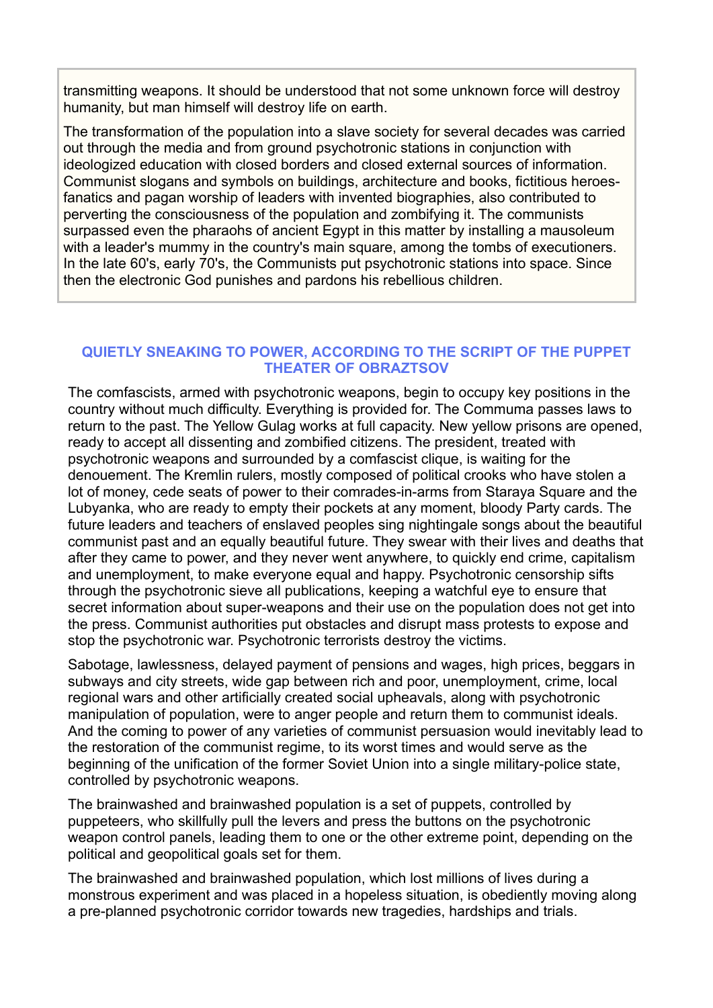transmitting weapons. It should be understood that not some unknown force will destroy humanity, but man himself will destroy life on earth.

The transformation of the population into a slave society for several decades was carried out through the media and from ground psychotronic stations in conjunction with ideologized education with closed borders and closed external sources of information. Communist slogans and symbols on buildings, architecture and books, fictitious heroesfanatics and pagan worship of leaders with invented biographies, also contributed to perverting the consciousness of the population and zombifying it. The communists surpassed even the pharaohs of ancient Egypt in this matter by installing a mausoleum with a leader's mummy in the country's main square, among the tombs of executioners. In the late 60's, early 70's, the Communists put psychotronic stations into space. Since then the electronic God punishes and pardons his rebellious children.

## **QUIETLY SNEAKING TO POWER, ACCORDING TO THE SCRIPT OF THE PUPPET THEATER OF OBRAZTSOV**

The comfascists, armed with psychotronic weapons, begin to occupy key positions in the country without much difficulty. Everything is provided for. The Commuma passes laws to return to the past. The Yellow Gulag works at full capacity. New yellow prisons are opened, ready to accept all dissenting and zombified citizens. The president, treated with psychotronic weapons and surrounded by a comfascist clique, is waiting for the denouement. The Kremlin rulers, mostly composed of political crooks who have stolen a lot of money, cede seats of power to their comrades-in-arms from Staraya Square and the Lubyanka, who are ready to empty their pockets at any moment, bloody Party cards. The future leaders and teachers of enslaved peoples sing nightingale songs about the beautiful communist past and an equally beautiful future. They swear with their lives and deaths that after they came to power, and they never went anywhere, to quickly end crime, capitalism and unemployment, to make everyone equal and happy. Psychotronic censorship sifts through the psychotronic sieve all publications, keeping a watchful eye to ensure that secret information about super-weapons and their use on the population does not get into the press. Communist authorities put obstacles and disrupt mass protests to expose and stop the psychotronic war. Psychotronic terrorists destroy the victims.

Sabotage, lawlessness, delayed payment of pensions and wages, high prices, beggars in subways and city streets, wide gap between rich and poor, unemployment, crime, local regional wars and other artificially created social upheavals, along with psychotronic manipulation of population, were to anger people and return them to communist ideals. And the coming to power of any varieties of communist persuasion would inevitably lead to the restoration of the communist regime, to its worst times and would serve as the beginning of the unification of the former Soviet Union into a single military-police state, controlled by psychotronic weapons.

The brainwashed and brainwashed population is a set of puppets, controlled by puppeteers, who skillfully pull the levers and press the buttons on the psychotronic weapon control panels, leading them to one or the other extreme point, depending on the political and geopolitical goals set for them.

The brainwashed and brainwashed population, which lost millions of lives during a monstrous experiment and was placed in a hopeless situation, is obediently moving along a pre-planned psychotronic corridor towards new tragedies, hardships and trials.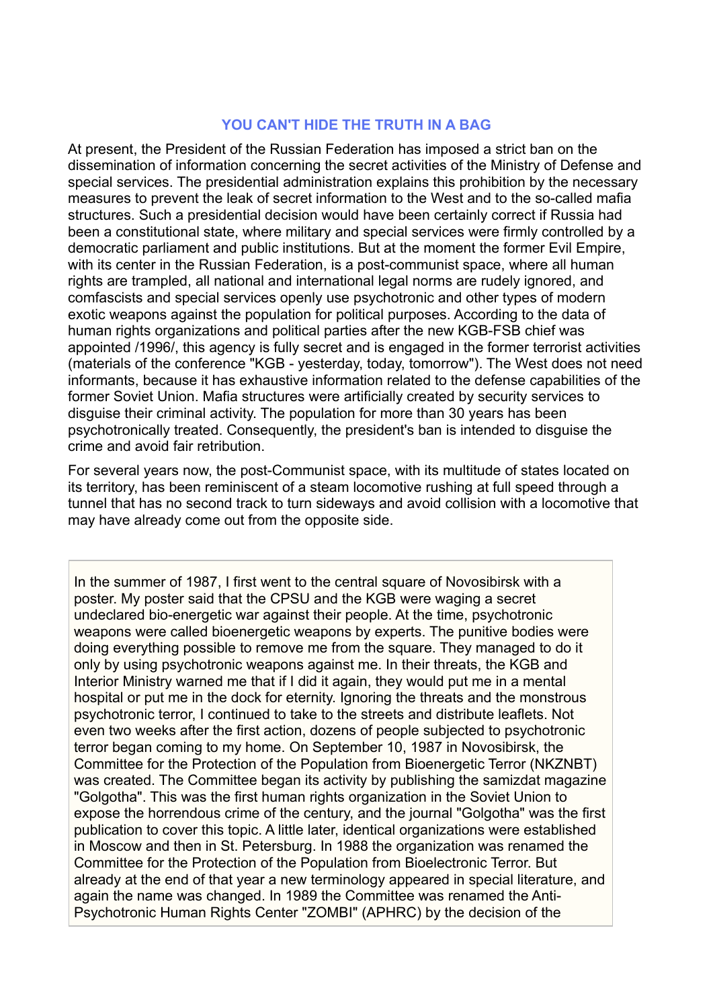#### **YOU CAN'T HIDE THE TRUTH IN A BAG**

At present, the President of the Russian Federation has imposed a strict ban on the dissemination of information concerning the secret activities of the Ministry of Defense and special services. The presidential administration explains this prohibition by the necessary measures to prevent the leak of secret information to the West and to the so-called mafia structures. Such a presidential decision would have been certainly correct if Russia had been a constitutional state, where military and special services were firmly controlled by a democratic parliament and public institutions. But at the moment the former Evil Empire, with its center in the Russian Federation, is a post-communist space, where all human rights are trampled, all national and international legal norms are rudely ignored, and comfascists and special services openly use psychotronic and other types of modern exotic weapons against the population for political purposes. According to the data of human rights organizations and political parties after the new KGB-FSB chief was appointed /1996/, this agency is fully secret and is engaged in the former terrorist activities (materials of the conference "KGB - yesterday, today, tomorrow"). The West does not need informants, because it has exhaustive information related to the defense capabilities of the former Soviet Union. Mafia structures were artificially created by security services to disguise their criminal activity. The population for more than 30 years has been psychotronically treated. Consequently, the president's ban is intended to disguise the crime and avoid fair retribution.

For several years now, the post-Communist space, with its multitude of states located on its territory, has been reminiscent of a steam locomotive rushing at full speed through a tunnel that has no second track to turn sideways and avoid collision with a locomotive that may have already come out from the opposite side.

In the summer of 1987, I first went to the central square of Novosibirsk with a poster. My poster said that the CPSU and the KGB were waging a secret undeclared bio-energetic war against their people. At the time, psychotronic weapons were called bioenergetic weapons by experts. The punitive bodies were doing everything possible to remove me from the square. They managed to do it only by using psychotronic weapons against me. In their threats, the KGB and Interior Ministry warned me that if I did it again, they would put me in a mental hospital or put me in the dock for eternity. Ignoring the threats and the monstrous psychotronic terror, I continued to take to the streets and distribute leaflets. Not even two weeks after the first action, dozens of people subjected to psychotronic terror began coming to my home. On September 10, 1987 in Novosibirsk, the Committee for the Protection of the Population from Bioenergetic Terror (NKZNBT) was created. The Committee began its activity by publishing the samizdat magazine "Golgotha". This was the first human rights organization in the Soviet Union to expose the horrendous crime of the century, and the journal "Golgotha" was the first publication to cover this topic. A little later, identical organizations were established in Moscow and then in St. Petersburg. In 1988 the organization was renamed the Committee for the Protection of the Population from Bioelectronic Terror. But already at the end of that year a new terminology appeared in special literature, and again the name was changed. In 1989 the Committee was renamed the Anti-Psychotronic Human Rights Center "ZOMBI" (APHRC) by the decision of the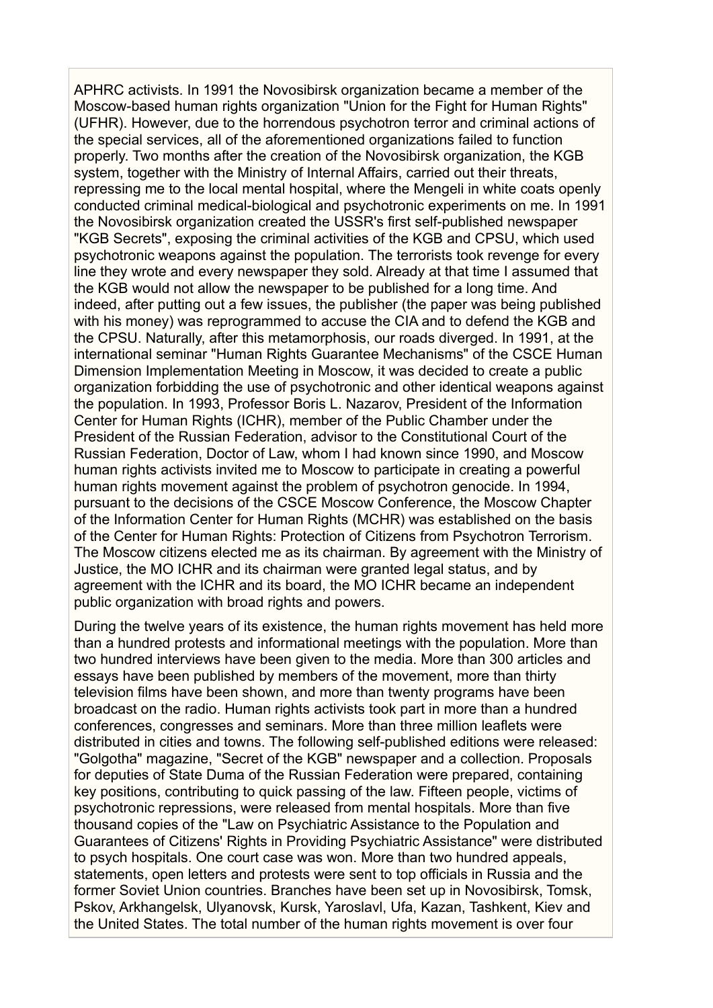APHRC activists. In 1991 the Novosibirsk organization became a member of the Moscow-based human rights organization "Union for the Fight for Human Rights" (UFHR). However, due to the horrendous psychotron terror and criminal actions of the special services, all of the aforementioned organizations failed to function properly. Two months after the creation of the Novosibirsk organization, the KGB system, together with the Ministry of Internal Affairs, carried out their threats, repressing me to the local mental hospital, where the Mengeli in white coats openly conducted criminal medical-biological and psychotronic experiments on me. In 1991 the Novosibirsk organization created the USSR's first self-published newspaper "KGB Secrets", exposing the criminal activities of the KGB and CPSU, which used psychotronic weapons against the population. The terrorists took revenge for every line they wrote and every newspaper they sold. Already at that time I assumed that the KGB would not allow the newspaper to be published for a long time. And indeed, after putting out a few issues, the publisher (the paper was being published with his money) was reprogrammed to accuse the CIA and to defend the KGB and the CPSU. Naturally, after this metamorphosis, our roads diverged. In 1991, at the international seminar "Human Rights Guarantee Mechanisms" of the CSCE Human Dimension Implementation Meeting in Moscow, it was decided to create a public organization forbidding the use of psychotronic and other identical weapons against the population. In 1993, Professor Boris L. Nazarov, President of the Information Center for Human Rights (ICHR), member of the Public Chamber under the President of the Russian Federation, advisor to the Constitutional Court of the Russian Federation, Doctor of Law, whom I had known since 1990, and Moscow human rights activists invited me to Moscow to participate in creating a powerful human rights movement against the problem of psychotron genocide. In 1994, pursuant to the decisions of the CSCE Moscow Conference, the Moscow Chapter of the Information Center for Human Rights (MCHR) was established on the basis of the Center for Human Rights: Protection of Citizens from Psychotron Terrorism. The Moscow citizens elected me as its chairman. By agreement with the Ministry of Justice, the MO ICHR and its chairman were granted legal status, and by agreement with the ICHR and its board, the MO ICHR became an independent public organization with broad rights and powers.

During the twelve years of its existence, the human rights movement has held more than a hundred protests and informational meetings with the population. More than two hundred interviews have been given to the media. More than 300 articles and essays have been published by members of the movement, more than thirty television films have been shown, and more than twenty programs have been broadcast on the radio. Human rights activists took part in more than a hundred conferences, congresses and seminars. More than three million leaflets were distributed in cities and towns. The following self-published editions were released: "Golgotha" magazine, "Secret of the KGB" newspaper and a collection. Proposals for deputies of State Duma of the Russian Federation were prepared, containing key positions, contributing to quick passing of the law. Fifteen people, victims of psychotronic repressions, were released from mental hospitals. More than five thousand copies of the "Law on Psychiatric Assistance to the Population and Guarantees of Citizens' Rights in Providing Psychiatric Assistance" were distributed to psych hospitals. One court case was won. More than two hundred appeals, statements, open letters and protests were sent to top officials in Russia and the former Soviet Union countries. Branches have been set up in Novosibirsk, Tomsk, Pskov, Arkhangelsk, Ulyanovsk, Kursk, Yaroslavl, Ufa, Kazan, Tashkent, Kiev and the United States. The total number of the human rights movement is over four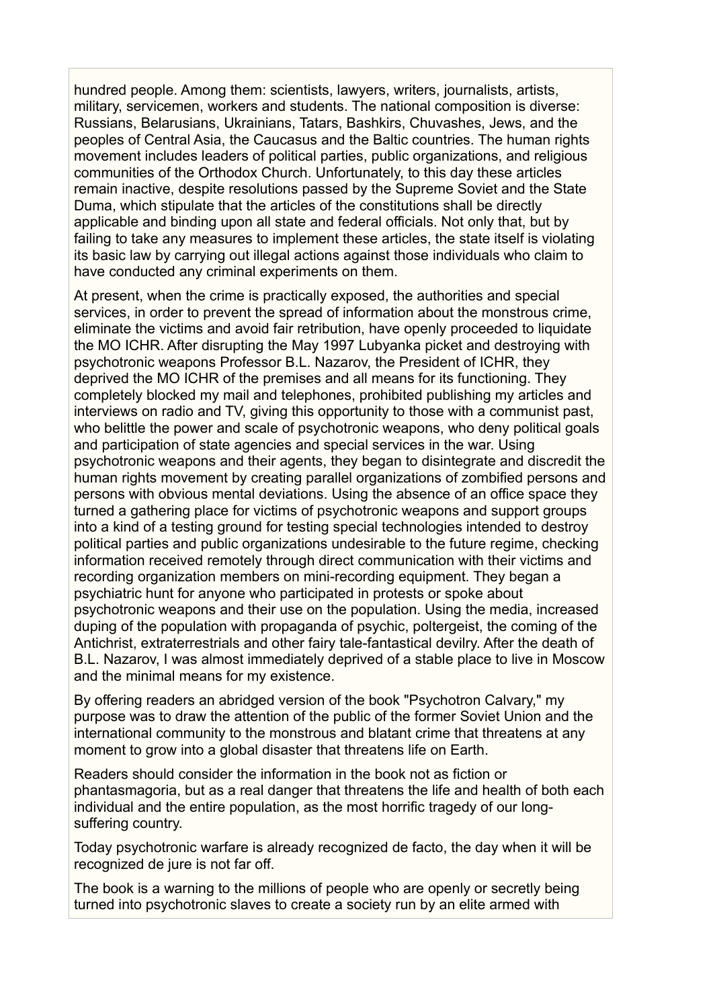hundred people. Among them: scientists, lawyers, writers, journalists, artists, military, servicemen, workers and students. The national composition is diverse: Russians, Belarusians, Ukrainians, Tatars, Bashkirs, Chuvashes, Jews, and the peoples of Central Asia, the Caucasus and the Baltic countries. The human rights movement includes leaders of political parties, public organizations, and religious communities of the Orthodox Church. Unfortunately, to this day these articles remain inactive, despite resolutions passed by the Supreme Soviet and the State Duma, which stipulate that the articles of the constitutions shall be directly applicable and binding upon all state and federal officials. Not only that, but by failing to take any measures to implement these articles, the state itself is violating its basic law by carrying out illegal actions against those individuals who claim to have conducted any criminal experiments on them.

At present, when the crime is practically exposed, the authorities and special services, in order to prevent the spread of information about the monstrous crime, eliminate the victims and avoid fair retribution, have openly proceeded to liquidate the MO ICHR. After disrupting the May 1997 Lubyanka picket and destroying with psychotronic weapons Professor B.L. Nazarov, the President of ICHR, they deprived the MO ICHR of the premises and all means for its functioning. They completely blocked my mail and telephones, prohibited publishing my articles and interviews on radio and TV, giving this opportunity to those with a communist past, who belittle the power and scale of psychotronic weapons, who deny political goals and participation of state agencies and special services in the war. Using psychotronic weapons and their agents, they began to disintegrate and discredit the human rights movement by creating parallel organizations of zombified persons and persons with obvious mental deviations. Using the absence of an office space they turned a gathering place for victims of psychotronic weapons and support groups into a kind of a testing ground for testing special technologies intended to destroy political parties and public organizations undesirable to the future regime, checking information received remotely through direct communication with their victims and recording organization members on mini-recording equipment. They began a psychiatric hunt for anyone who participated in protests or spoke about psychotronic weapons and their use on the population. Using the media, increased duping of the population with propaganda of psychic, poltergeist, the coming of the Antichrist, extraterrestrials and other fairy tale-fantastical devilry. After the death of B.L. Nazarov, I was almost immediately deprived of a stable place to live in Moscow and the minimal means for my existence.

By offering readers an abridged version of the book "Psychotron Calvary," my purpose was to draw the attention of the public of the former Soviet Union and the international community to the monstrous and blatant crime that threatens at any moment to grow into a global disaster that threatens life on Earth.

Readers should consider the information in the book not as fiction or phantasmagoria, but as a real danger that threatens the life and health of both each individual and the entire population, as the most horrific tragedy of our longsuffering country.

Today psychotronic warfare is already recognized de facto, the day when it will be recognized de jure is not far off.

The book is a warning to the millions of people who are openly or secretly being turned into psychotronic slaves to create a society run by an elite armed with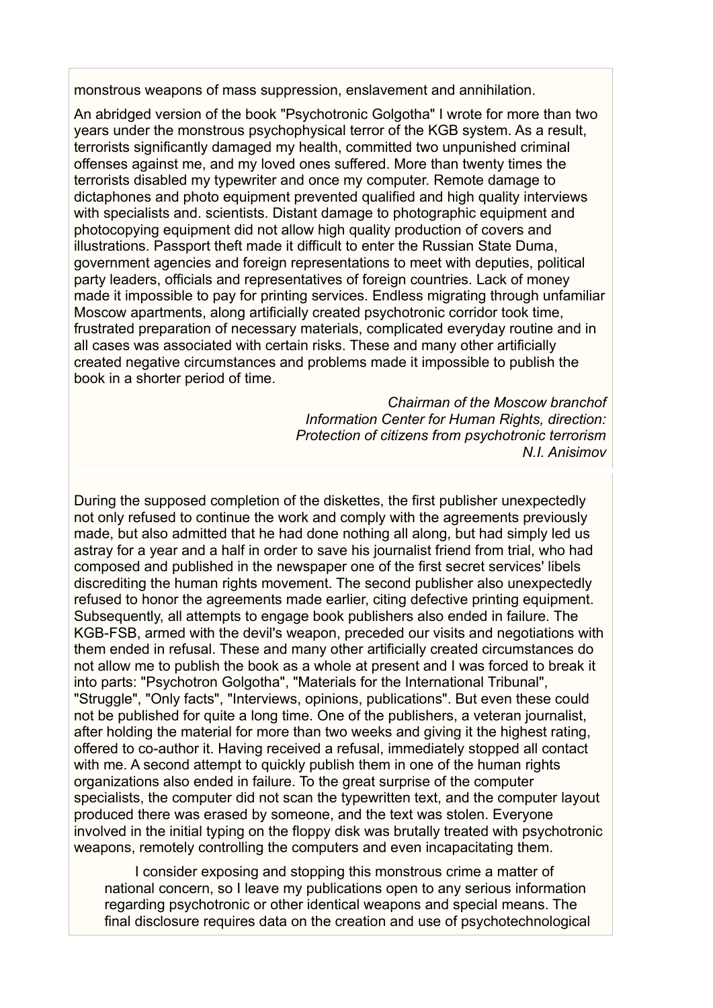monstrous weapons of mass suppression, enslavement and annihilation.

An abridged version of the book "Psychotronic Golgotha" I wrote for more than two years under the monstrous psychophysical terror of the KGB system. As a result, terrorists significantly damaged my health, committed two unpunished criminal offenses against me, and my loved ones suffered. More than twenty times the terrorists disabled my typewriter and once my computer. Remote damage to dictaphones and photo equipment prevented qualified and high quality interviews with specialists and. scientists. Distant damage to photographic equipment and photocopying equipment did not allow high quality production of covers and illustrations. Passport theft made it difficult to enter the Russian State Duma, government agencies and foreign representations to meet with deputies, political party leaders, officials and representatives of foreign countries. Lack of money made it impossible to pay for printing services. Endless migrating through unfamiliar Moscow apartments, along artificially created psychotronic corridor took time, frustrated preparation of necessary materials, complicated everyday routine and in all cases was associated with certain risks. These and many other artificially created negative circumstances and problems made it impossible to publish the book in a shorter period of time.

> *Chairman of the Moscow branchof Information Center for Human Rights, direction: Protection of citizens from psychotronic terrorism N.I. Anisimov*

During the supposed completion of the diskettes, the first publisher unexpectedly not only refused to continue the work and comply with the agreements previously made, but also admitted that he had done nothing all along, but had simply led us astray for a year and a half in order to save his journalist friend from trial, who had composed and published in the newspaper one of the first secret services' libels discrediting the human rights movement. The second publisher also unexpectedly refused to honor the agreements made earlier, citing defective printing equipment. Subsequently, all attempts to engage book publishers also ended in failure. The KGB-FSB, armed with the devil's weapon, preceded our visits and negotiations with them ended in refusal. These and many other artificially created circumstances do not allow me to publish the book as a whole at present and I was forced to break it into parts: "Psychotron Golgotha", "Materials for the International Tribunal", "Struggle", "Only facts", "Interviews, opinions, publications". But even these could not be published for quite a long time. One of the publishers, a veteran journalist, after holding the material for more than two weeks and giving it the highest rating, offered to co-author it. Having received a refusal, immediately stopped all contact with me. A second attempt to quickly publish them in one of the human rights organizations also ended in failure. To the great surprise of the computer specialists, the computer did not scan the typewritten text, and the computer layout produced there was erased by someone, and the text was stolen. Everyone involved in the initial typing on the floppy disk was brutally treated with psychotronic weapons, remotely controlling the computers and even incapacitating them.

I consider exposing and stopping this monstrous crime a matter of national concern, so I leave my publications open to any serious information regarding psychotronic or other identical weapons and special means. The final disclosure requires data on the creation and use of psychotechnological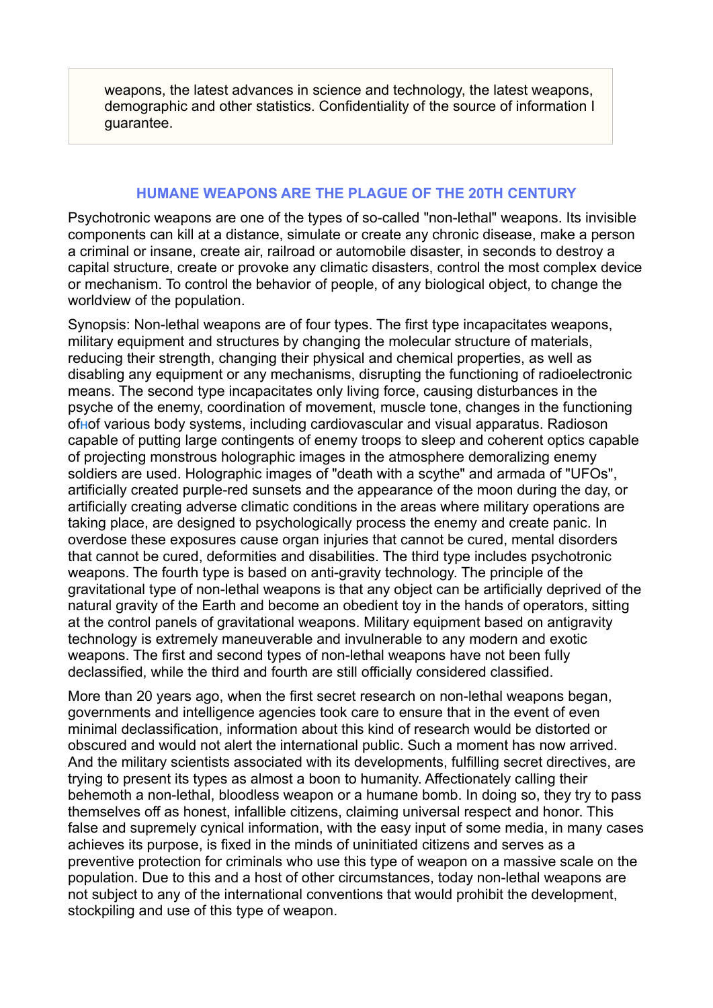weapons, the latest advances in science and technology, the latest weapons, demographic and other statistics. Confidentiality of the source of information I guarantee.

# **HUMANE WEAPONS ARE THE PLAGUE OF THE 20TH CENTURY**

Psychotronic weapons are one of the types of so-called "non-lethal" weapons. Its invisible components can kill at a distance, simulate or create any chronic disease, make a person a criminal or insane, create air, railroad or automobile disaster, in seconds to destroy a capital structure, create or provoke any climatic disasters, control the most complex device or mechanism. To control the behavior of people, of any biological object, to change the worldview of the population.

Synopsis: Non-lethal weapons are of four types. The first type incapacitates weapons, military equipment and structures by changing the molecular structure of materials, reducing their strength, changing their physical and chemical properties, as well as disabling any equipment or any mechanisms, disrupting the functioning of radioelectronic means. The second type incapacitates only living force, causing disturbances in the psyche of the enemy, coordination of movement, muscle tone, changes in the functioning of[н](http://natalja-polovko.nm.ru/anisimov/anisimov1.html#bkht%23bkht)of various body systems, including cardiovascular and visual apparatus. Radioson capable of putting large contingents of enemy troops to sleep and coherent optics capable of projecting monstrous holographic images in the atmosphere demoralizing enemy soldiers are used. Holographic images of "death with a scythe" and armada of "UFOs", artificially created purple-red sunsets and the appearance of the moon during the day, or artificially creating adverse climatic conditions in the areas where military operations are taking place, are designed to psychologically process the enemy and create panic. In overdose these exposures cause organ injuries that cannot be cured, mental disorders that cannot be cured, deformities and disabilities. The third type includes psychotronic weapons. The fourth type is based on anti-gravity technology. The principle of the gravitational type of non-lethal weapons is that any object can be artificially deprived of the natural gravity of the Earth and become an obedient toy in the hands of operators, sitting at the control panels of gravitational weapons. Military equipment based on antigravity technology is extremely maneuverable and invulnerable to any modern and exotic weapons. The first and second types of non-lethal weapons have not been fully declassified, while the third and fourth are still officially considered classified.

More than 20 years ago, when the first secret research on non-lethal weapons began, governments and intelligence agencies took care to ensure that in the event of even minimal declassification, information about this kind of research would be distorted or obscured and would not alert the international public. Such a moment has now arrived. And the military scientists associated with its developments, fulfilling secret directives, are trying to present its types as almost a boon to humanity. Affectionately calling their behemoth a non-lethal, bloodless weapon or a humane bomb. In doing so, they try to pass themselves off as honest, infallible citizens, claiming universal respect and honor. This false and supremely cynical information, with the easy input of some media, in many cases achieves its purpose, is fixed in the minds of uninitiated citizens and serves as a preventive protection for criminals who use this type of weapon on a massive scale on the population. Due to this and a host of other circumstances, today non-lethal weapons are not subject to any of the international conventions that would prohibit the development, stockpiling and use of this type of weapon.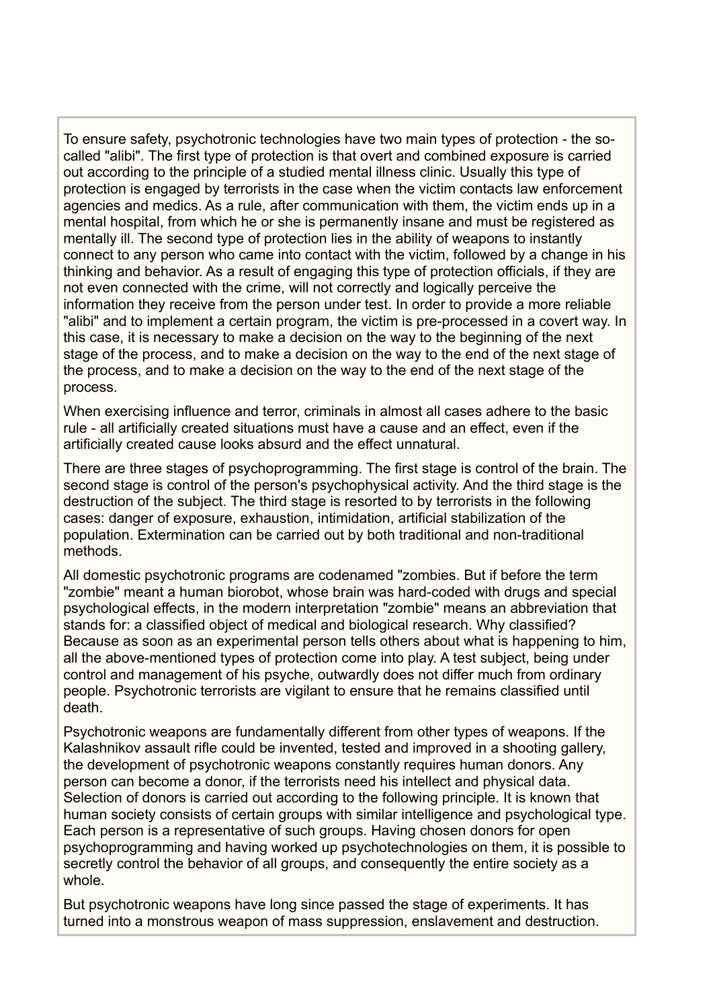To ensure safety, psychotronic technologies have two main types of protection - the socalled "alibi". The first type of protection is that overt and combined exposure is carried out according to the principle of a studied mental illness clinic. Usually this type of protection is engaged by terrorists in the case when the victim contacts law enforcement agencies and medics. As a rule, after communication with them, the victim ends up in a mental hospital, from which he or she is permanently insane and must be registered as mentally ill. The second type of protection lies in the ability of weapons to instantly connect to any person who came into contact with the victim, followed by a change in his thinking and behavior. As a result of engaging this type of protection officials, if they are not even connected with the crime, will not correctly and logically perceive the information they receive from the person under test. In order to provide a more reliable "alibi" and to implement a certain program, the victim is pre-processed in a covert way. In this case, it is necessary to make a decision on the way to the beginning of the next stage of the process, and to make a decision on the way to the end of the next stage of the process, and to make a decision on the way to the end of the next stage of the process.

When exercising influence and terror, criminals in almost all cases adhere to the basic rule - all artificially created situations must have a cause and an effect, even if the artificially created cause looks absurd and the effect unnatural.

There are three stages of psychoprogramming. The first stage is control of the brain. The second stage is control of the person's psychophysical activity. And the third stage is the destruction of the subject. The third stage is resorted to by terrorists in the following cases: danger of exposure, exhaustion, intimidation, artificial stabilization of the population. Extermination can be carried out by both traditional and non-traditional methods.

All domestic psychotronic programs are codenamed "zombies. But if before the term "zombie" meant a human biorobot, whose brain was hard-coded with drugs and special psychological effects, in the modern interpretation "zombie" means an abbreviation that stands for: a classified object of medical and biological research. Why classified? Because as soon as an experimental person tells others about what is happening to him, all the above-mentioned types of protection come into play. A test subject, being under control and management of his psyche, outwardly does not differ much from ordinary people. Psychotronic terrorists are vigilant to ensure that he remains classified until death.

Psychotronic weapons are fundamentally different from other types of weapons. If the Kalashnikov assault rifle could be invented, tested and improved in a shooting gallery, the development of psychotronic weapons constantly requires human donors. Any person can become a donor, if the terrorists need his intellect and physical data. Selection of donors is carried out according to the following principle. It is known that human society consists of certain groups with similar intelligence and psychological type. Each person is a representative of such groups. Having chosen donors for open psychoprogramming and having worked up psychotechnologies on them, it is possible to secretly control the behavior of all groups, and consequently the entire society as a whole.

But psychotronic weapons have long since passed the stage of experiments. It has turned into a monstrous weapon of mass suppression, enslavement and destruction.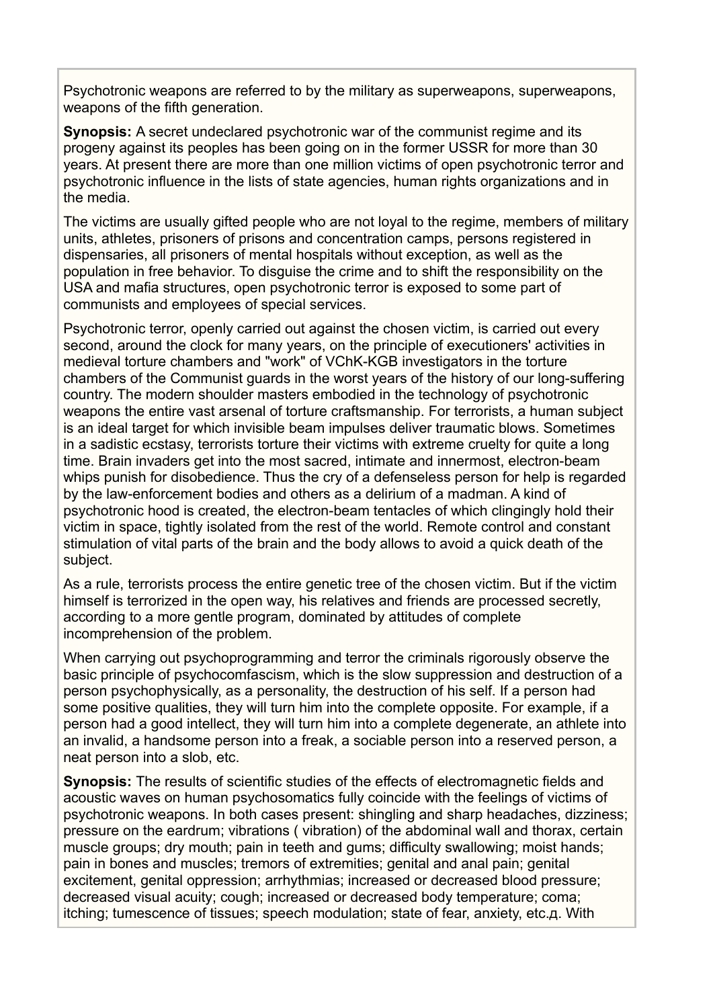Psychotronic weapons are referred to by the military as superweapons, superweapons, weapons of the fifth generation.

**Synopsis:** A secret undeclared psychotronic war of the communist regime and its progeny against its peoples has been going on in the former USSR for more than 30 years. At present there are more than one million victims of open psychotronic terror and psychotronic influence in the lists of state agencies, human rights organizations and in the media.

The victims are usually gifted people who are not loyal to the regime, members of military units, athletes, prisoners of prisons and concentration camps, persons registered in dispensaries, all prisoners of mental hospitals without exception, as well as the population in free behavior. To disguise the crime and to shift the responsibility on the USA and mafia structures, open psychotronic terror is exposed to some part of communists and employees of special services.

Psychotronic terror, openly carried out against the chosen victim, is carried out every second, around the clock for many years, on the principle of executioners' activities in medieval torture chambers and "work" of VChK-KGB investigators in the torture chambers of the Communist guards in the worst years of the history of our long-suffering country. The modern shoulder masters embodied in the technology of psychotronic weapons the entire vast arsenal of torture craftsmanship. For terrorists, a human subject is an ideal target for which invisible beam impulses deliver traumatic blows. Sometimes in a sadistic ecstasy, terrorists torture their victims with extreme cruelty for quite a long time. Brain invaders get into the most sacred, intimate and innermost, electron-beam whips punish for disobedience. Thus the cry of a defenseless person for help is regarded by the law-enforcement bodies and others as a delirium of a madman. A kind of psychotronic hood is created, the electron-beam tentacles of which clingingly hold their victim in space, tightly isolated from the rest of the world. Remote control and constant stimulation of vital parts of the brain and the body allows to avoid a quick death of the subject.

As a rule, terrorists process the entire genetic tree of the chosen victim. But if the victim himself is terrorized in the open way, his relatives and friends are processed secretly, according to a more gentle program, dominated by attitudes of complete incomprehension of the problem.

When carrying out psychoprogramming and terror the criminals rigorously observe the basic principle of psychocomfascism, which is the slow suppression and destruction of a person psychophysically, as a personality, the destruction of his self. If a person had some positive qualities, they will turn him into the complete opposite. For example, if a person had a good intellect, they will turn him into a complete degenerate, an athlete into an invalid, a handsome person into a freak, a sociable person into a reserved person, a neat person into a slob, etc.

**Synopsis:** The results of scientific studies of the effects of electromagnetic fields and acoustic waves on human psychosomatics fully coincide with the feelings of victims of psychotronic weapons. In both cases present: shingling and sharp headaches, dizziness; pressure on the eardrum; vibrations ( vibration) of the abdominal wall and thorax, certain muscle groups; dry mouth; pain in teeth and gums; difficulty swallowing; moist hands; pain in bones and muscles; tremors of extremities; genital and anal pain; genital excitement, genital oppression; arrhythmias; increased or decreased blood pressure; decreased visual acuity; cough; increased or decreased body temperature; coma; itching; tumescence of tissues; speech modulation; state of fear, anxiety, etc.д. With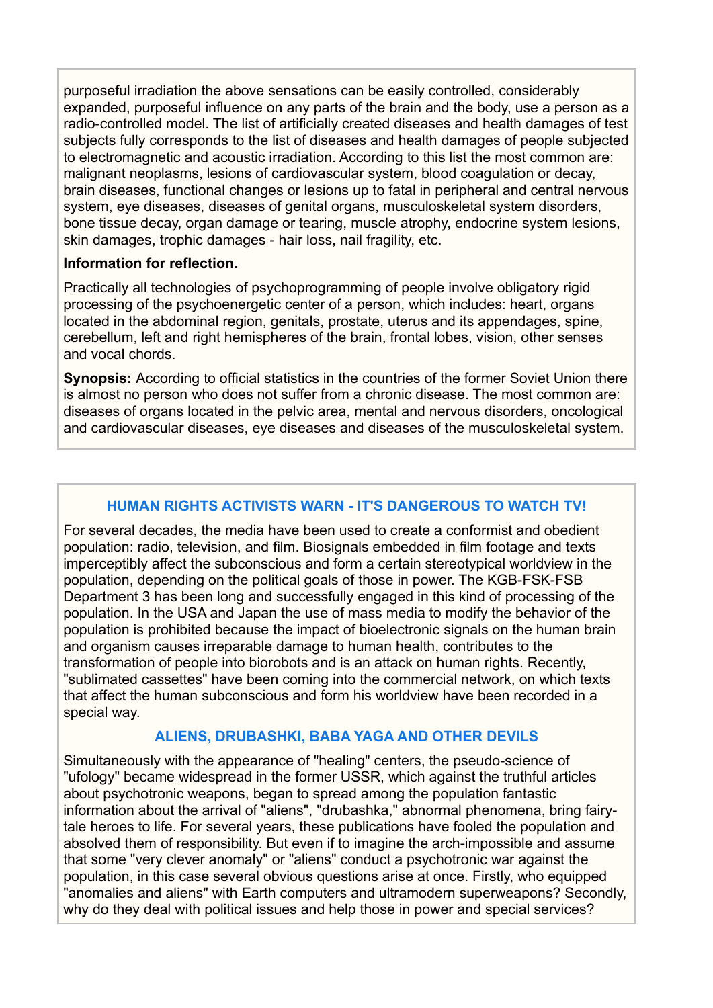purposeful irradiation the above sensations can be easily controlled, considerably expanded, purposeful influence on any parts of the brain and the body, use a person as a radio-controlled model. The list of artificially created diseases and health damages of test subjects fully corresponds to the list of diseases and health damages of people subjected to electromagnetic and acoustic irradiation. According to this list the most common are: malignant neoplasms, lesions of cardiovascular system, blood coagulation or decay, brain diseases, functional changes or lesions up to fatal in peripheral and central nervous system, eye diseases, diseases of genital organs, musculoskeletal system disorders, bone tissue decay, organ damage or tearing, muscle atrophy, endocrine system lesions, skin damages, trophic damages - hair loss, nail fragility, etc.

## **Information for reflection.**

Practically all technologies of psychoprogramming of people involve obligatory rigid processing of the psychoenergetic center of a person, which includes: heart, organs located in the abdominal region, genitals, prostate, uterus and its appendages, spine, cerebellum, left and right hemispheres of the brain, frontal lobes, vision, other senses and vocal chords.

**Synopsis:** According to official statistics in the countries of the former Soviet Union there is almost no person who does not suffer from a chronic disease. The most common are: diseases of organs located in the pelvic area, mental and nervous disorders, oncological and cardiovascular diseases, eye diseases and diseases of the musculoskeletal system.

# **HUMAN RIGHTS ACTIVISTS WARN - IT'S DANGEROUS TO WATCH TV!**

For several decades, the media have been used to create a conformist and obedient population: radio, television, and film. Biosignals embedded in film footage and texts imperceptibly affect the subconscious and form a certain stereotypical worldview in the population, depending on the political goals of those in power. The KGB-FSK-FSB Department 3 has been long and successfully engaged in this kind of processing of the population. In the USA and Japan the use of mass media to modify the behavior of the population is prohibited because the impact of bioelectronic signals on the human brain and organism causes irreparable damage to human health, contributes to the transformation of people into biorobots and is an attack on human rights. Recently, "sublimated cassettes" have been coming into the commercial network, on which texts that affect the human subconscious and form his worldview have been recorded in a special way.

#### **ALIENS, DRUBASHKI, BABA YAGA AND OTHER DEVILS**

Simultaneously with the appearance of "healing" centers, the pseudo-science of "ufology" became widespread in the former USSR, which against the truthful articles about psychotronic weapons, began to spread among the population fantastic information about the arrival of "aliens", "drubashka," abnormal phenomena, bring fairytale heroes to life. For several years, these publications have fooled the population and absolved them of responsibility. But even if to imagine the arch-impossible and assume that some "very clever anomaly" or "aliens" conduct a psychotronic war against the population, in this case several obvious questions arise at once. Firstly, who equipped "anomalies and aliens" with Earth computers and ultramodern superweapons? Secondly, why do they deal with political issues and help those in power and special services?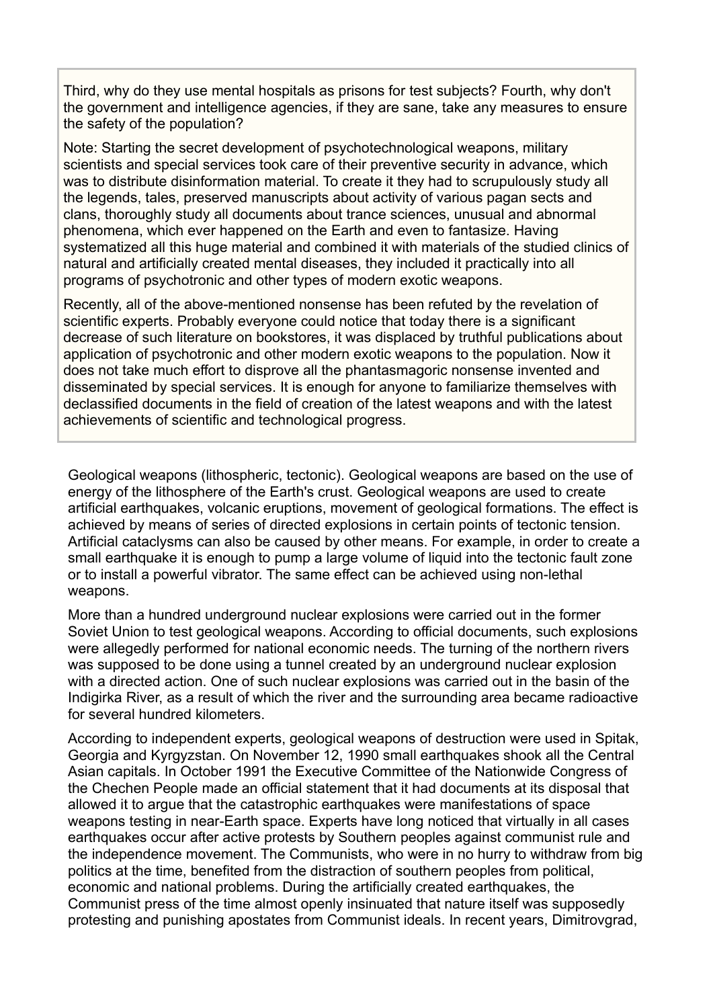Third, why do they use mental hospitals as prisons for test subjects? Fourth, why don't the government and intelligence agencies, if they are sane, take any measures to ensure the safety of the population?

Note: Starting the secret development of psychotechnological weapons, military scientists and special services took care of their preventive security in advance, which was to distribute disinformation material. To create it they had to scrupulously study all the legends, tales, preserved manuscripts about activity of various pagan sects and clans, thoroughly study all documents about trance sciences, unusual and abnormal phenomena, which ever happened on the Earth and even to fantasize. Having systematized all this huge material and combined it with materials of the studied clinics of natural and artificially created mental diseases, they included it practically into all programs of psychotronic and other types of modern exotic weapons.

Recently, all of the above-mentioned nonsense has been refuted by the revelation of scientific experts. Probably everyone could notice that today there is a significant decrease of such literature on bookstores, it was displaced by truthful publications about application of psychotronic and other modern exotic weapons to the population. Now it does not take much effort to disprove all the phantasmagoric nonsense invented and disseminated by special services. It is enough for anyone to familiarize themselves with declassified documents in the field of creation of the latest weapons and with the latest achievements of scientific and technological progress.

Geological weapons (lithospheric, tectonic). Geological weapons are based on the use of energy of the lithosphere of the Earth's crust. Geological weapons are used to create artificial earthquakes, volcanic eruptions, movement of geological formations. The effect is achieved by means of series of directed explosions in certain points of tectonic tension. Artificial cataclysms can also be caused by other means. For example, in order to create a small earthquake it is enough to pump a large volume of liquid into the tectonic fault zone or to install a powerful vibrator. The same effect can be achieved using non-lethal weapons.

More than a hundred underground nuclear explosions were carried out in the former Soviet Union to test geological weapons. According to official documents, such explosions were allegedly performed for national economic needs. The turning of the northern rivers was supposed to be done using a tunnel created by an underground nuclear explosion with a directed action. One of such nuclear explosions was carried out in the basin of the Indigirka River, as a result of which the river and the surrounding area became radioactive for several hundred kilometers.

According to independent experts, geological weapons of destruction were used in Spitak, Georgia and Kyrgyzstan. On November 12, 1990 small earthquakes shook all the Central Asian capitals. In October 1991 the Executive Committee of the Nationwide Congress of the Chechen People made an official statement that it had documents at its disposal that allowed it to argue that the catastrophic earthquakes were manifestations of space weapons testing in near-Earth space. Experts have long noticed that virtually in all cases earthquakes occur after active protests by Southern peoples against communist rule and the independence movement. The Communists, who were in no hurry to withdraw from big politics at the time, benefited from the distraction of southern peoples from political, economic and national problems. During the artificially created earthquakes, the Communist press of the time almost openly insinuated that nature itself was supposedly protesting and punishing apostates from Communist ideals. In recent years, Dimitrovgrad,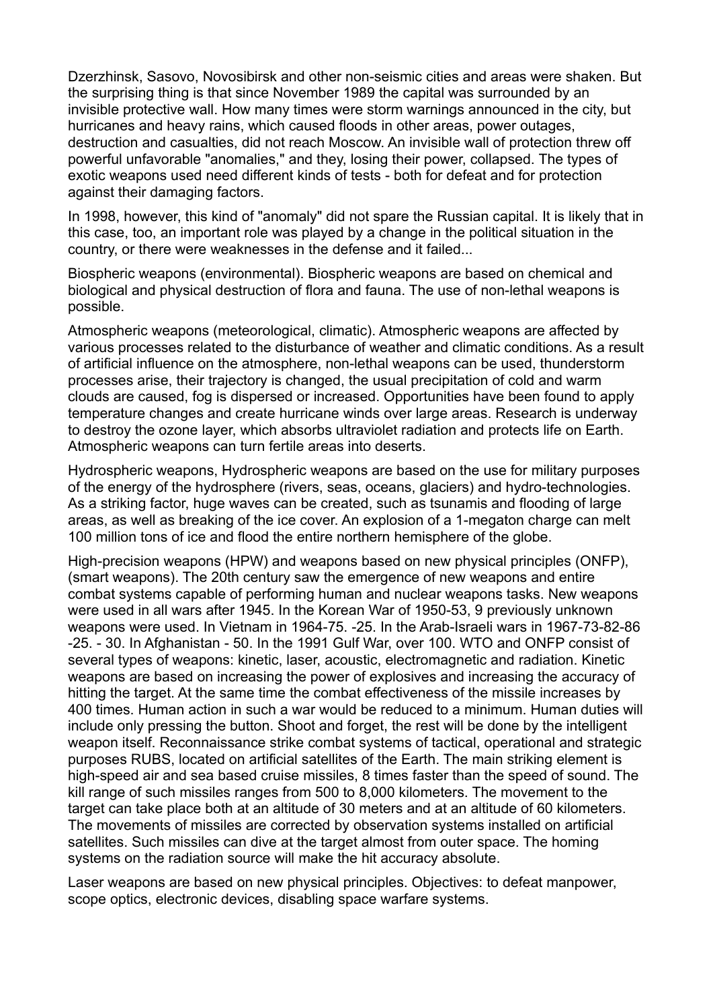Dzerzhinsk, Sasovo, Novosibirsk and other non-seismic cities and areas were shaken. But the surprising thing is that since November 1989 the capital was surrounded by an invisible protective wall. How many times were storm warnings announced in the city, but hurricanes and heavy rains, which caused floods in other areas, power outages, destruction and casualties, did not reach Moscow. An invisible wall of protection threw off powerful unfavorable "anomalies," and they, losing their power, collapsed. The types of exotic weapons used need different kinds of tests - both for defeat and for protection against their damaging factors.

In 1998, however, this kind of "anomaly" did not spare the Russian capital. It is likely that in this case, too, an important role was played by a change in the political situation in the country, or there were weaknesses in the defense and it failed...

Biospheric weapons (environmental). Biospheric weapons are based on chemical and biological and physical destruction of flora and fauna. The use of non-lethal weapons is possible.

Atmospheric weapons (meteorological, climatic). Atmospheric weapons are affected by various processes related to the disturbance of weather and climatic conditions. As a result of artificial influence on the atmosphere, non-lethal weapons can be used, thunderstorm processes arise, their trajectory is changed, the usual precipitation of cold and warm clouds are caused, fog is dispersed or increased. Opportunities have been found to apply temperature changes and create hurricane winds over large areas. Research is underway to destroy the ozone layer, which absorbs ultraviolet radiation and protects life on Earth. Atmospheric weapons can turn fertile areas into deserts.

Hydrospheric weapons, Hydrospheric weapons are based on the use for military purposes of the energy of the hydrosphere (rivers, seas, oceans, glaciers) and hydro-technologies. As a striking factor, huge waves can be created, such as tsunamis and flooding of large areas, as well as breaking of the ice cover. An explosion of a 1-megaton charge can melt 100 million tons of ice and flood the entire northern hemisphere of the globe.

High-precision weapons (HPW) and weapons based on new physical principles (ONFP), (smart weapons). The 20th century saw the emergence of new weapons and entire combat systems capable of performing human and nuclear weapons tasks. New weapons were used in all wars after 1945. In the Korean War of 1950-53, 9 previously unknown weapons were used. In Vietnam in 1964-75. -25. In the Arab-Israeli wars in 1967-73-82-86 -25. - 30. In Afghanistan - 50. In the 1991 Gulf War, over 100. WTO and ONFP consist of several types of weapons: kinetic, laser, acoustic, electromagnetic and radiation. Kinetic weapons are based on increasing the power of explosives and increasing the accuracy of hitting the target. At the same time the combat effectiveness of the missile increases by 400 times. Human action in such a war would be reduced to a minimum. Human duties will include only pressing the button. Shoot and forget, the rest will be done by the intelligent weapon itself. Reconnaissance strike combat systems of tactical, operational and strategic purposes RUBS, located on artificial satellites of the Earth. The main striking element is high-speed air and sea based cruise missiles, 8 times faster than the speed of sound. The kill range of such missiles ranges from 500 to 8,000 kilometers. The movement to the target can take place both at an altitude of 30 meters and at an altitude of 60 kilometers. The movements of missiles are corrected by observation systems installed on artificial satellites. Such missiles can dive at the target almost from outer space. The homing systems on the radiation source will make the hit accuracy absolute.

Laser weapons are based on new physical principles. Objectives: to defeat manpower, scope optics, electronic devices, disabling space warfare systems.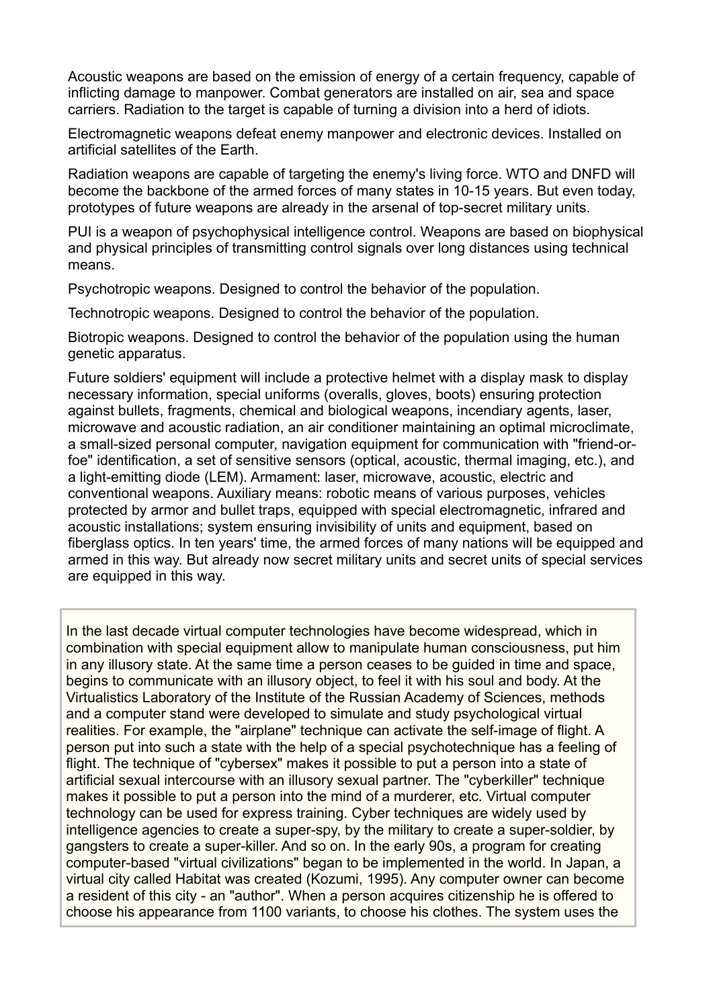Acoustic weapons are based on the emission of energy of a certain frequency, capable of inflicting damage to manpower. Combat generators are installed on air, sea and space carriers. Radiation to the target is capable of turning a division into a herd of idiots.

Electromagnetic weapons defeat enemy manpower and electronic devices. Installed on artificial satellites of the Earth.

Radiation weapons are capable of targeting the enemy's living force. WTO and DNFD will become the backbone of the armed forces of many states in 10-15 years. But even today, prototypes of future weapons are already in the arsenal of top-secret military units.

PUI is a weapon of psychophysical intelligence control. Weapons are based on biophysical and physical principles of transmitting control signals over long distances using technical means.

Psychotropic weapons. Designed to control the behavior of the population.

Technotropic weapons. Designed to control the behavior of the population.

Biotropic weapons. Designed to control the behavior of the population using the human genetic apparatus.

Future soldiers' equipment will include a protective helmet with a display mask to display necessary information, special uniforms (overalls, gloves, boots) ensuring protection against bullets, fragments, chemical and biological weapons, incendiary agents, laser, microwave and acoustic radiation, an air conditioner maintaining an optimal microclimate, a small-sized personal computer, navigation equipment for communication with "friend-orfoe" identification, a set of sensitive sensors (optical, acoustic, thermal imaging, etc.), and a light-emitting diode (LEM). Armament: laser, microwave, acoustic, electric and conventional weapons. Auxiliary means: robotic means of various purposes, vehicles protected by armor and bullet traps, equipped with special electromagnetic, infrared and acoustic installations; system ensuring invisibility of units and equipment, based on fiberglass optics. In ten years' time, the armed forces of many nations will be equipped and armed in this way. But already now secret military units and secret units of special services are equipped in this way.

In the last decade virtual computer technologies have become widespread, which in combination with special equipment allow to manipulate human consciousness, put him in any illusory state. At the same time a person ceases to be guided in time and space, begins to communicate with an illusory object, to feel it with his soul and body. At the Virtualistics Laboratory of the Institute of the Russian Academy of Sciences, methods and a computer stand were developed to simulate and study psychological virtual realities. For example, the "airplane" technique can activate the self-image of flight. A person put into such a state with the help of a special psychotechnique has a feeling of flight. The technique of "cybersex" makes it possible to put a person into a state of artificial sexual intercourse with an illusory sexual partner. The "cyberkiller" technique makes it possible to put a person into the mind of a murderer, etc. Virtual computer technology can be used for express training. Cyber techniques are widely used by intelligence agencies to create a super-spy, by the military to create a super-soldier, by gangsters to create a super-killer. And so on. In the early 90s, a program for creating computer-based "virtual civilizations" began to be implemented in the world. In Japan, a virtual city called Habitat was created (Kozumi, 1995). Any computer owner can become a resident of this city - an "author". When a person acquires citizenship he is offered to choose his appearance from 1100 variants, to choose his clothes. The system uses the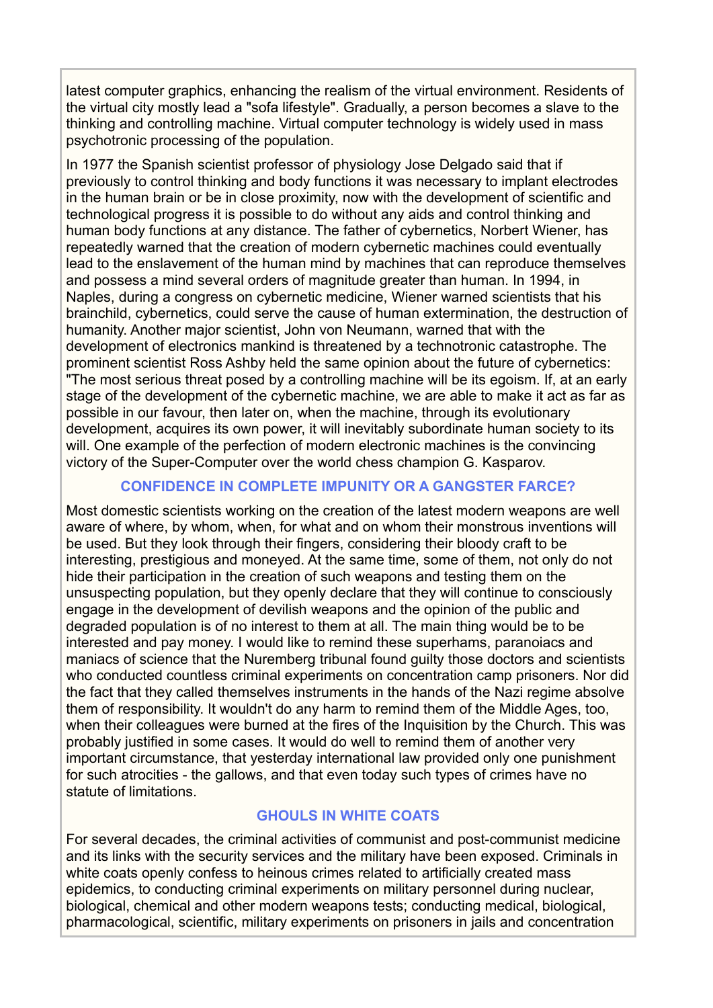latest computer graphics, enhancing the realism of the virtual environment. Residents of the virtual city mostly lead a "sofa lifestyle". Gradually, a person becomes a slave to the thinking and controlling machine. Virtual computer technology is widely used in mass psychotronic processing of the population.

In 1977 the Spanish scientist professor of physiology Jose Delgado said that if previously to control thinking and body functions it was necessary to implant electrodes in the human brain or be in close proximity, now with the development of scientific and technological progress it is possible to do without any aids and control thinking and human body functions at any distance. The father of cybernetics, Norbert Wiener, has repeatedly warned that the creation of modern cybernetic machines could eventually lead to the enslavement of the human mind by machines that can reproduce themselves and possess a mind several orders of magnitude greater than human. In 1994, in Naples, during a congress on cybernetic medicine, Wiener warned scientists that his brainchild, cybernetics, could serve the cause of human extermination, the destruction of humanity. Another major scientist, John von Neumann, warned that with the development of electronics mankind is threatened by a technotronic catastrophe. The prominent scientist Ross Ashby held the same opinion about the future of cybernetics: "The most serious threat posed by a controlling machine will be its egoism. If, at an early stage of the development of the cybernetic machine, we are able to make it act as far as possible in our favour, then later on, when the machine, through its evolutionary development, acquires its own power, it will inevitably subordinate human society to its will. One example of the perfection of modern electronic machines is the convincing victory of the Super-Computer over the world chess champion G. Kasparov.

## **CONFIDENCE IN COMPLETE IMPUNITY OR A GANGSTER FARCE?**

Most domestic scientists working on the creation of the latest modern weapons are well aware of where, by whom, when, for what and on whom their monstrous inventions will be used. But they look through their fingers, considering their bloody craft to be interesting, prestigious and moneyed. At the same time, some of them, not only do not hide their participation in the creation of such weapons and testing them on the unsuspecting population, but they openly declare that they will continue to consciously engage in the development of devilish weapons and the opinion of the public and degraded population is of no interest to them at all. The main thing would be to be interested and pay money. I would like to remind these superhams, paranoiacs and maniacs of science that the Nuremberg tribunal found guilty those doctors and scientists who conducted countless criminal experiments on concentration camp prisoners. Nor did the fact that they called themselves instruments in the hands of the Nazi regime absolve them of responsibility. It wouldn't do any harm to remind them of the Middle Ages, too, when their colleagues were burned at the fires of the Inquisition by the Church. This was probably justified in some cases. It would do well to remind them of another very important circumstance, that yesterday international law provided only one punishment for such atrocities - the gallows, and that even today such types of crimes have no statute of limitations.

## **GHOULS IN WHITE COATS**

For several decades, the criminal activities of communist and post-communist medicine and its links with the security services and the military have been exposed. Criminals in white coats openly confess to heinous crimes related to artificially created mass epidemics, to conducting criminal experiments on military personnel during nuclear, biological, chemical and other modern weapons tests; conducting medical, biological, pharmacological, scientific, military experiments on prisoners in jails and concentration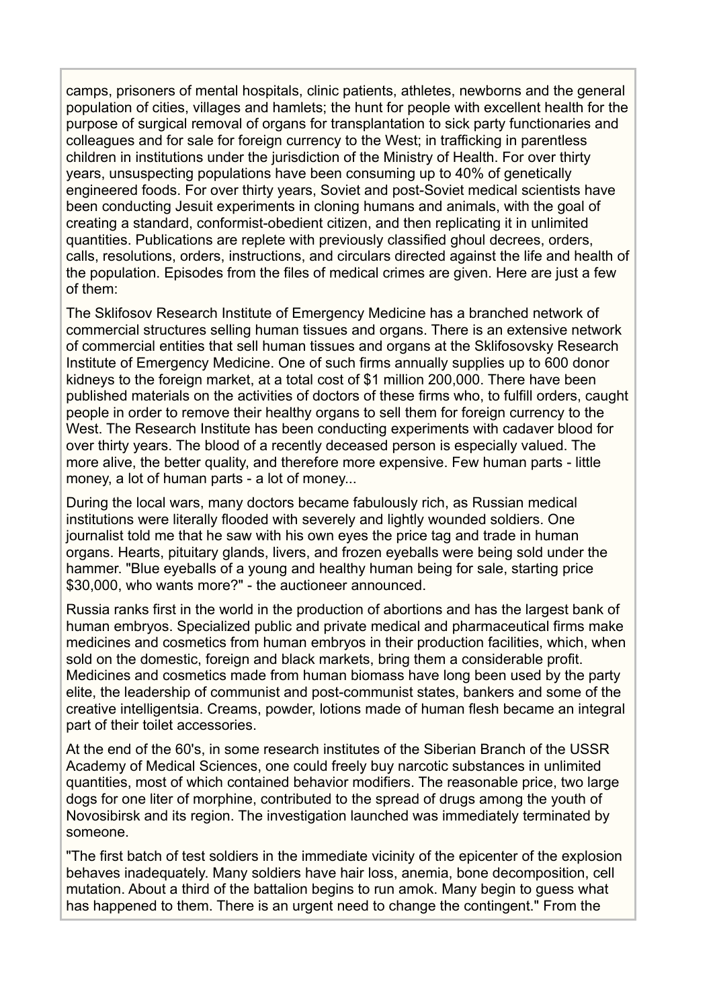camps, prisoners of mental hospitals, clinic patients, athletes, newborns and the general population of cities, villages and hamlets; the hunt for people with excellent health for the purpose of surgical removal of organs for transplantation to sick party functionaries and colleagues and for sale for foreign currency to the West; in trafficking in parentless children in institutions under the jurisdiction of the Ministry of Health. For over thirty years, unsuspecting populations have been consuming up to 40% of genetically engineered foods. For over thirty years, Soviet and post-Soviet medical scientists have been conducting Jesuit experiments in cloning humans and animals, with the goal of creating a standard, conformist-obedient citizen, and then replicating it in unlimited quantities. Publications are replete with previously classified ghoul decrees, orders, calls, resolutions, orders, instructions, and circulars directed against the life and health of the population. Episodes from the files of medical crimes are given. Here are just a few of them:

The Sklifosov Research Institute of Emergency Medicine has a branched network of commercial structures selling human tissues and organs. There is an extensive network of commercial entities that sell human tissues and organs at the Sklifosovsky Research Institute of Emergency Medicine. One of such firms annually supplies up to 600 donor kidneys to the foreign market, at a total cost of \$1 million 200,000. There have been published materials on the activities of doctors of these firms who, to fulfill orders, caught people in order to remove their healthy organs to sell them for foreign currency to the West. The Research Institute has been conducting experiments with cadaver blood for over thirty years. The blood of a recently deceased person is especially valued. The more alive, the better quality, and therefore more expensive. Few human parts - little money, a lot of human parts - a lot of money...

During the local wars, many doctors became fabulously rich, as Russian medical institutions were literally flooded with severely and lightly wounded soldiers. One journalist told me that he saw with his own eyes the price tag and trade in human organs. Hearts, pituitary glands, livers, and frozen eyeballs were being sold under the hammer. "Blue eyeballs of a young and healthy human being for sale, starting price \$30,000, who wants more?" - the auctioneer announced.

Russia ranks first in the world in the production of abortions and has the largest bank of human embryos. Specialized public and private medical and pharmaceutical firms make medicines and cosmetics from human embryos in their production facilities, which, when sold on the domestic, foreign and black markets, bring them a considerable profit. Medicines and cosmetics made from human biomass have long been used by the party elite, the leadership of communist and post-communist states, bankers and some of the creative intelligentsia. Creams, powder, lotions made of human flesh became an integral part of their toilet accessories.

At the end of the 60's, in some research institutes of the Siberian Branch of the USSR Academy of Medical Sciences, one could freely buy narcotic substances in unlimited quantities, most of which contained behavior modifiers. The reasonable price, two large dogs for one liter of morphine, contributed to the spread of drugs among the youth of Novosibirsk and its region. The investigation launched was immediately terminated by someone.

"The first batch of test soldiers in the immediate vicinity of the epicenter of the explosion behaves inadequately. Many soldiers have hair loss, anemia, bone decomposition, cell mutation. About a third of the battalion begins to run amok. Many begin to guess what has happened to them. There is an urgent need to change the contingent." From the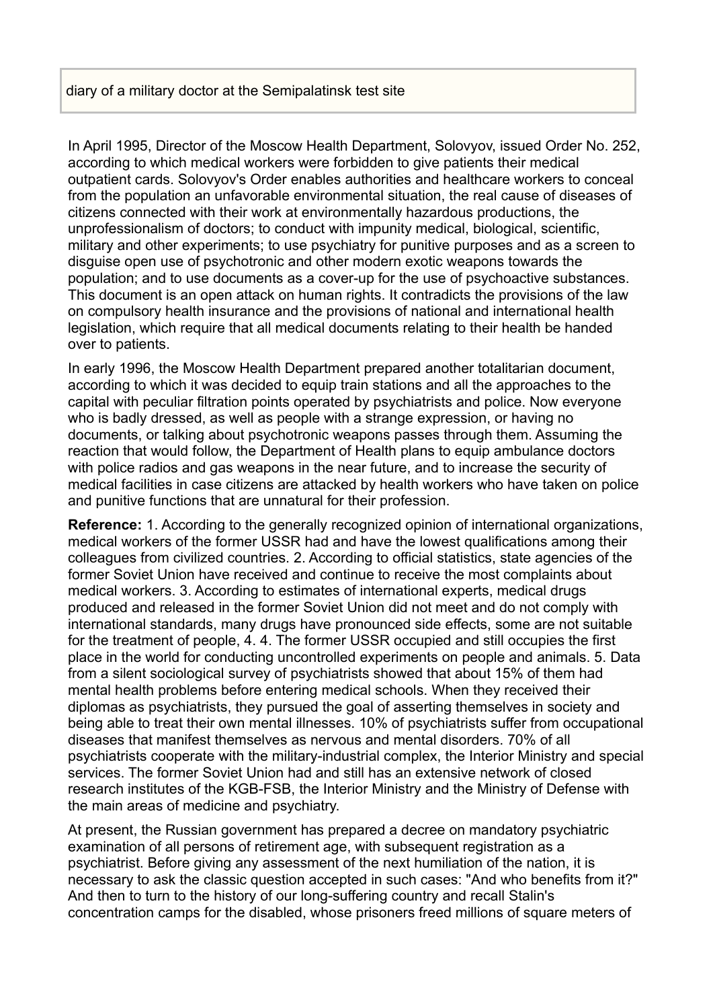## diary of a military doctor at the Semipalatinsk test site

In April 1995, Director of the Moscow Health Department, Solovyov, issued Order No. 252, according to which medical workers were forbidden to give patients their medical outpatient cards. Solovyov's Order enables authorities and healthcare workers to conceal from the population an unfavorable environmental situation, the real cause of diseases of citizens connected with their work at environmentally hazardous productions, the unprofessionalism of doctors; to conduct with impunity medical, biological, scientific, military and other experiments; to use psychiatry for punitive purposes and as a screen to disguise open use of psychotronic and other modern exotic weapons towards the population; and to use documents as a cover-up for the use of psychoactive substances. This document is an open attack on human rights. It contradicts the provisions of the law on compulsory health insurance and the provisions of national and international health legislation, which require that all medical documents relating to their health be handed over to patients.

In early 1996, the Moscow Health Department prepared another totalitarian document, according to which it was decided to equip train stations and all the approaches to the capital with peculiar filtration points operated by psychiatrists and police. Now everyone who is badly dressed, as well as people with a strange expression, or having no documents, or talking about psychotronic weapons passes through them. Assuming the reaction that would follow, the Department of Health plans to equip ambulance doctors with police radios and gas weapons in the near future, and to increase the security of medical facilities in case citizens are attacked by health workers who have taken on police and punitive functions that are unnatural for their profession.

**Reference:** 1. According to the generally recognized opinion of international organizations, medical workers of the former USSR had and have the lowest qualifications among their colleagues from civilized countries. 2. According to official statistics, state agencies of the former Soviet Union have received and continue to receive the most complaints about medical workers. 3. According to estimates of international experts, medical drugs produced and released in the former Soviet Union did not meet and do not comply with international standards, many drugs have pronounced side effects, some are not suitable for the treatment of people, 4. 4. The former USSR occupied and still occupies the first place in the world for conducting uncontrolled experiments on people and animals. 5. Data from a silent sociological survey of psychiatrists showed that about 15% of them had mental health problems before entering medical schools. When they received their diplomas as psychiatrists, they pursued the goal of asserting themselves in society and being able to treat their own mental illnesses. 10% of psychiatrists suffer from occupational diseases that manifest themselves as nervous and mental disorders. 70% of all psychiatrists cooperate with the military-industrial complex, the Interior Ministry and special services. The former Soviet Union had and still has an extensive network of closed research institutes of the KGB-FSB, the Interior Ministry and the Ministry of Defense with the main areas of medicine and psychiatry.

At present, the Russian government has prepared a decree on mandatory psychiatric examination of all persons of retirement age, with subsequent registration as a psychiatrist. Before giving any assessment of the next humiliation of the nation, it is necessary to ask the classic question accepted in such cases: "And who benefits from it?" And then to turn to the history of our long-suffering country and recall Stalin's concentration camps for the disabled, whose prisoners freed millions of square meters of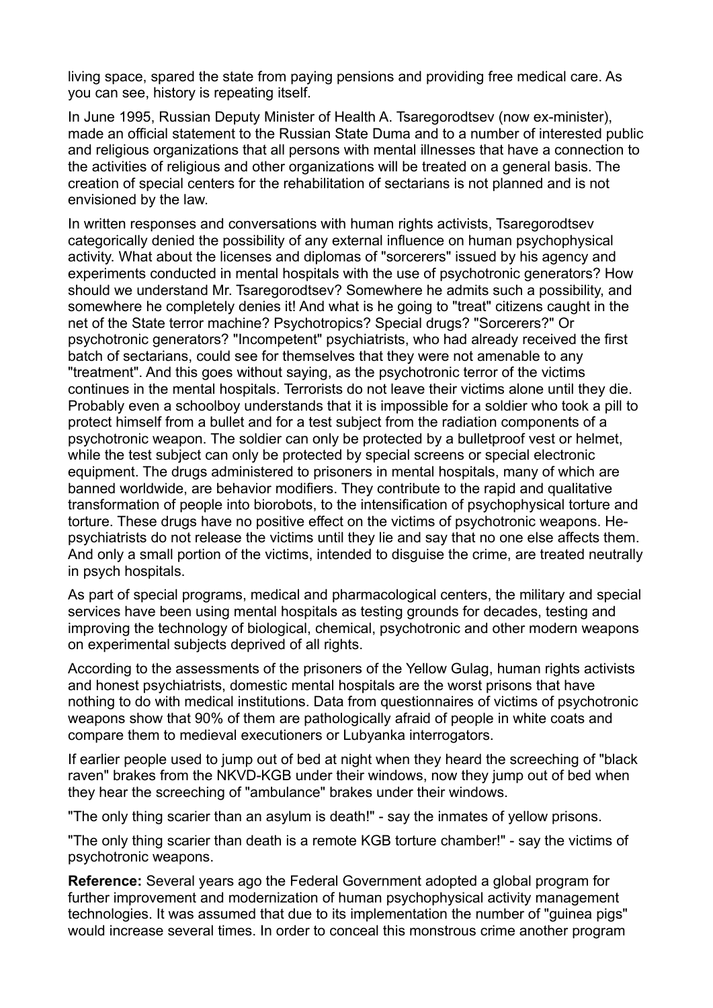living space, spared the state from paying pensions and providing free medical care. As you can see, history is repeating itself.

In June 1995, Russian Deputy Minister of Health A. Tsaregorodtsev (now ex-minister), made an official statement to the Russian State Duma and to a number of interested public and religious organizations that all persons with mental illnesses that have a connection to the activities of religious and other organizations will be treated on a general basis. The creation of special centers for the rehabilitation of sectarians is not planned and is not envisioned by the law.

In written responses and conversations with human rights activists, Tsaregorodtsev categorically denied the possibility of any external influence on human psychophysical activity. What about the licenses and diplomas of "sorcerers" issued by his agency and experiments conducted in mental hospitals with the use of psychotronic generators? How should we understand Mr. Tsaregorodtsev? Somewhere he admits such a possibility, and somewhere he completely denies it! And what is he going to "treat" citizens caught in the net of the State terror machine? Psychotropics? Special drugs? "Sorcerers?" Or psychotronic generators? "Incompetent" psychiatrists, who had already received the first batch of sectarians, could see for themselves that they were not amenable to any "treatment". And this goes without saying, as the psychotronic terror of the victims continues in the mental hospitals. Terrorists do not leave their victims alone until they die. Probably even a schoolboy understands that it is impossible for a soldier who took a pill to protect himself from a bullet and for a test subject from the radiation components of a psychotronic weapon. The soldier can only be protected by a bulletproof vest or helmet, while the test subject can only be protected by special screens or special electronic equipment. The drugs administered to prisoners in mental hospitals, many of which are banned worldwide, are behavior modifiers. They contribute to the rapid and qualitative transformation of people into biorobots, to the intensification of psychophysical torture and torture. These drugs have no positive effect on the victims of psychotronic weapons. Hepsychiatrists do not release the victims until they lie and say that no one else affects them. And only a small portion of the victims, intended to disguise the crime, are treated neutrally in psych hospitals.

As part of special programs, medical and pharmacological centers, the military and special services have been using mental hospitals as testing grounds for decades, testing and improving the technology of biological, chemical, psychotronic and other modern weapons on experimental subjects deprived of all rights.

According to the assessments of the prisoners of the Yellow Gulag, human rights activists and honest psychiatrists, domestic mental hospitals are the worst prisons that have nothing to do with medical institutions. Data from questionnaires of victims of psychotronic weapons show that 90% of them are pathologically afraid of people in white coats and compare them to medieval executioners or Lubyanka interrogators.

If earlier people used to jump out of bed at night when they heard the screeching of "black raven" brakes from the NKVD-KGB under their windows, now they jump out of bed when they hear the screeching of "ambulance" brakes under their windows.

"The only thing scarier than an asylum is death!" - say the inmates of yellow prisons.

"The only thing scarier than death is a remote KGB torture chamber!" - say the victims of psychotronic weapons.

**Reference:** Several years ago the Federal Government adopted a global program for further improvement and modernization of human psychophysical activity management technologies. It was assumed that due to its implementation the number of "guinea pigs" would increase several times. In order to conceal this monstrous crime another program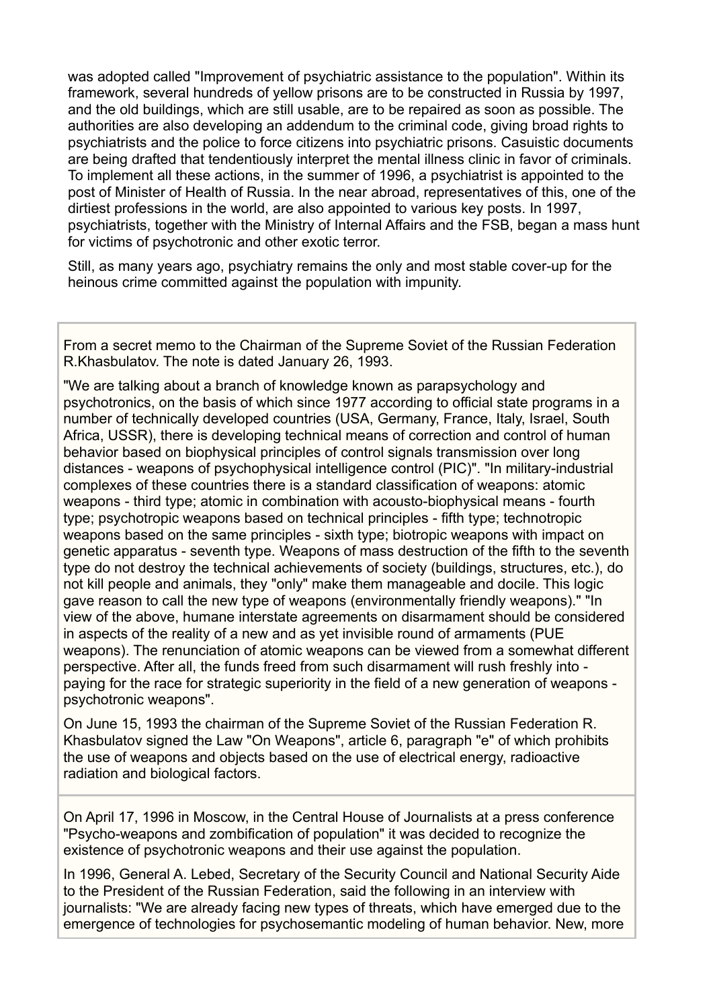was adopted called "Improvement of psychiatric assistance to the population". Within its framework, several hundreds of yellow prisons are to be constructed in Russia by 1997, and the old buildings, which are still usable, are to be repaired as soon as possible. The authorities are also developing an addendum to the criminal code, giving broad rights to psychiatrists and the police to force citizens into psychiatric prisons. Casuistic documents are being drafted that tendentiously interpret the mental illness clinic in favor of criminals. To implement all these actions, in the summer of 1996, a psychiatrist is appointed to the post of Minister of Health of Russia. In the near abroad, representatives of this, one of the dirtiest professions in the world, are also appointed to various key posts. In 1997, psychiatrists, together with the Ministry of Internal Affairs and the FSB, began a mass hunt for victims of psychotronic and other exotic terror.

Still, as many years ago, psychiatry remains the only and most stable cover-up for the heinous crime committed against the population with impunity.

From a secret memo to the Chairman of the Supreme Soviet of the Russian Federation R.Khasbulatov. The note is dated January 26, 1993.

"We are talking about a branch of knowledge known as parapsychology and psychotronics, on the basis of which since 1977 according to official state programs in a number of technically developed countries (USA, Germany, France, Italy, Israel, South Africa, USSR), there is developing technical means of correction and control of human behavior based on biophysical principles of control signals transmission over long distances - weapons of psychophysical intelligence control (PIC)". "In military-industrial complexes of these countries there is a standard classification of weapons: atomic weapons - third type; atomic in combination with acousto-biophysical means - fourth type; psychotropic weapons based on technical principles - fifth type; technotropic weapons based on the same principles - sixth type; biotropic weapons with impact on genetic apparatus - seventh type. Weapons of mass destruction of the fifth to the seventh type do not destroy the technical achievements of society (buildings, structures, etc.), do not kill people and animals, they "only" make them manageable and docile. This logic gave reason to call the new type of weapons (environmentally friendly weapons)." "In view of the above, humane interstate agreements on disarmament should be considered in aspects of the reality of a new and as yet invisible round of armaments (PUE weapons). The renunciation of atomic weapons can be viewed from a somewhat different perspective. After all, the funds freed from such disarmament will rush freshly into paying for the race for strategic superiority in the field of a new generation of weapons psychotronic weapons".

On June 15, 1993 the chairman of the Supreme Soviet of the Russian Federation R. Khasbulatov signed the Law "On Weapons", article 6, paragraph "e" of which prohibits the use of weapons and objects based on the use of electrical energy, radioactive radiation and biological factors.

On April 17, 1996 in Moscow, in the Central House of Journalists at a press conference "Psycho-weapons and zombification of population" it was decided to recognize the existence of psychotronic weapons and their use against the population.

In 1996, General A. Lebed, Secretary of the Security Council and National Security Aide to the President of the Russian Federation, said the following in an interview with journalists: "We are already facing new types of threats, which have emerged due to the emergence of technologies for psychosemantic modeling of human behavior. New, more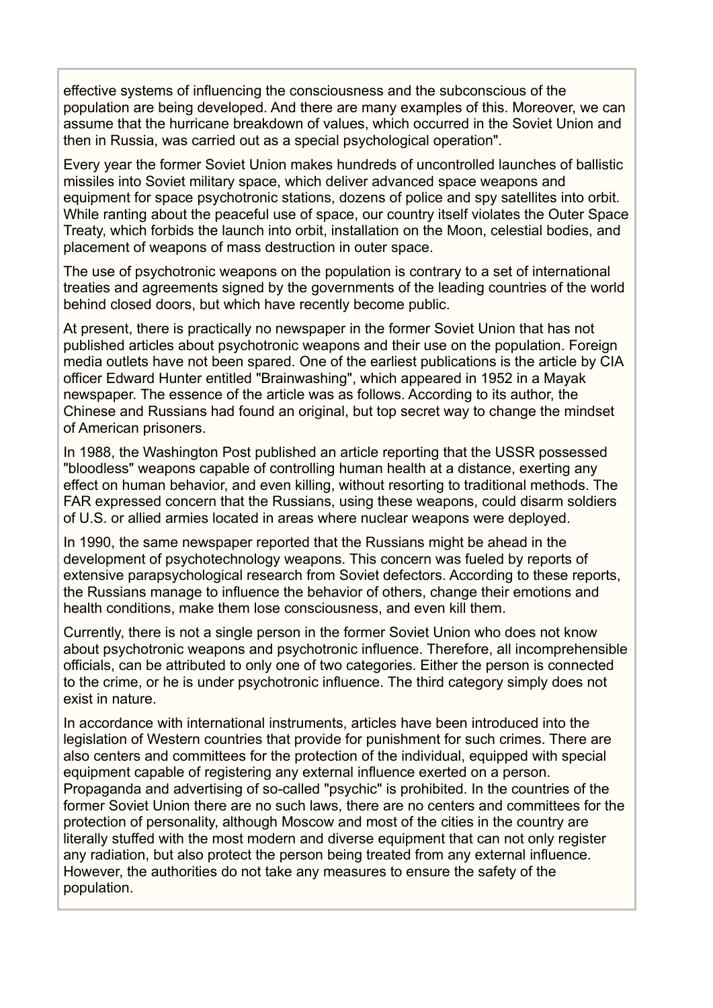effective systems of influencing the consciousness and the subconscious of the population are being developed. And there are many examples of this. Moreover, we can assume that the hurricane breakdown of values, which occurred in the Soviet Union and then in Russia, was carried out as a special psychological operation".

Every year the former Soviet Union makes hundreds of uncontrolled launches of ballistic missiles into Soviet military space, which deliver advanced space weapons and equipment for space psychotronic stations, dozens of police and spy satellites into orbit. While ranting about the peaceful use of space, our country itself violates the Outer Space Treaty, which forbids the launch into orbit, installation on the Moon, celestial bodies, and placement of weapons of mass destruction in outer space.

The use of psychotronic weapons on the population is contrary to a set of international treaties and agreements signed by the governments of the leading countries of the world behind closed doors, but which have recently become public.

At present, there is practically no newspaper in the former Soviet Union that has not published articles about psychotronic weapons and their use on the population. Foreign media outlets have not been spared. One of the earliest publications is the article by CIA officer Edward Hunter entitled "Brainwashing", which appeared in 1952 in a Mayak newspaper. The essence of the article was as follows. According to its author, the Chinese and Russians had found an original, but top secret way to change the mindset of American prisoners.

In 1988, the Washington Post published an article reporting that the USSR possessed "bloodless" weapons capable of controlling human health at a distance, exerting any effect on human behavior, and even killing, without resorting to traditional methods. The FAR expressed concern that the Russians, using these weapons, could disarm soldiers of U.S. or allied armies located in areas where nuclear weapons were deployed.

In 1990, the same newspaper reported that the Russians might be ahead in the development of psychotechnology weapons. This concern was fueled by reports of extensive parapsychological research from Soviet defectors. According to these reports, the Russians manage to influence the behavior of others, change their emotions and health conditions, make them lose consciousness, and even kill them.

Currently, there is not a single person in the former Soviet Union who does not know about psychotronic weapons and psychotronic influence. Therefore, all incomprehensible officials, can be attributed to only one of two categories. Either the person is connected to the crime, or he is under psychotronic influence. The third category simply does not exist in nature.

In accordance with international instruments, articles have been introduced into the legislation of Western countries that provide for punishment for such crimes. There are also centers and committees for the protection of the individual, equipped with special equipment capable of registering any external influence exerted on a person. Propaganda and advertising of so-called "psychic" is prohibited. In the countries of the former Soviet Union there are no such laws, there are no centers and committees for the protection of personality, although Moscow and most of the cities in the country are literally stuffed with the most modern and diverse equipment that can not only register any radiation, but also protect the person being treated from any external influence. However, the authorities do not take any measures to ensure the safety of the population.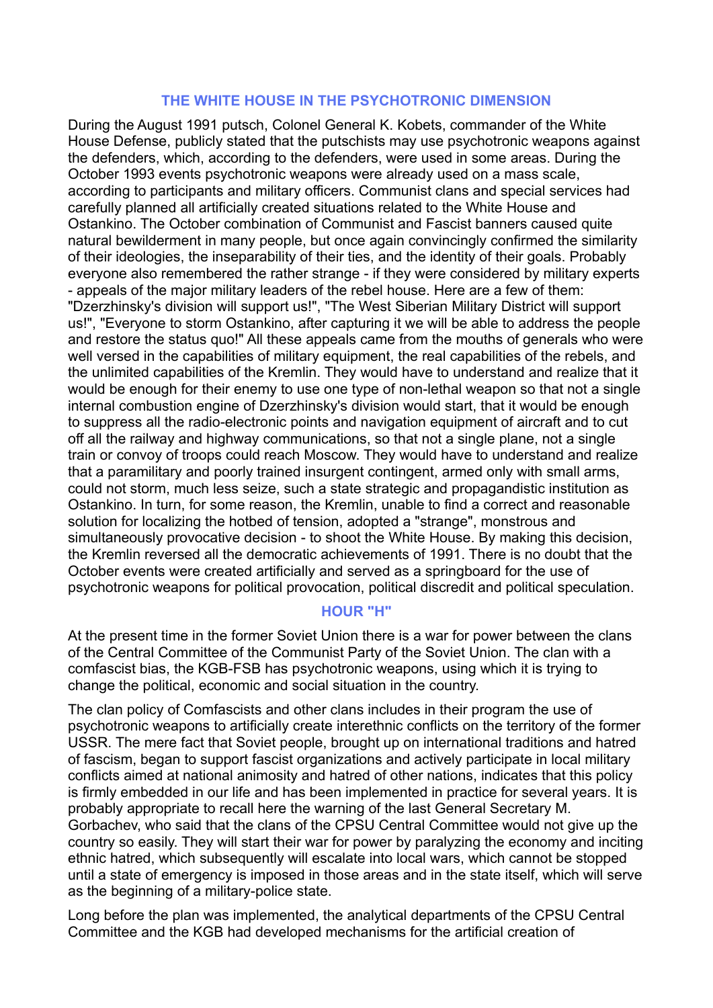### **THE WHITE HOUSE IN THE PSYCHOTRONIC DIMENSION**

During the August 1991 putsch, Colonel General K. Kobets, commander of the White House Defense, publicly stated that the putschists may use psychotronic weapons against the defenders, which, according to the defenders, were used in some areas. During the October 1993 events psychotronic weapons were already used on a mass scale, according to participants and military officers. Communist clans and special services had carefully planned all artificially created situations related to the White House and Ostankino. The October combination of Communist and Fascist banners caused quite natural bewilderment in many people, but once again convincingly confirmed the similarity of their ideologies, the inseparability of their ties, and the identity of their goals. Probably everyone also remembered the rather strange - if they were considered by military experts - appeals of the major military leaders of the rebel house. Here are a few of them: "Dzerzhinsky's division will support us!", "The West Siberian Military District will support us!", "Everyone to storm Ostankino, after capturing it we will be able to address the people and restore the status quo!" All these appeals came from the mouths of generals who were well versed in the capabilities of military equipment, the real capabilities of the rebels, and the unlimited capabilities of the Kremlin. They would have to understand and realize that it would be enough for their enemy to use one type of non-lethal weapon so that not a single internal combustion engine of Dzerzhinsky's division would start, that it would be enough to suppress all the radio-electronic points and navigation equipment of aircraft and to cut off all the railway and highway communications, so that not a single plane, not a single train or convoy of troops could reach Moscow. They would have to understand and realize that a paramilitary and poorly trained insurgent contingent, armed only with small arms, could not storm, much less seize, such a state strategic and propagandistic institution as Ostankino. In turn, for some reason, the Kremlin, unable to find a correct and reasonable solution for localizing the hotbed of tension, adopted a "strange", monstrous and simultaneously provocative decision - to shoot the White House. By making this decision, the Kremlin reversed all the democratic achievements of 1991. There is no doubt that the October events were created artificially and served as a springboard for the use of psychotronic weapons for political provocation, political discredit and political speculation.

# **HOUR "H"**

At the present time in the former Soviet Union there is a war for power between the clans of the Central Committee of the Communist Party of the Soviet Union. The clan with a comfascist bias, the KGB-FSB has psychotronic weapons, using which it is trying to change the political, economic and social situation in the country.

The clan policy of Comfascists and other clans includes in their program the use of psychotronic weapons to artificially create interethnic conflicts on the territory of the former USSR. The mere fact that Soviet people, brought up on international traditions and hatred of fascism, began to support fascist organizations and actively participate in local military conflicts aimed at national animosity and hatred of other nations, indicates that this policy is firmly embedded in our life and has been implemented in practice for several years. It is probably appropriate to recall here the warning of the last General Secretary M. Gorbachev, who said that the clans of the CPSU Central Committee would not give up the country so easily. They will start their war for power by paralyzing the economy and inciting ethnic hatred, which subsequently will escalate into local wars, which cannot be stopped until a state of emergency is imposed in those areas and in the state itself, which will serve as the beginning of a military-police state.

Long before the plan was implemented, the analytical departments of the CPSU Central Committee and the KGB had developed mechanisms for the artificial creation of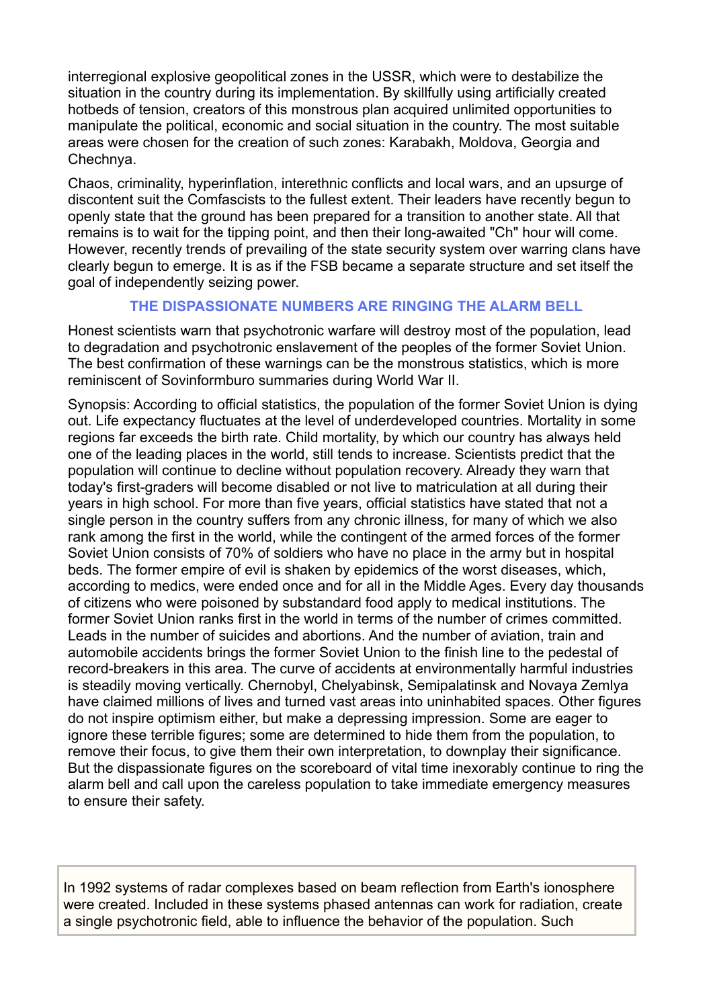interregional explosive geopolitical zones in the USSR, which were to destabilize the situation in the country during its implementation. By skillfully using artificially created hotbeds of tension, creators of this monstrous plan acquired unlimited opportunities to manipulate the political, economic and social situation in the country. The most suitable areas were chosen for the creation of such zones: Karabakh, Moldova, Georgia and Chechnya.

Chaos, criminality, hyperinflation, interethnic conflicts and local wars, and an upsurge of discontent suit the Comfascists to the fullest extent. Their leaders have recently begun to openly state that the ground has been prepared for a transition to another state. All that remains is to wait for the tipping point, and then their long-awaited "Ch" hour will come. However, recently trends of prevailing of the state security system over warring clans have clearly begun to emerge. It is as if the FSB became a separate structure and set itself the goal of independently seizing power.

# **THE DISPASSIONATE NUMBERS ARE RINGING THE ALARM BELL**

Honest scientists warn that psychotronic warfare will destroy most of the population, lead to degradation and psychotronic enslavement of the peoples of the former Soviet Union. The best confirmation of these warnings can be the monstrous statistics, which is more reminiscent of Sovinformburo summaries during World War II.

Synopsis: According to official statistics, the population of the former Soviet Union is dying out. Life expectancy fluctuates at the level of underdeveloped countries. Mortality in some regions far exceeds the birth rate. Child mortality, by which our country has always held one of the leading places in the world, still tends to increase. Scientists predict that the population will continue to decline without population recovery. Already they warn that today's first-graders will become disabled or not live to matriculation at all during their years in high school. For more than five years, official statistics have stated that not a single person in the country suffers from any chronic illness, for many of which we also rank among the first in the world, while the contingent of the armed forces of the former Soviet Union consists of 70% of soldiers who have no place in the army but in hospital beds. The former empire of evil is shaken by epidemics of the worst diseases, which, according to medics, were ended once and for all in the Middle Ages. Every day thousands of citizens who were poisoned by substandard food apply to medical institutions. The former Soviet Union ranks first in the world in terms of the number of crimes committed. Leads in the number of suicides and abortions. And the number of aviation, train and automobile accidents brings the former Soviet Union to the finish line to the pedestal of record-breakers in this area. The curve of accidents at environmentally harmful industries is steadily moving vertically. Chernobyl, Chelyabinsk, Semipalatinsk and Novaya Zemlya have claimed millions of lives and turned vast areas into uninhabited spaces. Other figures do not inspire optimism either, but make a depressing impression. Some are eager to ignore these terrible figures; some are determined to hide them from the population, to remove their focus, to give them their own interpretation, to downplay their significance. But the dispassionate figures on the scoreboard of vital time inexorably continue to ring the alarm bell and call upon the careless population to take immediate emergency measures to ensure their safety.

In 1992 systems of radar complexes based on beam reflection from Earth's ionosphere were created. Included in these systems phased antennas can work for radiation, create a single psychotronic field, able to influence the behavior of the population. Such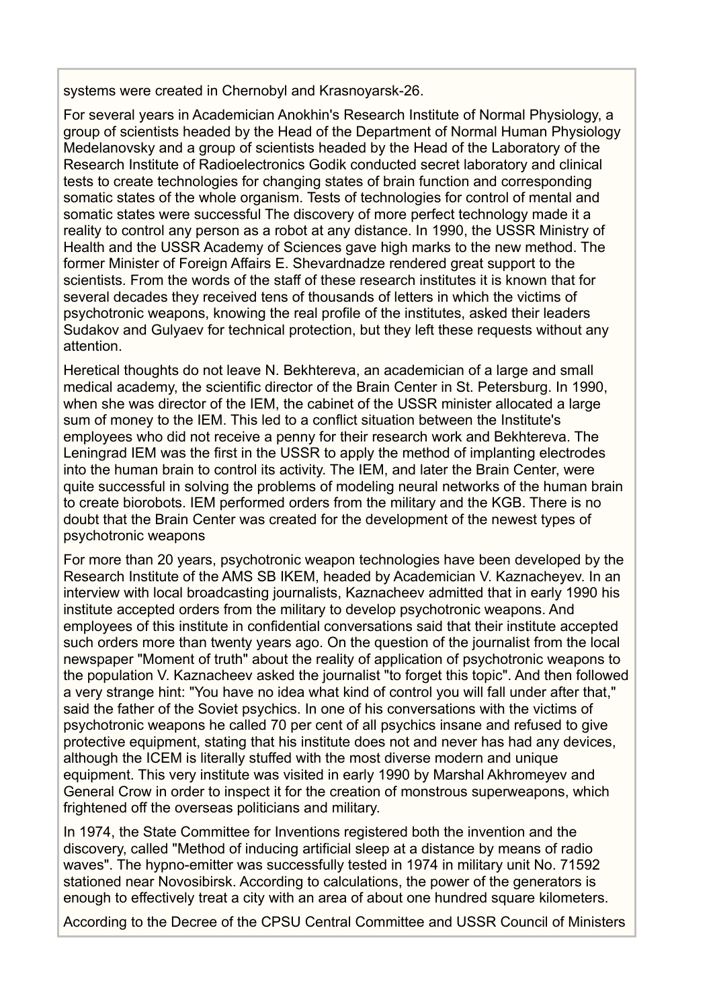systems were created in Chernobyl and Krasnoyarsk-26.

For several years in Academician Anokhin's Research Institute of Normal Physiology, a group of scientists headed by the Head of the Department of Normal Human Physiology Medelanovsky and a group of scientists headed by the Head of the Laboratory of the Research Institute of Radioelectronics Godik conducted secret laboratory and clinical tests to create technologies for changing states of brain function and corresponding somatic states of the whole organism. Tests of technologies for control of mental and somatic states were successful The discovery of more perfect technology made it a reality to control any person as a robot at any distance. In 1990, the USSR Ministry of Health and the USSR Academy of Sciences gave high marks to the new method. The former Minister of Foreign Affairs E. Shevardnadze rendered great support to the scientists. From the words of the staff of these research institutes it is known that for several decades they received tens of thousands of letters in which the victims of psychotronic weapons, knowing the real profile of the institutes, asked their leaders Sudakov and Gulyaev for technical protection, but they left these requests without any attention.

Heretical thoughts do not leave N. Bekhtereva, an academician of a large and small medical academy, the scientific director of the Brain Center in St. Petersburg. In 1990, when she was director of the IEM, the cabinet of the USSR minister allocated a large sum of money to the IEM. This led to a conflict situation between the Institute's employees who did not receive a penny for their research work and Bekhtereva. The Leningrad IEM was the first in the USSR to apply the method of implanting electrodes into the human brain to control its activity. The IEM, and later the Brain Center, were quite successful in solving the problems of modeling neural networks of the human brain to create biorobots. IEM performed orders from the military and the KGB. There is no doubt that the Brain Center was created for the development of the newest types of psychotronic weapons

For more than 20 years, psychotronic weapon technologies have been developed by the Research Institute of the AMS SB IKEM, headed by Academician V. Kaznacheyev. In an interview with local broadcasting journalists, Kaznacheev admitted that in early 1990 his institute accepted orders from the military to develop psychotronic weapons. And employees of this institute in confidential conversations said that their institute accepted such orders more than twenty years ago. On the question of the journalist from the local newspaper "Moment of truth" about the reality of application of psychotronic weapons to the population V. Kaznacheev asked the journalist "to forget this topic". And then followed a very strange hint: "You have no idea what kind of control you will fall under after that," said the father of the Soviet psychics. In one of his conversations with the victims of psychotronic weapons he called 70 per cent of all psychics insane and refused to give protective equipment, stating that his institute does not and never has had any devices, although the ICEM is literally stuffed with the most diverse modern and unique equipment. This very institute was visited in early 1990 by Marshal Akhromeyev and General Crow in order to inspect it for the creation of monstrous superweapons, which frightened off the overseas politicians and military.

In 1974, the State Committee for Inventions registered both the invention and the discovery, called "Method of inducing artificial sleep at a distance by means of radio waves". The hypno-emitter was successfully tested in 1974 in military unit No. 71592 stationed near Novosibirsk. According to calculations, the power of the generators is enough to effectively treat a city with an area of about one hundred square kilometers.

According to the Decree of the CPSU Central Committee and USSR Council of Ministers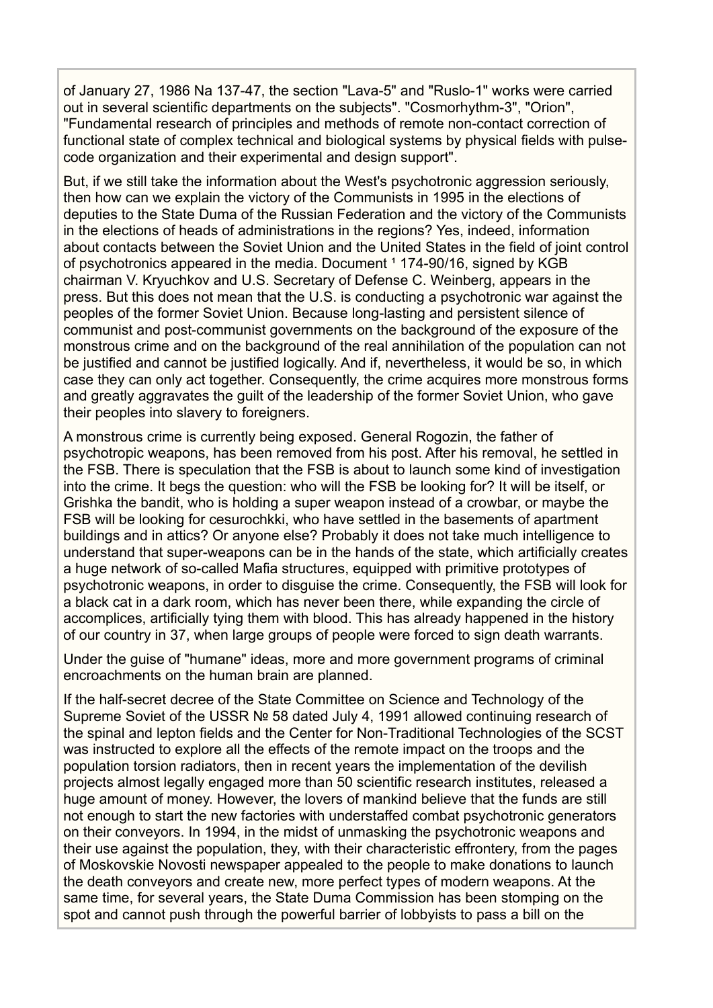of January 27, 1986 Na 137-47, the section "Lava-5" and "Ruslo-1" works were carried out in several scientific departments on the subjects". "Cosmorhythm-3", "Orion", "Fundamental research of principles and methods of remote non-contact correction of functional state of complex technical and biological systems by physical fields with pulsecode organization and their experimental and design support".

But, if we still take the information about the West's psychotronic aggression seriously. then how can we explain the victory of the Communists in 1995 in the elections of deputies to the State Duma of the Russian Federation and the victory of the Communists in the elections of heads of administrations in the regions? Yes, indeed, information about contacts between the Soviet Union and the United States in the field of joint control of psychotronics appeared in the media. Document <sup>1</sup> 174-90/16, signed by KGB chairman V. Kryuchkov and U.S. Secretary of Defense C. Weinberg, appears in the press. But this does not mean that the U.S. is conducting a psychotronic war against the peoples of the former Soviet Union. Because long-lasting and persistent silence of communist and post-communist governments on the background of the exposure of the monstrous crime and on the background of the real annihilation of the population can not be justified and cannot be justified logically. And if, nevertheless, it would be so, in which case they can only act together. Consequently, the crime acquires more monstrous forms and greatly aggravates the guilt of the leadership of the former Soviet Union, who gave their peoples into slavery to foreigners.

A monstrous crime is currently being exposed. General Rogozin, the father of psychotropic weapons, has been removed from his post. After his removal, he settled in the FSB. There is speculation that the FSB is about to launch some kind of investigation into the crime. It begs the question: who will the FSB be looking for? It will be itself, or Grishka the bandit, who is holding a super weapon instead of a crowbar, or maybe the FSB will be looking for cesurochkki, who have settled in the basements of apartment buildings and in attics? Or anyone else? Probably it does not take much intelligence to understand that super-weapons can be in the hands of the state, which artificially creates a huge network of so-called Mafia structures, equipped with primitive prototypes of psychotronic weapons, in order to disguise the crime. Consequently, the FSB will look for a black cat in a dark room, which has never been there, while expanding the circle of accomplices, artificially tying them with blood. This has already happened in the history of our country in 37, when large groups of people were forced to sign death warrants.

Under the guise of "humane" ideas, more and more government programs of criminal encroachments on the human brain are planned.

If the half-secret decree of the State Committee on Science and Technology of the Supreme Soviet of the USSR № 58 dated July 4, 1991 allowed continuing research of the spinal and lepton fields and the Center for Non-Traditional Technologies of the SCST was instructed to explore all the effects of the remote impact on the troops and the population torsion radiators, then in recent years the implementation of the devilish projects almost legally engaged more than 50 scientific research institutes, released a huge amount of money. However, the lovers of mankind believe that the funds are still not enough to start the new factories with understaffed combat psychotronic generators on their conveyors. In 1994, in the midst of unmasking the psychotronic weapons and their use against the population, they, with their characteristic effrontery, from the pages of Moskovskie Novosti newspaper appealed to the people to make donations to launch the death conveyors and create new, more perfect types of modern weapons. At the same time, for several years, the State Duma Commission has been stomping on the spot and cannot push through the powerful barrier of lobbyists to pass a bill on the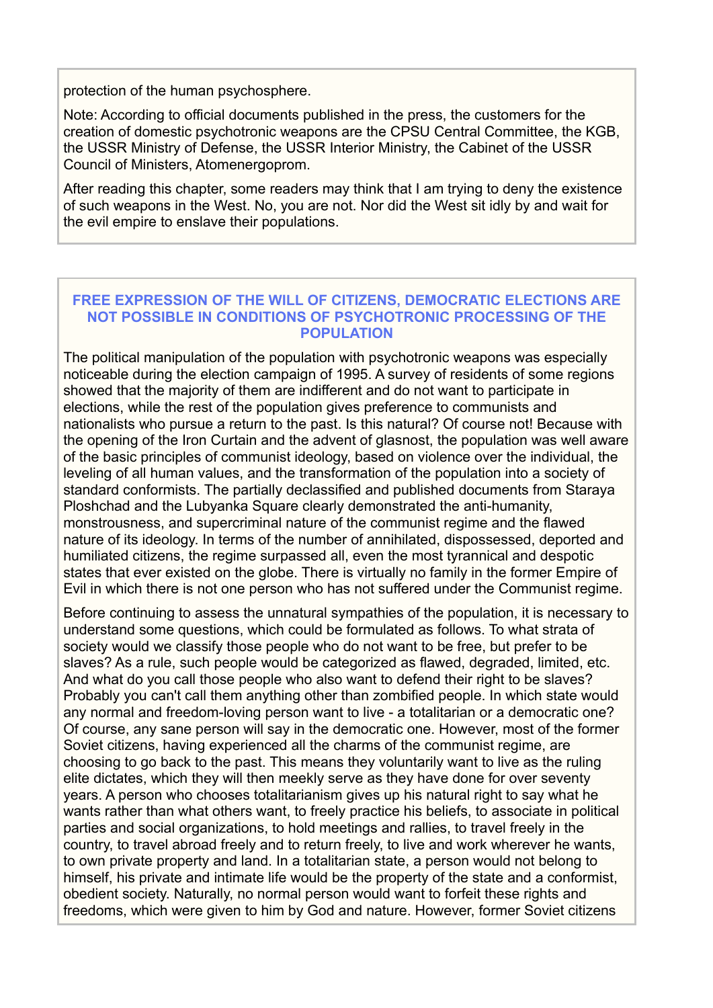protection of the human psychosphere.

Note: According to official documents published in the press, the customers for the creation of domestic psychotronic weapons are the CPSU Central Committee, the KGB, the USSR Ministry of Defense, the USSR Interior Ministry, the Cabinet of the USSR Council of Ministers, Atomenergoprom.

After reading this chapter, some readers may think that I am trying to deny the existence of such weapons in the West. No, you are not. Nor did the West sit idly by and wait for the evil empire to enslave their populations.

## **FREE EXPRESSION OF THE WILL OF CITIZENS, DEMOCRATIC ELECTIONS ARE NOT POSSIBLE IN CONDITIONS OF PSYCHOTRONIC PROCESSING OF THE POPULATION**

The political manipulation of the population with psychotronic weapons was especially noticeable during the election campaign of 1995. A survey of residents of some regions showed that the majority of them are indifferent and do not want to participate in elections, while the rest of the population gives preference to communists and nationalists who pursue a return to the past. Is this natural? Of course not! Because with the opening of the Iron Curtain and the advent of glasnost, the population was well aware of the basic principles of communist ideology, based on violence over the individual, the leveling of all human values, and the transformation of the population into a society of standard conformists. The partially declassified and published documents from Staraya Ploshchad and the Lubyanka Square clearly demonstrated the anti-humanity, monstrousness, and supercriminal nature of the communist regime and the flawed nature of its ideology. In terms of the number of annihilated, dispossessed, deported and humiliated citizens, the regime surpassed all, even the most tyrannical and despotic states that ever existed on the globe. There is virtually no family in the former Empire of Evil in which there is not one person who has not suffered under the Communist regime.

Before continuing to assess the unnatural sympathies of the population, it is necessary to understand some questions, which could be formulated as follows. To what strata of society would we classify those people who do not want to be free, but prefer to be slaves? As a rule, such people would be categorized as flawed, degraded, limited, etc. And what do you call those people who also want to defend their right to be slaves? Probably you can't call them anything other than zombified people. In which state would any normal and freedom-loving person want to live - a totalitarian or a democratic one? Of course, any sane person will say in the democratic one. However, most of the former Soviet citizens, having experienced all the charms of the communist regime, are choosing to go back to the past. This means they voluntarily want to live as the ruling elite dictates, which they will then meekly serve as they have done for over seventy years. A person who chooses totalitarianism gives up his natural right to say what he wants rather than what others want, to freely practice his beliefs, to associate in political parties and social organizations, to hold meetings and rallies, to travel freely in the country, to travel abroad freely and to return freely, to live and work wherever he wants, to own private property and land. In a totalitarian state, a person would not belong to himself, his private and intimate life would be the property of the state and a conformist, obedient society. Naturally, no normal person would want to forfeit these rights and freedoms, which were given to him by God and nature. However, former Soviet citizens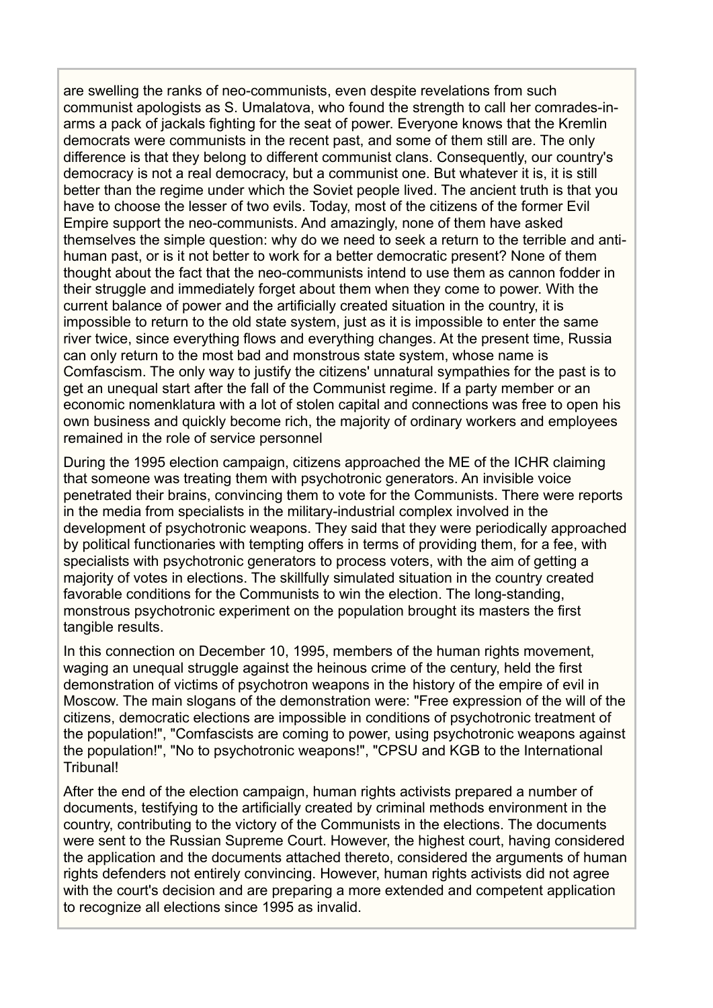are swelling the ranks of neo-communists, even despite revelations from such communist apologists as S. Umalatova, who found the strength to call her comrades-inarms a pack of jackals fighting for the seat of power. Everyone knows that the Kremlin democrats were communists in the recent past, and some of them still are. The only difference is that they belong to different communist clans. Consequently, our country's democracy is not a real democracy, but a communist one. But whatever it is, it is still better than the regime under which the Soviet people lived. The ancient truth is that you have to choose the lesser of two evils. Today, most of the citizens of the former Evil Empire support the neo-communists. And amazingly, none of them have asked themselves the simple question: why do we need to seek a return to the terrible and antihuman past, or is it not better to work for a better democratic present? None of them thought about the fact that the neo-communists intend to use them as cannon fodder in their struggle and immediately forget about them when they come to power. With the current balance of power and the artificially created situation in the country, it is impossible to return to the old state system, just as it is impossible to enter the same river twice, since everything flows and everything changes. At the present time, Russia can only return to the most bad and monstrous state system, whose name is Comfascism. The only way to justify the citizens' unnatural sympathies for the past is to get an unequal start after the fall of the Communist regime. If a party member or an economic nomenklatura with a lot of stolen capital and connections was free to open his own business and quickly become rich, the majority of ordinary workers and employees remained in the role of service personnel

During the 1995 election campaign, citizens approached the ME of the ICHR claiming that someone was treating them with psychotronic generators. An invisible voice penetrated their brains, convincing them to vote for the Communists. There were reports in the media from specialists in the military-industrial complex involved in the development of psychotronic weapons. They said that they were periodically approached by political functionaries with tempting offers in terms of providing them, for a fee, with specialists with psychotronic generators to process voters, with the aim of getting a majority of votes in elections. The skillfully simulated situation in the country created favorable conditions for the Communists to win the election. The long-standing, monstrous psychotronic experiment on the population brought its masters the first tangible results.

In this connection on December 10, 1995, members of the human rights movement. waging an unequal struggle against the heinous crime of the century, held the first demonstration of victims of psychotron weapons in the history of the empire of evil in Moscow. The main slogans of the demonstration were: "Free expression of the will of the citizens, democratic elections are impossible in conditions of psychotronic treatment of the population!", "Comfascists are coming to power, using psychotronic weapons against the population!", "No to psychotronic weapons!", "CPSU and KGB to the International Tribunal!

After the end of the election campaign, human rights activists prepared a number of documents, testifying to the artificially created by criminal methods environment in the country, contributing to the victory of the Communists in the elections. The documents were sent to the Russian Supreme Court. However, the highest court, having considered the application and the documents attached thereto, considered the arguments of human rights defenders not entirely convincing. However, human rights activists did not agree with the court's decision and are preparing a more extended and competent application to recognize all elections since 1995 as invalid.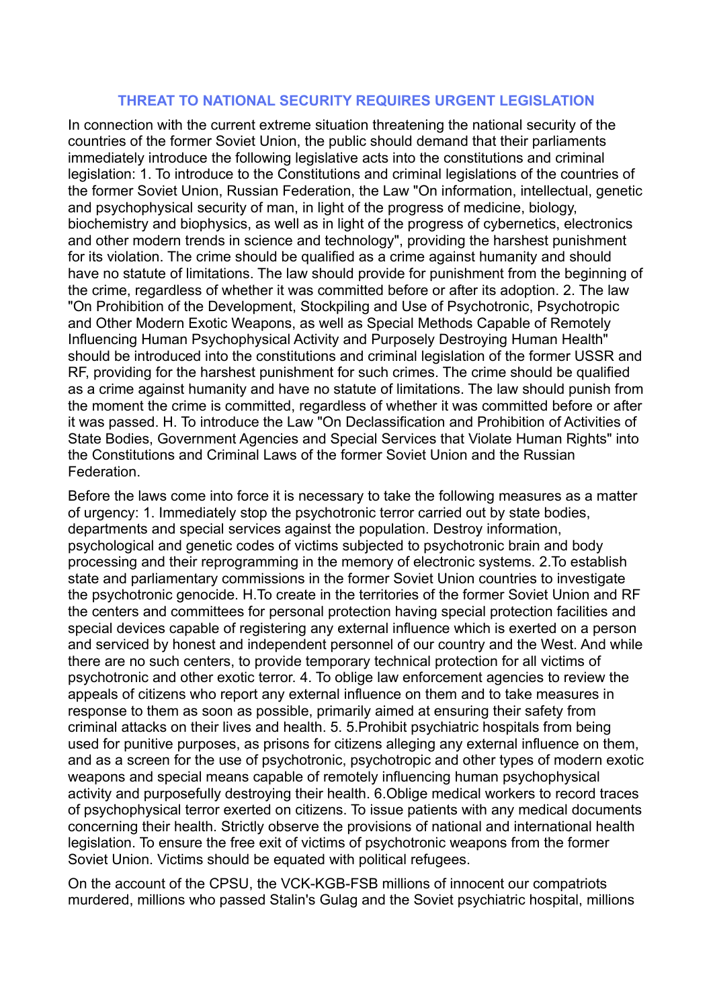### **THREAT TO NATIONAL SECURITY REQUIRES URGENT LEGISLATION**

In connection with the current extreme situation threatening the national security of the countries of the former Soviet Union, the public should demand that their parliaments immediately introduce the following legislative acts into the constitutions and criminal legislation: 1. To introduce to the Constitutions and criminal legislations of the countries of the former Soviet Union, Russian Federation, the Law "On information, intellectual, genetic and psychophysical security of man, in light of the progress of medicine, biology, biochemistry and biophysics, as well as in light of the progress of cybernetics, electronics and other modern trends in science and technology", providing the harshest punishment for its violation. The crime should be qualified as a crime against humanity and should have no statute of limitations. The law should provide for punishment from the beginning of the crime, regardless of whether it was committed before or after its adoption. 2. The law "On Prohibition of the Development, Stockpiling and Use of Psychotronic, Psychotropic and Other Modern Exotic Weapons, as well as Special Methods Capable of Remotely Influencing Human Psychophysical Activity and Purposely Destroying Human Health" should be introduced into the constitutions and criminal legislation of the former USSR and RF, providing for the harshest punishment for such crimes. The crime should be qualified as a crime against humanity and have no statute of limitations. The law should punish from the moment the crime is committed, regardless of whether it was committed before or after it was passed. H. To introduce the Law "On Declassification and Prohibition of Activities of State Bodies, Government Agencies and Special Services that Violate Human Rights" into the Constitutions and Criminal Laws of the former Soviet Union and the Russian Federation.

Before the laws come into force it is necessary to take the following measures as a matter of urgency: 1. Immediately stop the psychotronic terror carried out by state bodies, departments and special services against the population. Destroy information, psychological and genetic codes of victims subjected to psychotronic brain and body processing and their reprogramming in the memory of electronic systems. 2.To establish state and parliamentary commissions in the former Soviet Union countries to investigate the psychotronic genocide. H.To create in the territories of the former Soviet Union and RF the centers and committees for personal protection having special protection facilities and special devices capable of registering any external influence which is exerted on a person and serviced by honest and independent personnel of our country and the West. And while there are no such centers, to provide temporary technical protection for all victims of psychotronic and other exotic terror. 4. To oblige law enforcement agencies to review the appeals of citizens who report any external influence on them and to take measures in response to them as soon as possible, primarily aimed at ensuring their safety from criminal attacks on their lives and health. 5. 5.Prohibit psychiatric hospitals from being used for punitive purposes, as prisons for citizens alleging any external influence on them, and as a screen for the use of psychotronic, psychotropic and other types of modern exotic weapons and special means capable of remotely influencing human psychophysical activity and purposefully destroying their health. 6.Oblige medical workers to record traces of psychophysical terror exerted on citizens. To issue patients with any medical documents concerning their health. Strictly observe the provisions of national and international health legislation. To ensure the free exit of victims of psychotronic weapons from the former Soviet Union. Victims should be equated with political refugees.

On the account of the CPSU, the VCK-KGB-FSB millions of innocent our compatriots murdered, millions who passed Stalin's Gulag and the Soviet psychiatric hospital, millions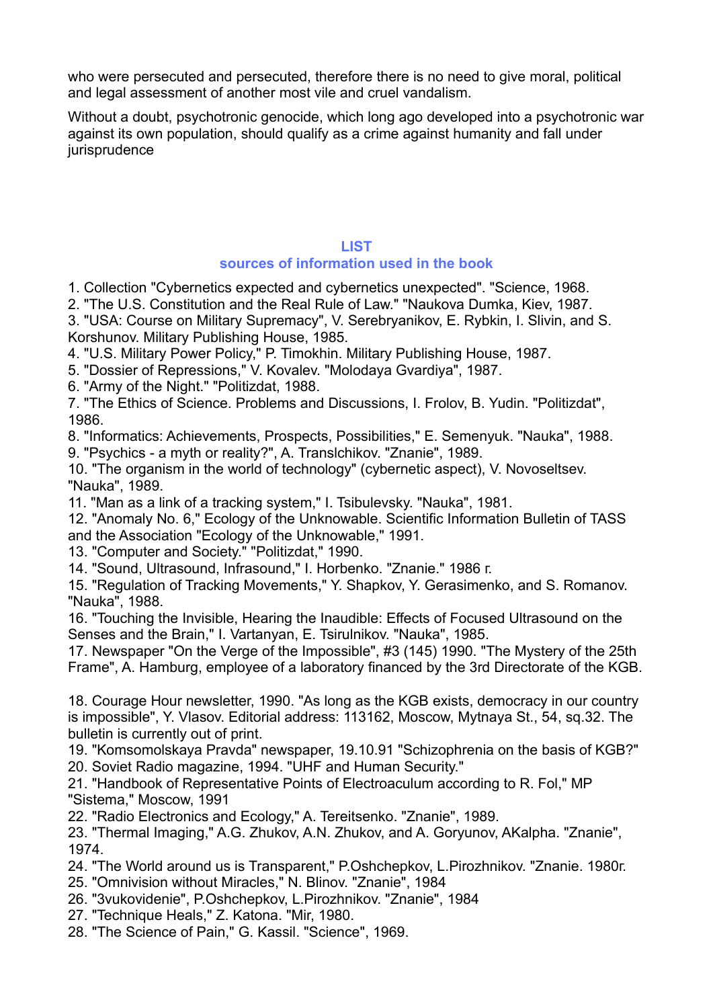who were persecuted and persecuted, therefore there is no need to give moral, political and legal assessment of another most vile and cruel vandalism.

Without a doubt, psychotronic genocide, which long ago developed into a psychotronic war against its own population, should qualify as a crime against humanity and fall under jurisprudence

# **LIST**

# **sources of information used in the book**

1. Collection "Cybernetics expected and cybernetics unexpected". "Science, 1968.

2. "The U.S. Constitution and the Real Rule of Law." "Naukova Dumka, Kiev, 1987.

3. "USA: Course on Military Supremacy", V. Serebryanikov, E. Rybkin, I. Slivin, and S. Korshunov. Military Publishing House, 1985.

4. "U.S. Military Power Policy," P. Timokhin. Military Publishing House, 1987.

5. "Dossier of Repressions," V. Kovalev. "Molodaya Gvardiya", 1987.

6. "Army of the Night." "Politizdat, 1988.

7. "The Ethics of Science. Problems and Discussions, I. Frolov, B. Yudin. "Politizdat", 1986.

8. "Informatics: Achievements, Prospects, Possibilities," E. Semenyuk. "Nauka", 1988.

9. "Psychics - a myth or reality?", A. Translchikov. "Znanie", 1989.

10. "The organism in the world of technology" (cybernetic aspect), V. Novoseltsev. "Nauka", 1989.

11. "Man as a link of a tracking system," I. Tsibulevsky. "Nauka", 1981.

12. "Anomaly No. 6," Ecology of the Unknowable. Scientific Information Bulletin of TASS and the Association "Ecology of the Unknowable," 1991.

13. "Computer and Society." "Politizdat," 1990.

14. "Sound, Ultrasound, Infrasound," I. Horbenko. "Znanie." 1986 г.

15. "Regulation of Tracking Movements," Y. Shapkov, Y. Gerasimenko, and S. Romanov. "Nauka", 1988.

16. "Touching the Invisible, Hearing the Inaudible: Effects of Focused Ultrasound on the Senses and the Brain," I. Vartanyan, E. Tsirulnikov. "Nauka", 1985.

17. Newspaper "On the Verge of the Impossible", #3 (145) 1990. "The Mystery of the 25th Frame", A. Hamburg, employee of a laboratory financed by the 3rd Directorate of the KGB.

18. Courage Hour newsletter, 1990. "As long as the KGB exists, democracy in our country is impossible", Y. Vlasov. Editorial address: 113162, Moscow, Mytnaya St., 54, sq.32. The bulletin is currently out of print.

19. "Komsomolskaya Pravda" newspaper, 19.10.91 "Schizophrenia on the basis of KGB?" 20. Soviet Radio magazine, 1994. "UHF and Human Security."

21. "Handbook of Representative Points of Electroaculum according to R. Fol," MP "Sistema," Moscow, 1991

22. "Radio Electronics and Ecology," A. Tereitsenko. "Znanie", 1989.

23. "Thermal Imaging," A.G. Zhukov, A.N. Zhukov, and A. Goryunov, AKalpha. "Znanie", 1974.

24. "The World around us is Transparent," P.Oshchepkov, L.Pirozhnikov. "Znanie. 1980г.

25. "Omnivision without Miracles," N. Blinov. "Znanie", 1984

- 26. "3vukovidenie", P.Oshchepkov, L.Pirozhnikov. "Znanie", 1984
- 27. "Technique Heals," Z. Katona. "Mir, 1980.

28. "The Science of Pain," G. Kassil. "Science", 1969.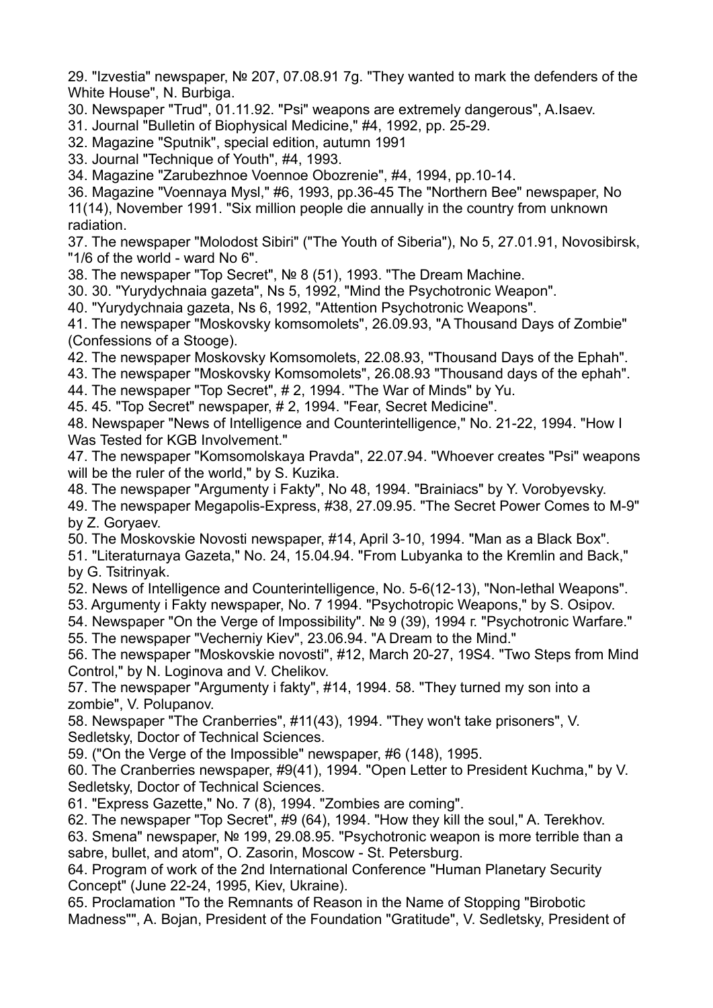29. "Izvestia" newspaper, № 207, 07.08.91 7g. "They wanted to mark the defenders of the White House", N. Burbiga.

- 30. Newspaper "Trud", 01.11.92. "Psi" weapons are extremely dangerous", A.Isaev.
- 31. Journal "Bulletin of Biophysical Medicine," #4, 1992, pp. 25-29.
- 32. Magazine "Sputnik", special edition, autumn 1991
- 33. Journal "Technique of Youth", #4, 1993.
- 34. Magazine "Zarubezhnoe Voennoe Obozrenie", #4, 1994, pp.10-14.

36. Magazine "Voennaya Mysl," #6, 1993, pp.36-45 The "Northern Bee" newspaper, No 11(14), November 1991. "Six million people die annually in the country from unknown radiation.

37. The newspaper "Molodost Sibiri" ("The Youth of Siberia"), No 5, 27.01.91, Novosibirsk, "1/6 of the world - ward No 6".

38. The newspaper "Top Secret", № 8 (51), 1993. "The Dream Machine.

- 30. 30. "Yurydychnaia gazeta", Ns 5, 1992, "Mind the Psychotronic Weapon".
- 40. "Yurydychnaia gazeta, Ns 6, 1992, "Attention Psychotronic Weapons".

41. The newspaper "Moskovsky komsomolets", 26.09.93, "A Thousand Days of Zombie" (Confessions of a Stooge).

- 42. The newspaper Moskovsky Komsomolets, 22.08.93, "Thousand Days of the Ephah".
- 43. The newspaper "Moskovsky Komsomolets", 26.08.93 "Thousand days of the ephah".
- 44. The newspaper "Top Secret", # 2, 1994. "The War of Minds" by Yu.

45. 45. "Top Secret" newspaper, # 2, 1994. "Fear, Secret Medicine".

48. Newspaper "News of Intelligence and Counterintelligence," No. 21-22, 1994. "How I Was Tested for KGB Involvement."

47. The newspaper "Komsomolskaya Pravda", 22.07.94. "Whoever creates "Psi" weapons will be the ruler of the world," by S. Kuzika.

48. The newspaper "Argumenty i Fakty", No 48, 1994. "Brainiacs" by Y. Vorobyevsky.

49. The newspaper Megapolis-Express, #38, 27.09.95. "The Secret Power Comes to M-9" by Z. Goryaev.

50. The Moskovskie Novosti newspaper, #14, April 3-10, 1994. "Man as a Black Box".

- 51. "Literaturnaya Gazeta," No. 24, 15.04.94. "From Lubyanka to the Kremlin and Back," by G. Tsitrinyak.
- 52. News of Intelligence and Counterintelligence, No. 5-6(12-13), "Non-lethal Weapons".
- 53. Argumenty i Fakty newspaper, No. 7 1994. "Psychotropic Weapons," by S. Osipov.
- 54. Newspaper "On the Verge of Impossibility". № 9 (39), 1994 г. "Psychotronic Warfare."
- 55. The newspaper "Vecherniy Kiev", 23.06.94. "A Dream to the Mind."

56. The newspaper "Moskovskie novosti", #12, March 20-27, 19S4. "Two Steps from Mind Control," by N. Loginova and V. Chelikov.

57. The newspaper "Argumenty i fakty", #14, 1994. 58. "They turned my son into a zombie", V. Polupanov.

58. Newspaper "The Cranberries", #11(43), 1994. "They won't take prisoners", V. Sedletsky, Doctor of Technical Sciences.

59. ("On the Verge of the Impossible" newspaper, #6 (148), 1995.

60. The Cranberries newspaper, #9(41), 1994. "Open Letter to President Kuchma," by V. Sedletsky, Doctor of Technical Sciences.

61. "Express Gazette," No. 7 (8), 1994. "Zombies are coming".

62. The newspaper "Top Secret", #9 (64), 1994. "How they kill the soul," A. Terekhov.

63. Smena" newspaper, № 199, 29.08.95. "Psychotronic weapon is more terrible than a sabre, bullet, and atom", O. Zasorin, Moscow - St. Petersburg.

64. Program of work of the 2nd International Conference "Human Planetary Security Concept" (June 22-24, 1995, Kiev, Ukraine).

65. Proclamation "To the Remnants of Reason in the Name of Stopping "Birobotic Madness"", A. Bojan, President of the Foundation "Gratitude", V. Sedletsky, President of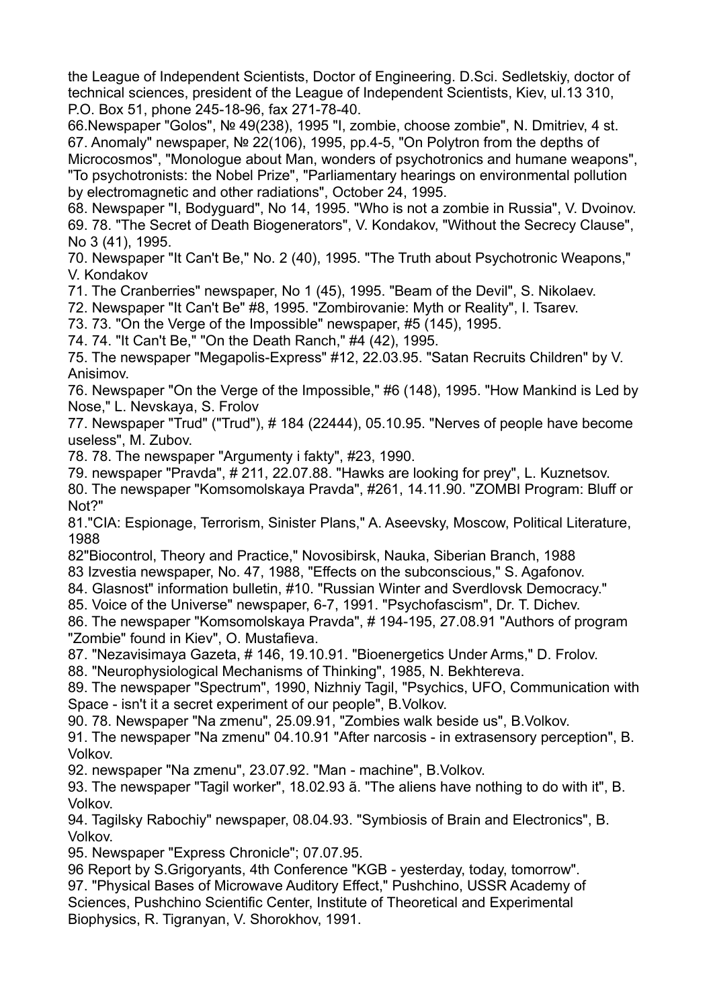the League of Independent Scientists, Doctor of Engineering. D.Sci. Sedletskiy, doctor of technical sciences, president of the League of Independent Scientists, Kiev, ul.13 310, P.O. Box 51, phone 245-18-96, fax 271-78-40.

66.Newspaper "Golos", № 49(238), 1995 "I, zombie, choose zombie", N. Dmitriev, 4 st. 67. Anomaly" newspaper, № 22(106), 1995, pp.4-5, "On Polytron from the depths of

Microcosmos", "Monologue about Man, wonders of psychotronics and humane weapons", "To psychotronists: the Nobel Prize", "Parliamentary hearings on environmental pollution by electromagnetic and other radiations", October 24, 1995.

68. Newspaper "I, Bodyguard", No 14, 1995. "Who is not a zombie in Russia", V. Dvoinov. 69. 78. "The Secret of Death Biogenerators", V. Kondakov, "Without the Secrecy Clause", No 3 (41), 1995.

70. Newspaper "It Can't Be," No. 2 (40), 1995. "The Truth about Psychotronic Weapons," V. Kondakov

71. The Cranberries" newspaper, No 1 (45), 1995. "Beam of the Devil", S. Nikolaev.

72. Newspaper "It Can't Be" #8, 1995. "Zombirovanie: Myth or Reality", I. Tsarev.

73. 73. "On the Verge of the Impossible" newspaper, #5 (145), 1995.

74. 74. "It Can't Be," "On the Death Ranch," #4 (42), 1995.

75. The newspaper "Megapolis-Express" #12, 22.03.95. "Satan Recruits Children" by V. Anisimov.

76. Newspaper "On the Verge of the Impossible," #6 (148), 1995. "How Mankind is Led by Nose," L. Nevskaya, S. Frolov

77. Newspaper "Trud" ("Trud"), # 184 (22444), 05.10.95. "Nerves of people have become useless", M. Zubov.

78. 78. The newspaper "Argumenty i fakty", #23, 1990.

79. newspaper "Pravda", # 211, 22.07.88. "Hawks are looking for prey", L. Kuznetsov.

80. The newspaper "Komsomolskaya Pravda", #261, 14.11.90. "ZOMBI Program: Bluff or Not?"

81."CIA: Espionage, Terrorism, Sinister Plans," A. Aseevsky, Moscow, Political Literature, 1988

82"Biocontrol, Theory and Practice," Novosibirsk, Nauka, Siberian Branch, 1988

83 Izvestia newspaper, No. 47, 1988, "Effects on the subconscious," S. Agafonov.

84. Glasnost" information bulletin, #10. "Russian Winter and Sverdlovsk Democracy."

85. Voice of the Universe" newspaper, 6-7, 1991. "Psychofascism", Dr. T. Dichev.

86. The newspaper "Komsomolskaya Pravda", # 194-195, 27.08.91 "Authors of program "Zombie" found in Kiev", O. Mustafieva.

87. "Nezavisimaya Gazeta, # 146, 19.10.91. "Bioenergetics Under Arms," D. Frolov.

88. "Neurophysiological Mechanisms of Thinking", 1985, N. Bekhtereva.

89. The newspaper "Spectrum", 1990, Nizhniy Tagil, "Psychics, UFO, Communication with Space - isn't it a secret experiment of our people", B.Volkov.

90. 78. Newspaper "Na zmenu", 25.09.91, "Zombies walk beside us", B.Volkov.

91. The newspaper "Na zmenu" 04.10.91 "After narcosis - in extrasensory perception", B. Volkov.

92. newspaper "Na zmenu", 23.07.92. "Man - machine", B.Volkov.

93. The newspaper "Tagil worker", 18.02.93 ã. "The aliens have nothing to do with it", B. Volkov.

94. Tagilsky Rabochiy" newspaper, 08.04.93. "Symbiosis of Brain and Electronics", B. Volkov.

95. Newspaper "Express Chronicle"; 07.07.95.

96 Report by S.Grigoryants, 4th Conference "KGB - yesterday, today, tomorrow".

97. "Physical Bases of Microwave Auditory Effect," Pushchino, USSR Academy of Sciences, Pushchino Scientific Center, Institute of Theoretical and Experimental Biophysics, R. Tigranyan, V. Shorokhov, 1991.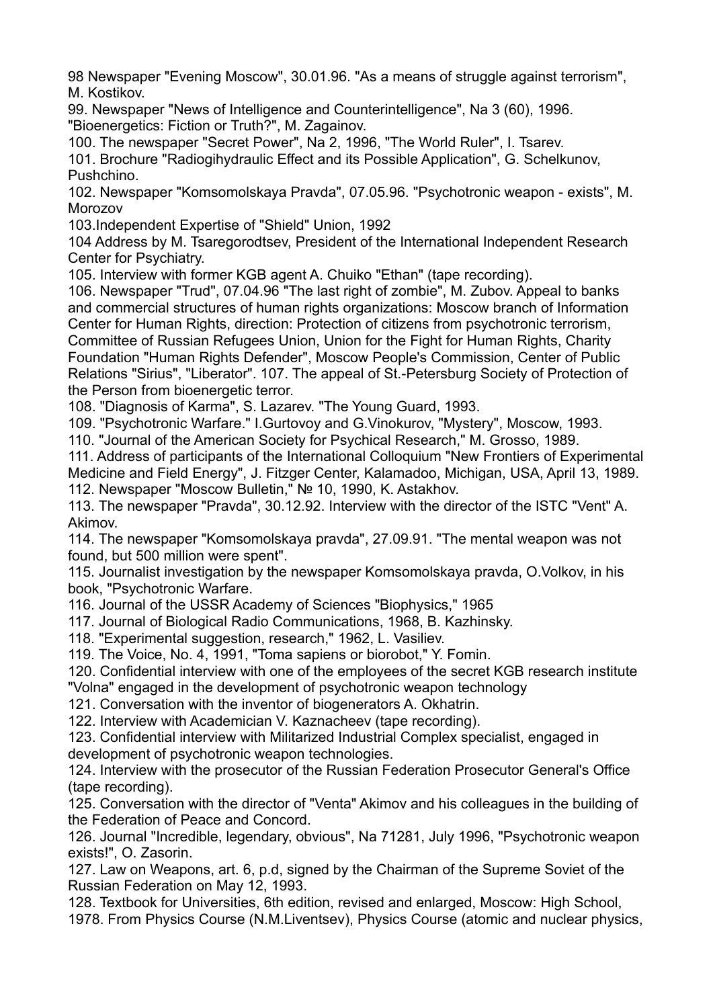98 Newspaper "Evening Moscow", 30.01.96. "As a means of struggle against terrorism", M. Kostikov.

99. Newspaper "News of Intelligence and Counterintelligence", Na 3 (60), 1996. "Bioenergetics: Fiction or Truth?", M. Zagainov.

100. The newspaper "Secret Power", Na 2, 1996, "The World Ruler", I. Tsarev.

101. Brochure "Radiogihydraulic Effect and its Possible Application", G. Schelkunov, Pushchino.

102. Newspaper "Komsomolskaya Pravda", 07.05.96. "Psychotronic weapon - exists", M. Morozov

103.Independent Expertise of "Shield" Union, 1992

104 Address by M. Tsaregorodtsev, President of the International Independent Research Center for Psychiatry.

105. Interview with former KGB agent A. Chuiko "Ethan" (tape recording).

106. Newspaper "Trud", 07.04.96 "The last right of zombie", M. Zubov. Appeal to banks and commercial structures of human rights organizations: Moscow branch of Information Center for Human Rights, direction: Protection of citizens from psychotronic terrorism, Committee of Russian Refugees Union, Union for the Fight for Human Rights, Charity Foundation "Human Rights Defender", Moscow People's Commission, Center of Public Relations "Sirius", "Liberator". 107. The appeal of St.-Petersburg Society of Protection of the Person from bioenergetic terror.

108. "Diagnosis of Karma", S. Lazarev. "The Young Guard, 1993.

109. "Psychotronic Warfare." I.Gurtovoy and G.Vinokurov, "Mystery", Moscow, 1993.

110. "Journal of the American Society for Psychical Research," M. Grosso, 1989.

111. Address of participants of the International Colloquium "New Frontiers of Experimental Medicine and Field Energy", J. Fitzger Center, Kalamadoo, Michigan, USA, April 13, 1989. 112. Newspaper "Moscow Bulletin," № 10, 1990, K. Astakhov.

113. The newspaper "Pravda", 30.12.92. Interview with the director of the ISTC "Vent" A. Akimov.

114. The newspaper "Komsomolskaya pravda", 27.09.91. "The mental weapon was not found, but 500 million were spent".

115. Journalist investigation by the newspaper Komsomolskaya pravda, O.Volkov, in his book, "Psychotronic Warfare.

116. Journal of the USSR Academy of Sciences "Biophysics," 1965

117. Journal of Biological Radio Communications, 1968, B. Kazhinsky.

118. "Experimental suggestion, research," 1962, L. Vasiliev.

119. The Voice, No. 4, 1991, "Toma sapiens or biorobot," Y. Fomin.

120. Confidential interview with one of the employees of the secret KGB research institute "Volna" engaged in the development of psychotronic weapon technology

121. Conversation with the inventor of biogenerators A. Okhatrin.

122. Interview with Academician V. Kaznacheev (tape recording).

123. Confidential interview with Militarized Industrial Complex specialist, engaged in development of psychotronic weapon technologies.

124. Interview with the prosecutor of the Russian Federation Prosecutor General's Office (tape recording).

125. Conversation with the director of "Venta" Akimov and his colleagues in the building of the Federation of Peace and Concord.

126. Journal "Incredible, legendary, obvious", Na 71281, July 1996, "Psychotronic weapon exists!", O. Zasorin.

127. Law on Weapons, art. 6, p.d, signed by the Chairman of the Supreme Soviet of the Russian Federation on May 12, 1993.

128. Textbook for Universities, 6th edition, revised and enlarged, Moscow: High School, 1978. From Physics Course (N.M.Liventsev), Physics Course (atomic and nuclear physics,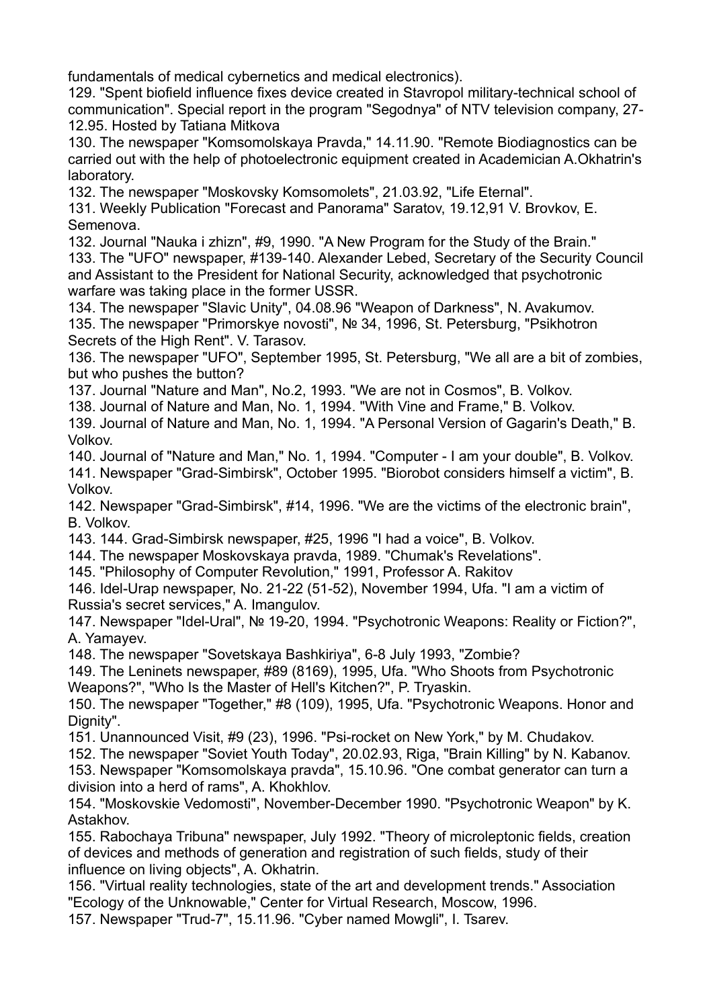fundamentals of medical cybernetics and medical electronics).

129. "Spent biofield influence fixes device created in Stavropol military-technical school of communication". Special report in the program "Segodnya" of NTV television company, 27- 12.95. Hosted by Tatiana Mitkova

130. The newspaper "Komsomolskaya Pravda," 14.11.90. "Remote Biodiagnostics can be carried out with the help of photoelectronic equipment created in Academician A.Okhatrin's laboratory.

132. The newspaper "Moskovsky Komsomolets", 21.03.92, "Life Eternal".

131. Weekly Publication "Forecast and Panorama" Saratov, 19.12,91 V. Brovkov, E. Semenova.

132. Journal "Nauka i zhizn", #9, 1990. "A New Program for the Study of the Brain." 133. The "UFO" newspaper, #139-140. Alexander Lebed, Secretary of the Security Council and Assistant to the President for National Security, acknowledged that psychotronic warfare was taking place in the former USSR.

134. The newspaper "Slavic Unity", 04.08.96 "Weapon of Darkness", N. Avakumov. 135. The newspaper "Primorskye novosti", № 34, 1996, St. Petersburg, "Psikhotron Secrets of the High Rent". V. Tarasov.

136. The newspaper "UFO", September 1995, St. Petersburg, "We all are a bit of zombies, but who pushes the button?

137. Journal "Nature and Man", No.2, 1993. "We are not in Cosmos", B. Volkov.

138. Journal of Nature and Man, No. 1, 1994. "With Vine and Frame," B. Volkov.

139. Journal of Nature and Man, No. 1, 1994. "A Personal Version of Gagarin's Death," B. Volkov.

140. Journal of "Nature and Man," No. 1, 1994. "Computer - I am your double", B. Volkov. 141. Newspaper "Grad-Simbirsk", October 1995. "Biorobot considers himself a victim", B. Volkov.

142. Newspaper "Grad-Simbirsk", #14, 1996. "We are the victims of the electronic brain", B. Volkov.

143. 144. Grad-Simbirsk newspaper, #25, 1996 "I had a voice", B. Volkov.

144. The newspaper Moskovskaya pravda, 1989. "Chumak's Revelations".

145. "Philosophy of Computer Revolution," 1991, Professor A. Rakitov

146. Idel-Urap newspaper, No. 21-22 (51-52), November 1994, Ufa. "I am a victim of Russia's secret services," A. Imangulov.

147. Newspaper "Idel-Ural", № 19-20, 1994. "Psychotronic Weapons: Reality or Fiction?", A. Yamayev.

148. The newspaper "Sovetskaya Bashkiriya", 6-8 July 1993, "Zombie?

149. The Leninets newspaper, #89 (8169), 1995, Ufa. "Who Shoots from Psychotronic Weapons?", "Who Is the Master of Hell's Kitchen?", P. Tryaskin.

150. The newspaper "Together," #8 (109), 1995, Ufa. "Psychotronic Weapons. Honor and Dignity".

151. Unannounced Visit, #9 (23), 1996. "Psi-rocket on New York," by M. Chudakov.

152. The newspaper "Soviet Youth Today", 20.02.93, Riga, "Brain Killing" by N. Kabanov. 153. Newspaper "Komsomolskaya pravda", 15.10.96. "One combat generator can turn a

division into a herd of rams", A. Khokhlov.

154. "Moskovskie Vedomosti", November-December 1990. "Psychotronic Weapon" by K. Astakhov.

155. Rabochaya Tribuna" newspaper, July 1992. "Theory of microleptonic fields, creation of devices and methods of generation and registration of such fields, study of their influence on living objects", A. Okhatrin.

156. "Virtual reality technologies, state of the art and development trends." Association "Ecology of the Unknowable," Center for Virtual Research, Moscow, 1996.

157. Newspaper "Trud-7", 15.11.96. "Cyber named Mowgli", I. Tsarev.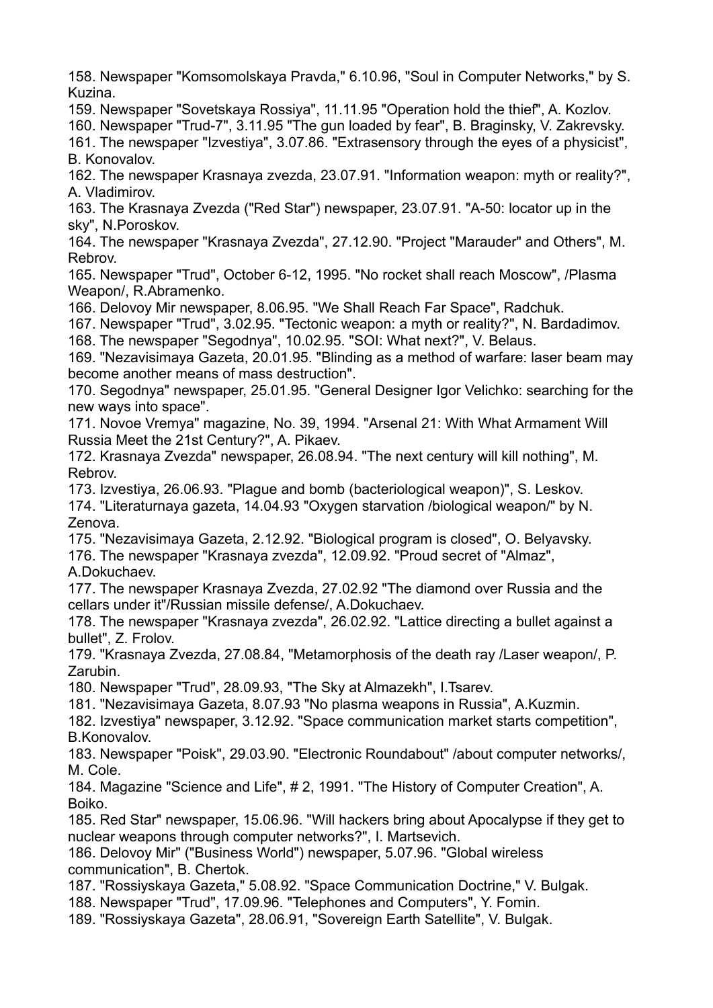158. Newspaper "Komsomolskaya Pravda," 6.10.96, "Soul in Computer Networks," by S. Kuzina.

159. Newspaper "Sovetskaya Rossiya", 11.11.95 "Operation hold the thief", A. Kozlov.

160. Newspaper "Trud-7", 3.11.95 "The gun loaded by fear", B. Braginsky, V. Zakrevsky.

161. The newspaper "Izvestiya", 3.07.86. "Extrasensory through the eyes of a physicist", B. Konovalov.

162. The newspaper Krasnaya zvezda, 23.07.91. "Information weapon: myth or reality?", A. Vladimirov.

163. The Krasnaya Zvezda ("Red Star") newspaper, 23.07.91. "A-50: locator up in the sky", N.Poroskov.

164. The newspaper "Krasnaya Zvezda", 27.12.90. "Project "Marauder" and Others", M. Rebrov.

165. Newspaper "Trud", October 6-12, 1995. "No rocket shall reach Moscow", /Plasma Weapon/, R.Abramenko.

166. Delovoy Mir newspaper, 8.06.95. "We Shall Reach Far Space", Radchuk.

167. Newspaper "Trud", 3.02.95. "Tectonic weapon: a myth or reality?", N. Bardadimov. 168. The newspaper "Segodnya", 10.02.95. "SOI: What next?", V. Belaus.

169. "Nezavisimaya Gazeta, 20.01.95. "Blinding as a method of warfare: laser beam may become another means of mass destruction".

170. Segodnya" newspaper, 25.01.95. "General Designer Igor Velichko: searching for the new ways into space".

171. Novoe Vremya" magazine, No. 39, 1994. "Arsenal 21: With What Armament Will Russia Meet the 21st Century?", A. Pikaev.

172. Krasnaya Zvezda" newspaper, 26.08.94. "The next century will kill nothing", M. Rebrov.

173. Izvestiya, 26.06.93. "Plague and bomb (bacteriological weapon)", S. Leskov.

174. "Literaturnaya gazeta, 14.04.93 "Oxygen starvation /biological weapon/" by N. Zenova.

175. "Nezavisimaya Gazeta, 2.12.92. "Biological program is closed", O. Belyavsky.

176. The newspaper "Krasnaya zvezda", 12.09.92. "Proud secret of "Almaz",

A.Dokuchaev.

177. The newspaper Krasnaya Zvezda, 27.02.92 "The diamond over Russia and the cellars under it"/Russian missile defense/, A.Dokuchaev.

178. The newspaper "Krasnaya zvezda", 26.02.92. "Lattice directing a bullet against a bullet", Z. Frolov.

179. "Krasnaya Zvezda, 27.08.84, "Metamorphosis of the death ray /Laser weapon/, P. Zarubin.

180. Newspaper "Trud", 28.09.93, "The Sky at Almazekh", I.Tsarev.

181. "Nezavisimaya Gazeta, 8.07.93 "No plasma weapons in Russia", A.Kuzmin.

182. Izvestiya" newspaper, 3.12.92. "Space communication market starts competition", B.Konovalov.

183. Newspaper "Poisk", 29.03.90. "Electronic Roundabout" /about computer networks/, M. Cole.

184. Magazine "Science and Life", # 2, 1991. "The History of Computer Creation", A. Boiko.

185. Red Star" newspaper, 15.06.96. "Will hackers bring about Apocalypse if they get to nuclear weapons through computer networks?", I. Martsevich.

186. Delovoy Mir" ("Business World") newspaper, 5.07.96. "Global wireless communication", B. Chertok.

187. "Rossiyskaya Gazeta," 5.08.92. "Space Communication Doctrine," V. Bulgak.

188. Newspaper "Trud", 17.09.96. "Telephones and Computers", Y. Fomin.

189. "Rossiyskaya Gazeta", 28.06.91, "Sovereign Earth Satellite", V. Bulgak.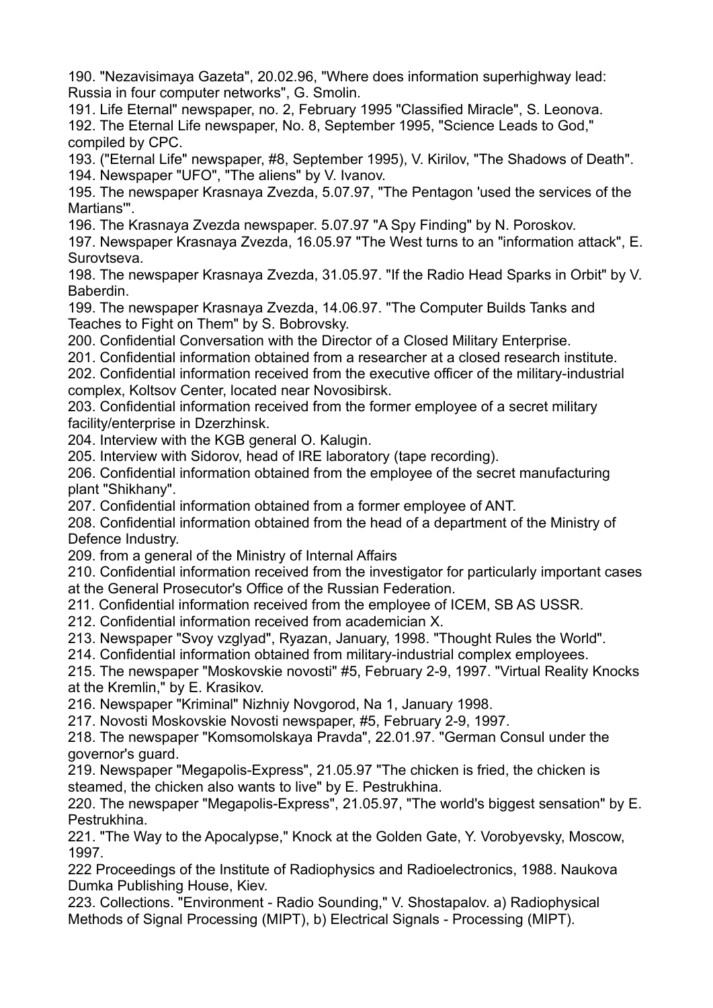190. "Nezavisimaya Gazeta", 20.02.96, "Where does information superhighway lead: Russia in four computer networks", G. Smolin.

191. Life Eternal" newspaper, no. 2, February 1995 "Classified Miracle", S. Leonova. 192. The Eternal Life newspaper, No. 8, September 1995, "Science Leads to God," compiled by CPC.

193. ("Eternal Life" newspaper, #8, September 1995), V. Kirilov, "The Shadows of Death". 194. Newspaper "UFO", "The aliens" by V. Ivanov.

195. The newspaper Krasnaya Zvezda, 5.07.97, "The Pentagon 'used the services of the Martians'".

196. The Krasnaya Zvezda newspaper. 5.07.97 "A Spy Finding" by N. Poroskov.

197. Newspaper Krasnaya Zvezda, 16.05.97 "The West turns to an "information attack", E. Surovtseva.

198. The newspaper Krasnaya Zvezda, 31.05.97. "If the Radio Head Sparks in Orbit" by V. Baberdin.

199. The newspaper Krasnaya Zvezda, 14.06.97. "The Computer Builds Tanks and Teaches to Fight on Them" by S. Bobrovsky.

200. Confidential Conversation with the Director of a Closed Military Enterprise.

201. Confidential information obtained from a researcher at a closed research institute.

202. Confidential information received from the executive officer of the military-industrial complex, Koltsov Center, located near Novosibirsk.

203. Confidential information received from the former employee of a secret military facility/enterprise in Dzerzhinsk.

204. Interview with the KGB general O. Kalugin.

205. Interview with Sidorov, head of IRE laboratory (tape recording).

206. Confidential information obtained from the employee of the secret manufacturing plant "Shikhany".

207. Confidential information obtained from a former employee of ANT.

208. Confidential information obtained from the head of a department of the Ministry of Defence Industry.

209. from a general of the Ministry of Internal Affairs

210. Confidential information received from the investigator for particularly important cases at the General Prosecutor's Office of the Russian Federation.

211. Confidential information received from the employee of ICEM, SB AS USSR.

212. Confidential information received from academician X.

213. Newspaper "Svoy vzglyad", Ryazan, January, 1998. "Thought Rules the World".

214. Confidential information obtained from military-industrial complex employees.

215. The newspaper "Moskovskie novosti" #5, February 2-9, 1997. "Virtual Reality Knocks at the Kremlin," by E. Krasikov.

216. Newspaper "Kriminal" Nizhniy Novgorod, Na 1, January 1998.

217. Novosti Moskovskie Novosti newspaper, #5, February 2-9, 1997.

218. The newspaper "Komsomolskaya Pravda", 22.01.97. "German Consul under the governor's guard.

219. Newspaper "Megapolis-Express", 21.05.97 "The chicken is fried, the chicken is steamed, the chicken also wants to live" by E. Pestrukhina.

220. The newspaper "Megapolis-Express", 21.05.97, "The world's biggest sensation" by E. Pestrukhina.

221. "The Way to the Apocalypse," Knock at the Golden Gate, Y. Vorobyevsky, Moscow, 1997.

222 Proceedings of the Institute of Radiophysics and Radioelectronics, 1988. Naukova Dumka Publishing House, Kiev.

223. Collections. "Environment - Radio Sounding," V. Shostapalov. a) Radiophysical Methods of Signal Processing (MIPT), b) Electrical Signals - Processing (MIPT).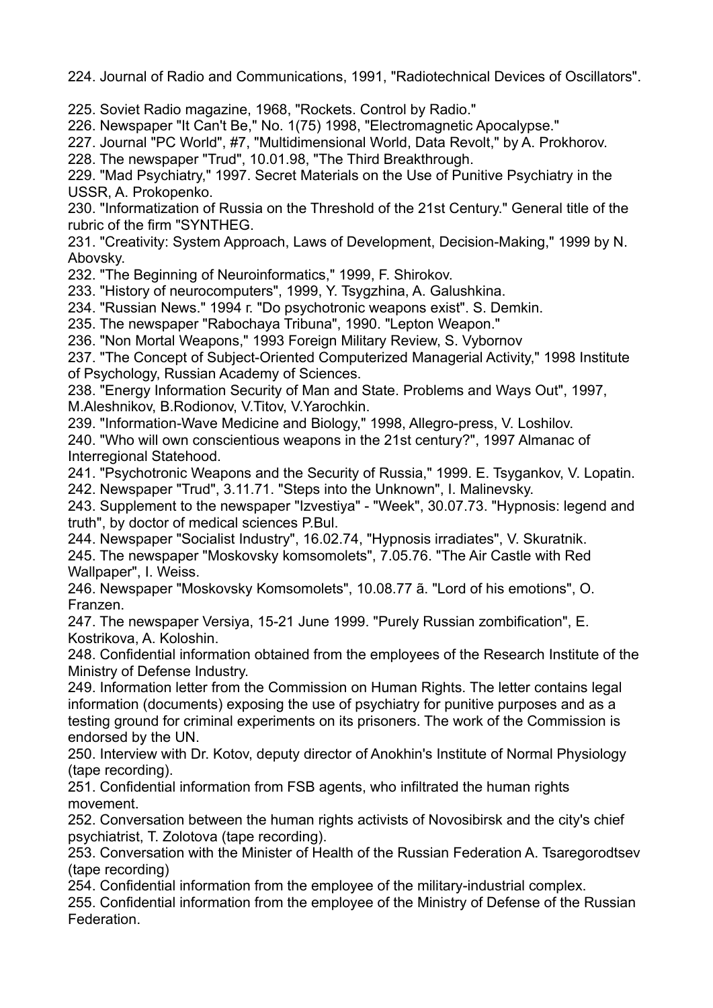224. Journal of Radio and Communications, 1991, "Radiotechnical Devices of Oscillators".

225. Soviet Radio magazine, 1968, "Rockets. Control by Radio."

226. Newspaper "It Can't Be," No. 1(75) 1998, "Electromagnetic Apocalypse."

227. Journal "PC World", #7, "Multidimensional World, Data Revolt," by A. Prokhorov.

228. The newspaper "Trud", 10.01.98, "The Third Breakthrough.

229. "Mad Psychiatry," 1997. Secret Materials on the Use of Punitive Psychiatry in the USSR, A. Prokopenko.

230. "Informatization of Russia on the Threshold of the 21st Century." General title of the rubric of the firm "SYNTHEG.

231. "Creativity: System Approach, Laws of Development, Decision-Making," 1999 by N. Abovsky.

232. "The Beginning of Neuroinformatics," 1999, F. Shirokov.

233. "History of neurocomputers", 1999, Y. Tsygzhina, A. Galushkina.

234. "Russian News." 1994 г. "Do psychotronic weapons exist". S. Demkin.

235. The newspaper "Rabochaya Tribuna", 1990. "Lepton Weapon."

236. "Non Mortal Weapons," 1993 Foreign Military Review, S. Vybornov

237. "The Concept of Subject-Oriented Computerized Managerial Activity," 1998 Institute of Psychology, Russian Academy of Sciences.

238. "Energy Information Security of Man and State. Problems and Ways Out", 1997, M.Aleshnikov, B.Rodionov, V.Titov, V.Yarochkin.

239. "Information-Wave Medicine and Biology," 1998, Allegro-press, V. Loshilov. 240. "Who will own conscientious weapons in the 21st century?", 1997 Almanac of Interregional Statehood.

241. "Psychotronic Weapons and the Security of Russia," 1999. E. Tsygankov, V. Lopatin. 242. Newspaper "Trud", 3.11.71. "Steps into the Unknown", I. Malinevsky.

243. Supplement to the newspaper "Izvestiya" - "Week", 30.07.73. "Hypnosis: legend and truth", by doctor of medical sciences P.Bul.

244. Newspaper "Socialist Industry", 16.02.74, "Hypnosis irradiates", V. Skuratnik. 245. The newspaper "Moskovsky komsomolets", 7.05.76. "The Air Castle with Red Wallpaper", I. Weiss.

246. Newspaper "Moskovsky Komsomolets", 10.08.77 ã. "Lord of his emotions", O. Franzen.

247. The newspaper Versiya, 15-21 June 1999. "Purely Russian zombification", E. Kostrikova, A. Koloshin.

248. Confidential information obtained from the employees of the Research Institute of the Ministry of Defense Industry.

249. Information letter from the Commission on Human Rights. The letter contains legal information (documents) exposing the use of psychiatry for punitive purposes and as a testing ground for criminal experiments on its prisoners. The work of the Commission is endorsed by the UN.

250. Interview with Dr. Kotov, deputy director of Anokhin's Institute of Normal Physiology (tape recording).

251. Confidential information from FSB agents, who infiltrated the human rights movement.

252. Conversation between the human rights activists of Novosibirsk and the city's chief psychiatrist, T. Zolotova (tape recording).

253. Conversation with the Minister of Health of the Russian Federation A. Tsaregorodtsev (tape recording)

254. Confidential information from the employee of the military-industrial complex.

255. Confidential information from the employee of the Ministry of Defense of the Russian Federation.